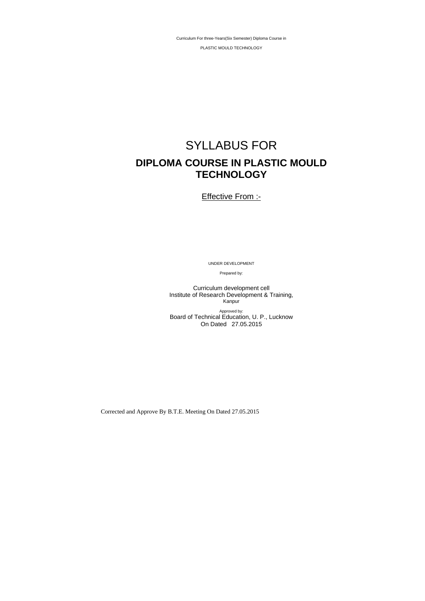Corrected and Approve By B.T.E. Meeting On Dated 27.05.2015

Curriculum For three-Years(Six Semester) Diploma Course in

PLASTIC MOULD TECHNOLOGY

# SYLLABUS FOR **DIPLOMA COURSE IN PLASTIC MOULD TECHNOLOGY**

**Effective From :-**

UNDER DEVELOPMENT

Prepared by:

Curriculum development cell Institute of Research Development & Training, Kanpur

Approved by: Board of Technical Education, U. P., Lucknow On Dated 27.05.2015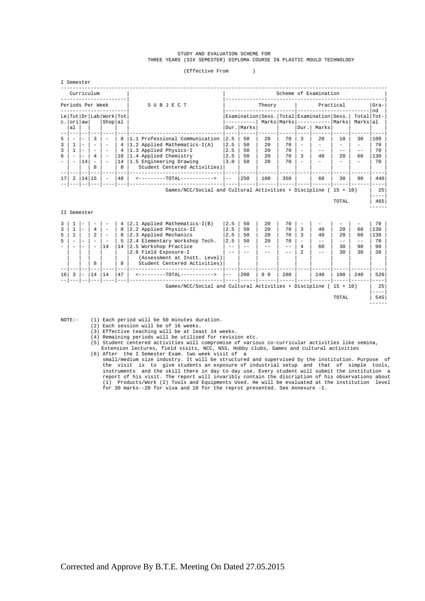#### STUDY AND EVALUATION SCHEME FOR THREE YEARS (SIX SEMESTER) DIPLOMA COURSE IN PLASTIC MOULD TECHNOLOGY

(Effective From )

|        | I Semester               |                                                      |                                                      |                                              |          |                                                                     |                       |                                                   |            |          |      |                                         |       |              |                        |
|--------|--------------------------|------------------------------------------------------|------------------------------------------------------|----------------------------------------------|----------|---------------------------------------------------------------------|-----------------------|---------------------------------------------------|------------|----------|------|-----------------------------------------|-------|--------------|------------------------|
|        |                          |                                                      | Curriculum                                           |                                              |          |                                                                     | Scheme of Examination |                                                   |            |          |      |                                         |       |              |                        |
|        |                          |                                                      | Periods Per Week                                     |                                              |          | SUBJECT                                                             | Practical<br>Theory   |                                                   |            |          |      |                                         |       | $Gra-$<br>nd |                        |
|        | c. orilawl               |                                                      |                                                      | Le   Tut   Dr   Lab   Work   Tot<br> Shop al |          |                                                                     |                       | Examination   Sess.   Total   Examination   Sess. |            |          |      | $Marks$   $Marks$   ----------  $Marks$ |       |              | Total Tot-<br>Marks al |
|        | al                       |                                                      |                                                      |                                              |          |                                                                     |                       | Dur. Marks                                        |            |          | Dur. | Marks                                   |       |              |                        |
| 5      | $\overline{\phantom{a}}$ | $\overline{\phantom{0}}$                             | 3                                                    |                                              | 8        | 1.1 Professional Communication                                      | 2.5                   | 50                                                | 20         | 70       | 3    | 2.0                                     | 10    | 30           | 100                    |
| 3<br>3 |                          | $\overline{\phantom{0}}$<br>$\overline{\phantom{0}}$ | $\overline{\phantom{0}}$<br>$\overline{\phantom{0}}$ |                                              | 4<br>4   | $ 1.2$ Applied Mathematics-I(A)<br>1.3 Applied Physics-I            | 2.5<br>2.5            | 50<br>50                                          | 2.0<br>2.0 | 70<br>70 |      | $-$                                     | $- -$ | $- -$        | 70<br>70               |
| 6      | $\overline{\phantom{a}}$ | 14                                                   | 4                                                    |                                              | 10<br>14 | 1.4 Applied Chemistry<br>1.5 Engineering Drawing                    | 2.5<br>3.0            | 50<br>50                                          | 2.0<br>20  | 70<br>70 |      | 40                                      | 20    | 60           | 130<br>70              |
|        |                          |                                                      | 8                                                    |                                              | 8        | Student Centered Activities)                                        |                       |                                                   |            |          |      |                                         |       |              |                        |
| 17     | 2                        |                                                      | 14 15                                                |                                              | 48       | <---------TOTAL----------->                                         | $- -$                 | 250                                               | 100        | 350      |      | 60                                      | 30    | 90           | 440                    |
|        |                          |                                                      |                                                      |                                              |          | Games/NCC/Social and Cultural Activities + Discipline ( $15 + 10$ ) |                       |                                                   |            |          |      |                                         |       |              | 25                     |
|        |                          |                                                      |                                                      |                                              |          |                                                                     |                       |                                                   |            |          |      |                                         | TOTAL |              | $- - - -$<br>465       |
|        |                          |                                                      |                                                      |                                              |          |                                                                     |                       |                                                   |            |          |      |                                         |       |              |                        |

| ζ                        |                          |                          |                          |                          | $4\overline{ }$ | 2.1 Applied Mathematics-I(B)                          | 2.5   | 50  | 2.0   | 70  |      |           |       | 70      |
|--------------------------|--------------------------|--------------------------|--------------------------|--------------------------|-----------------|-------------------------------------------------------|-------|-----|-------|-----|------|-----------|-------|---------|
| $\overline{\mathbf{3}}$  |                          | $\overline{\phantom{0}}$ | $\overline{4}$           | $\overline{\phantom{a}}$ | 8               | 2.2 Applied Physics-II                                | 2.5   | 50  | 2.0   | 70  | 40   | 20        | 60    | 130     |
| 5                        |                          |                          | $\mathfrak{D}$           | $\overline{\phantom{a}}$ | 8               | 2.3 Applied Mechanics                                 | 2.5   | 50  | 2.0   | 70  | 40   | 2.0       | 60    | 130     |
| 5                        | $\overline{\phantom{a}}$ | $\qquad \qquad$          | $\overline{\phantom{0}}$ |                          | 5               | 2.4 Elementary Workshop Tech.                         | 2.5   | 50  | 2.0   | 70  | $ -$ | $- -$     | $- -$ | 70      |
| $\overline{\phantom{a}}$ |                          | $\qquad \qquad$          | -                        | 14                       | 14              | 2.5 Workshop Practice                                 | $- -$ | --  | $- -$ | - - | 60   | 30        | 90    | 90      |
|                          |                          |                          |                          |                          |                 | 2.6 Field Exposure-I                                  | $ -$  |     |       | - - | - -  | 30        | 30    | 30      |
|                          |                          |                          |                          |                          |                 | (Assessment at Instt. Level)                          |       |     |       |     |      |           |       |         |
|                          |                          |                          | 8                        |                          | 8               | Student Centered Activities)                          |       |     |       |     |      |           |       |         |
|                          |                          |                          |                          |                          |                 |                                                       |       |     |       |     |      |           |       |         |
| 16                       | 3                        | $\overline{a}$           | 14                       | 14                       | 47              | $-TOTAT -$                                            | $- -$ | 200 | 8 0   | 280 | 140  | 100       | 240   | 520     |
|                          |                          |                          |                          |                          |                 |                                                       |       |     |       |     |      |           |       |         |
|                          |                          |                          |                          |                          |                 | Games/NCC/Social and Cultural Activities + Discipline |       |     |       |     |      | $15 + 10$ |       | 25      |
|                          |                          |                          |                          |                          |                 |                                                       |       |     |       |     |      |           |       | $--- -$ |
|                          |                          |                          |                          |                          |                 |                                                       |       |     |       |     |      | TOTAL     |       | 545     |
|                          |                          |                          |                          |                          |                 |                                                       |       |     |       |     |      |           |       |         |

NOTE:- (1) Each period will be 50 minutes duration.

II Semester

- 
- (2) Each session will be of 16 weeks. (3) Effective teaching will be at least 14 weeks.
	-
- (4) Remaining periods will be utilised for revision etc. (5) Student centered activities will compromise of various co-curricular activities like semina, Extension lectures, field visits, NCC, NSS, Hobby clubs, Games and cultural activities (6) After the I Semester Exam. two week visit of a
- small/medium size industry. It will be structured and supervised by the institution. Purpose of the visit is to give students an exposure of industrial setup and that of simple tools,<br>instruments and the skill there in day to day use. Every student will submit the institution a<br>report of his visit. The report will in for 30 marks--20 for viva and 10 for the reprot presented. See Annexure -I.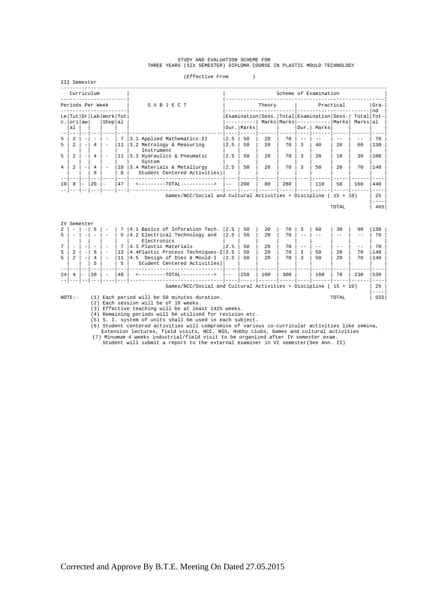# STUDY AND EVALUATION SCHEME FOR<br>THREE YEARS (SIX SEMESTER) DIPLOMA COURSE IN PLASTIC MOULD TECHNOLOGY

(Effective From )

|                     | IBLLCULIVE FIUM<br>III Semester               |                          |                               |                                       |               |                                                                                                    |            |                            |            |          |  |                                                                                                              |           |                          |            |
|---------------------|-----------------------------------------------|--------------------------|-------------------------------|---------------------------------------|---------------|----------------------------------------------------------------------------------------------------|------------|----------------------------|------------|----------|--|--------------------------------------------------------------------------------------------------------------|-----------|--------------------------|------------|
|                     |                                               |                          | Curriculum                    |                                       |               |                                                                                                    |            | Scheme of Examination      |            |          |  |                                                                                                              |           |                          |            |
|                     | Periods Per Week                              |                          |                               |                                       |               | SUBJECT                                                                                            |            | Theory                     |            |          |  | Practical                                                                                                    |           |                          |            |
|                     | $c.$ $\vert$ or $i$ $\vert$ aw $\vert$<br> al |                          |                               | Le Tut Dr Lab Work Tot<br>  Shop   al |               |                                                                                                    |            | ----------<br>Dur.   Marks |            |          |  | Examination   Sess.   Total   Examination   Sess.  <br>Marks   Marks   -----------   Marks  <br>Dur.   Marks |           | Total   Tot-<br>Markslal | nd         |
| 5<br>5              | $\overline{a}$<br>2                           | $\overline{\phantom{0}}$ | $\overline{\phantom{a}}$<br>4 |                                       | 7<br>11       | 3.1 Applied Mathematics-II<br>3.2 Metrology & Measuring<br>Instrument                              | 2.5<br>2.5 | 50<br>50                   | 2.0<br>2.0 | 70<br>70 |  | 40                                                                                                           | 2.0       | 60                       | 70<br>130  |
| 5<br>$\overline{4}$ | 2<br>$\mathfrak{D}$                           |                          | $\overline{4}$<br>4<br>R      |                                       | 11<br>10<br>R | 3.3 Hydraulics & Pneumatic<br>System<br>3.4 Materials & Metallurgy<br>Student Centered Activities) | 2.5<br>2.5 | 50<br>50                   | 2.0<br>2.0 | 70<br>70 |  | 2.0<br>50                                                                                                    | 10<br>2.0 | 30<br>70                 | 100<br>140 |
| 19                  | 8                                             | $\overline{\phantom{a}}$ | 20                            |                                       | 47            | <--------TOTAL----------->                                                                         | $- -$      | 200                        | 80         | 280      |  | 110                                                                                                          | 50        | 160                      | 440        |
|                     |                                               |                          |                               |                                       |               | Games/NCC/Social and Cultural Activities + Discipline ( $15 + 10$ )                                |            |                            |            |          |  |                                                                                                              |           |                          | 2.5        |

 $\lceil \text{DTAL} \rceil$  and  $\lceil \text{465} \rceil$ 

|                | IV Semester              |                          |     |                          |    |                                                                     |       |     |     |     |     |       |     |      |  |
|----------------|--------------------------|--------------------------|-----|--------------------------|----|---------------------------------------------------------------------|-------|-----|-----|-----|-----|-------|-----|------|--|
| 2              |                          |                          |     |                          |    | 4.1 Basics of Inforation Tech.                                      | 12.5  | 50  | 2.0 | 70  | 60  | 30    | 90  | 130  |  |
| 5              |                          |                          |     |                          | 5  | 4.2 Electrical Technology and                                       | 2.5   | 50  | 2.0 | 70  |     |       |     | 70   |  |
|                |                          |                          |     |                          |    | Electronics                                                         |       |     |     |     |     |       |     |      |  |
| $\overline{7}$ |                          |                          |     |                          |    | 4.3 Plastic Materials                                               | 2.5   | 50  | 2.0 | 70  |     |       |     | 70   |  |
| 5              | $\overline{\mathcal{L}}$ | $\overline{\phantom{0}}$ | 6   | $\overline{\phantom{a}}$ | 13 | 4.4Plastic Process Techniques-I 2.5                                 |       | 50  | 2.0 | 70  | 50  | 2.0   | 70  | 140  |  |
| 5              | $\overline{\mathcal{L}}$ |                          |     | $\overline{\phantom{0}}$ | 11 | 4.5 Design of Dies & Mould-I                                        | 12.5  | 50  | 2.0 | 70  | 50  | 2.0   | 70  | 140  |  |
|                |                          |                          |     |                          | 5  | Student Centered Activities)                                        |       |     |     |     |     |       |     |      |  |
|                |                          |                          |     |                          |    |                                                                     |       |     |     |     |     |       |     |      |  |
| 24             |                          |                          | 2.0 | $\sim$                   | 48 | $\leftarrow$ - - - - - - - - TOTAL-                                 | $- -$ | 250 | 100 | 300 | 160 | 70    | 230 | 530  |  |
|                |                          |                          |     |                          |    |                                                                     |       |     |     |     |     |       |     |      |  |
|                |                          |                          |     |                          |    | Games/NCC/Social and Cultural Activities + Discipline ( $15 + 10$ ) |       |     |     |     |     |       |     | 25   |  |
|                |                          |                          |     |                          |    |                                                                     |       |     |     |     |     |       |     | ---- |  |
|                | $NOTE: -$                |                          | (1) |                          |    | Each period will be 50 minutes duration.                            |       |     |     |     |     | TOTAL |     | 555  |  |
|                |                          |                          | (2) |                          |    | Each session will be of 16 weeks.                                   |       |     |     |     |     |       |     |      |  |

(3) Effective teaching will be at least 1425 weeks.

(4) Remaining periods will be utilised for revision etc.

(5) S. I. system of units shall be used in each subject.

%) Student centered activities will compromise of various co-curricular activities like semina,<br>Extension lectures, field visits, NCC, NSS, Hobby clubs, Games and cultural activities<br>(7) Minumum 4 weeks industrial/field vi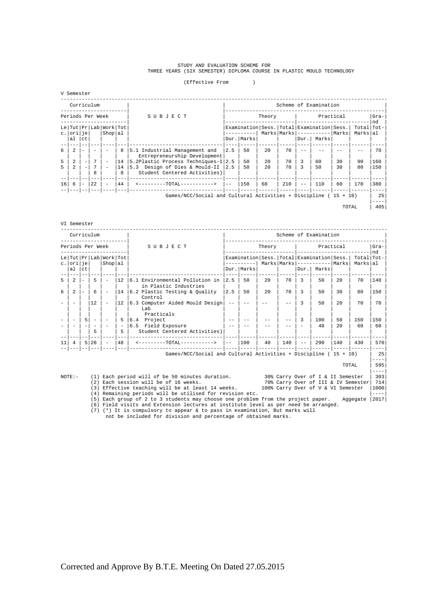# STUDY AND EVALUATION SCHEME FOR<br>THREE YEARS (SIX SEMESTER) DIPLOMA COURSE IN PLASTIC MOULD TECHNOLOGY

(Effective From )

|  | Semester |  |
|--|----------|--|
|--|----------|--|

|                 | Curriculum               |                          |                  |                                  |    |                                                                 |                                                   |            |     |     |      | Scheme of Examination             |            |                |     |
|-----------------|--------------------------|--------------------------|------------------|----------------------------------|----|-----------------------------------------------------------------|---------------------------------------------------|------------|-----|-----|------|-----------------------------------|------------|----------------|-----|
|                 |                          |                          | Periods Per Week |                                  |    | SUBJECT                                                         | Practical<br>Theory                               |            |     |     |      |                                   |            | $Gra-$<br>l nd |     |
|                 |                          |                          |                  | Le   Tut   Pr   Lab   Work   Tot |    |                                                                 | Examination   Sess.   Total   Examination   Sess. |            |     |     |      |                                   | Total Tot- |                |     |
|                 | c.loriliel               |                          |                  | Shop al                          |    |                                                                 |                                                   |            |     |     |      | $Marks$   $Marks$   $----- Marks$ |            | Marksall       |     |
|                 | al                       | ct                       |                  |                                  |    |                                                                 |                                                   | Dur. Marks |     |     | Dur. | Marks                             |            |                |     |
|                 |                          |                          |                  |                                  |    |                                                                 |                                                   |            |     |     |      |                                   |            |                |     |
| 6               | $\mathfrak{D}$           | $\overline{\phantom{a}}$ |                  |                                  | 8  | 5.1 Industrial Management and<br>Entrepreneurship Development   | 2.5                                               | 50         | 2.0 | 70  |      |                                   |            |                | 70  |
| 5               | $\mathfrak{D}$           |                          |                  | $\overline{\phantom{a}}$         | 14 | 5.2Plastic Process Techniques-I 2.5                             |                                                   | 50         | 2.0 | 70  | 3    | 60                                | 30         | 90             | 160 |
| 5.              | $\overline{\mathcal{L}}$ |                          |                  | $\overline{\phantom{0}}$         | 14 | 5.3 Design of Dies & Mould-II 2.5                               |                                                   | 50         | 2.0 | 70  |      | 50                                | 30         | 80             | 150 |
|                 |                          |                          | 8                |                                  | 8  | Student Centered Activities)                                    |                                                   |            |     |     |      |                                   |            |                |     |
|                 |                          |                          |                  |                                  |    |                                                                 |                                                   |            |     |     |      |                                   |            |                |     |
| 16 <sup>1</sup> | 6                        | $\overline{\phantom{a}}$ | 22               | $\overline{\phantom{a}}$         | 44 | <--------TOTAL----------->                                      | $- -$                                             | 150        | 60  | 210 |      | 110                               | 60         | 170            | 380 |
|                 |                          |                          |                  |                                  |    |                                                                 |                                                   |            |     |     |      |                                   |            |                |     |
|                 |                          |                          |                  |                                  |    | Games/NCC/Social and Cultural Activities + Discipline (15 + 10) |                                                   |            |     |     |      |                                   |            |                | 25  |
|                 |                          |                          |                  |                                  |    |                                                                 |                                                   |            |     |     |      |                                   |            |                |     |
|                 |                          |                          |                  |                                  |    |                                                                 |                                                   |            |     |     |      |                                   | TOTAL      |                | 405 |

#### VI Semester

| Curriculum                                                                                                                                                              |                          |                          |                                                      |                                             |                               |                                                                                                                                                 |                                                                                     |       |              |        |       |                   | Scheme of Examination                                                            |           |                          |                   |
|-------------------------------------------------------------------------------------------------------------------------------------------------------------------------|--------------------------|--------------------------|------------------------------------------------------|---------------------------------------------|-------------------------------|-------------------------------------------------------------------------------------------------------------------------------------------------|-------------------------------------------------------------------------------------|-------|--------------|--------|-------|-------------------|----------------------------------------------------------------------------------|-----------|--------------------------|-------------------|
|                                                                                                                                                                         | Periods Per Week         |                          |                                                      |                                             |                               |                                                                                                                                                 | SUBJECT                                                                             |       |              | Theory |       |                   |                                                                                  | Practical |                          | $Gra-$<br>l nd    |
|                                                                                                                                                                         | c.lorilie                |                          |                                                      | Le   Tut   Pr   Lab   Work   Tot<br>Shop al |                               |                                                                                                                                                 |                                                                                     |       |              |        |       |                   | Examination Sess. Total Examination Sess.<br>Marks   Marks   -----------   Marks |           | Total   Tot-<br>Markslal |                   |
|                                                                                                                                                                         | al                       | l ct.                    |                                                      |                                             |                               |                                                                                                                                                 |                                                                                     |       | Dur.   Marks |        |       | $_{\text{Dir}}$ . | Marks                                                                            |           |                          |                   |
| 5                                                                                                                                                                       | 2                        |                          | 5                                                    | $\overline{\phantom{a}}$                    | 12                            |                                                                                                                                                 | 6.1 Environmental Pollution in<br>in Plastic Industries                             | 2.5   | 50           | 20     | 70    | 3                 | 50                                                                               | 2.0       | 70                       | 140               |
| 6                                                                                                                                                                       | 2                        | $\overline{\phantom{a}}$ | 6                                                    |                                             | 14                            |                                                                                                                                                 | $\vert$ 6.2 Plastic Testing & Quality<br>Control                                    | 2.5   | 50           | 2.0    | 70    | 3                 | 50                                                                               | 30        | 80                       | 150               |
|                                                                                                                                                                         | $\overline{\phantom{a}}$ |                          | 12                                                   |                                             | 12                            |                                                                                                                                                 | 6.3 Computer Aided Mould Design<br>Lab                                              |       |              |        | $- -$ | २                 | 50                                                                               | 2.0       | 70                       | 70                |
|                                                                                                                                                                         | $\overline{\phantom{a}}$ | 5                        | $\overline{\phantom{0}}$<br>$\overline{\phantom{0}}$ |                                             | 5<br>$\overline{\phantom{a}}$ |                                                                                                                                                 | Practicals<br>6.4 Project<br>6.5 Field Exposure                                     |       |              |        |       | 3                 | 100<br>40                                                                        | 50<br>2.0 | 150<br>60                | 150<br>60         |
|                                                                                                                                                                         |                          |                          | 5                                                    |                                             | 5<br>$---$                    |                                                                                                                                                 | Student Centered Activities)                                                        |       |              |        |       |                   |                                                                                  |           |                          |                   |
| 11                                                                                                                                                                      | 4                        | 5 <sup>1</sup>           | 28                                                   |                                             | 48                            |                                                                                                                                                 | <--------TOTAL----------->                                                          | $- -$ | 100          | 40     | 140   | $- -$             | 290                                                                              | 140       | 430                      | 570               |
|                                                                                                                                                                         |                          |                          |                                                      |                                             | --- 1                         |                                                                                                                                                 | Games/NCC/Social and Cultural Activities + Discipline ( $15 + 10$ )                 |       |              |        |       |                   |                                                                                  |           |                          | $- - - -$<br>- 25 |
|                                                                                                                                                                         |                          |                          |                                                      |                                             |                               |                                                                                                                                                 |                                                                                     |       |              |        |       |                   |                                                                                  | TOTAL     |                          | $- - - -$<br>595  |
|                                                                                                                                                                         | $NOTE: -$                |                          |                                                      |                                             |                               |                                                                                                                                                 | (1) Each period will of be 50 minutes duration. 30% Carry Over of I & II Semester   |       |              |        |       |                   |                                                                                  |           |                          | $-- - -$<br>303   |
| (2) Each session will be of 16 weeks.<br>70% Carry Over of III & IV Semester<br>(3) Effective teaching will be at least 14 weeks.<br>100% Carry Over of V & VI Semester |                          |                          |                                                      |                                             |                               |                                                                                                                                                 |                                                                                     |       | 714<br>1000  |        |       |                   |                                                                                  |           |                          |                   |
|                                                                                                                                                                         |                          |                          |                                                      |                                             |                               |                                                                                                                                                 | (4) Remaining periods will be utilised for revision etc.                            |       |              |        |       |                   |                                                                                  |           |                          | $- - - -$         |
|                                                                                                                                                                         |                          |                          |                                                      |                                             |                               |                                                                                                                                                 | (5) Each group of 2 to 3 students may choose one problem from the project paper.    |       |              |        |       |                   |                                                                                  |           | Aggegate                 | 2017              |
|                                                                                                                                                                         |                          |                          |                                                      |                                             |                               |                                                                                                                                                 | (6) Field visits and Extension lectures at institute level as per need be arranged. |       |              |        |       |                   |                                                                                  |           |                          |                   |
|                                                                                                                                                                         |                          |                          |                                                      |                                             |                               | $(7)$ (*) It is compulsory to appear & to pass in examination, But marks will<br>not be included for division and percentage of obtained marks. |                                                                                     |       |              |        |       |                   |                                                                                  |           |                          |                   |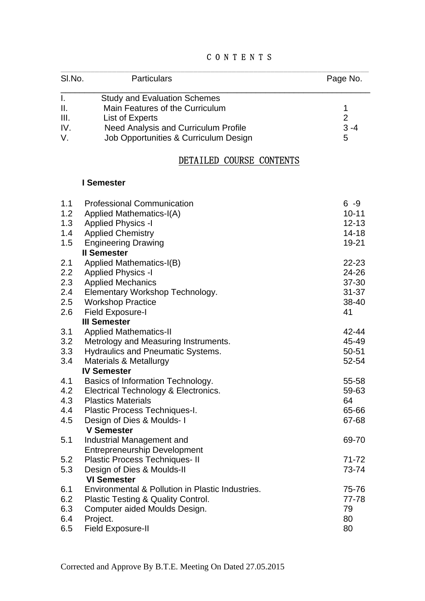|  | CONTENTS |  |  |  |
|--|----------|--|--|--|
|  |          |  |  |  |

| SI.No.         | <b>Particulars</b>                    | Page No. |
|----------------|---------------------------------------|----------|
|                | <b>Study and Evaluation Schemes</b>   |          |
| $\mathbb{I}$ . | Main Features of the Curriculum       |          |
| III.           | List of Experts                       | 2        |
| IV.            | Need Analysis and Curriculum Profile  | $3 - 4$  |
|                | Job Opportunities & Curriculum Design | 5        |

# DETAILED COURSE CONTENTS

# **I Semester**

| 1.1<br>1.2<br>1.3<br>1.4<br>1.5 | <b>Professional Communication</b><br>Applied Mathematics-I(A)<br><b>Applied Physics -I</b><br><b>Applied Chemistry</b><br><b>Engineering Drawing</b> | $6 - 9$<br>$10 - 11$<br>$12 - 13$<br>$14 - 18$<br>19-21 |
|---------------------------------|------------------------------------------------------------------------------------------------------------------------------------------------------|---------------------------------------------------------|
|                                 | <b>II Semester</b>                                                                                                                                   |                                                         |
| 2.1                             | Applied Mathematics-I(B)                                                                                                                             | 22-23                                                   |
| 2.2                             | <b>Applied Physics -I</b>                                                                                                                            | 24-26                                                   |
| 2.3                             | <b>Applied Mechanics</b>                                                                                                                             | 37-30                                                   |
| 2.4                             | Elementary Workshop Technology.                                                                                                                      | $31 - 37$                                               |
| 2.5                             | <b>Workshop Practice</b>                                                                                                                             | 38-40                                                   |
| 2.6                             | <b>Field Exposure-I</b>                                                                                                                              | 41                                                      |
|                                 | <b>III Semester</b>                                                                                                                                  |                                                         |
| 3.1                             | <b>Applied Mathematics-II</b>                                                                                                                        | 42-44                                                   |
| 3.2                             | Metrology and Measuring Instruments.                                                                                                                 | 45-49                                                   |
| 3.3                             | <b>Hydraulics and Pneumatic Systems.</b>                                                                                                             | $50 - 51$                                               |
| 3.4                             | Materials & Metallurgy                                                                                                                               | 52-54                                                   |
|                                 | <b>IV Semester</b>                                                                                                                                   |                                                         |
| 4.1                             | Basics of Information Technology.                                                                                                                    | 55-58                                                   |
| 4.2                             | Electrical Technology & Electronics.                                                                                                                 | 59-63                                                   |
| 4.3                             | <b>Plastics Materials</b>                                                                                                                            | 64                                                      |
| 4.4                             | Plastic Process Techniques-I.                                                                                                                        | 65-66                                                   |
| 4.5                             | Design of Dies & Moulds-1                                                                                                                            | 67-68                                                   |
|                                 | <b>V Semester</b>                                                                                                                                    |                                                         |
| 5.1                             | Industrial Management and                                                                                                                            | 69-70                                                   |
|                                 | <b>Entrepreneurship Development</b>                                                                                                                  |                                                         |
| 5.2                             | Plastic Process Techniques- II                                                                                                                       | $71 - 72$                                               |
| 5.3                             | Design of Dies & Moulds-II                                                                                                                           | 73-74                                                   |
|                                 | <b>VI Semester</b>                                                                                                                                   |                                                         |
| 6.1                             | Environmental & Pollution in Plastic Industries.                                                                                                     | 75-76                                                   |
| 6.2                             | Plastic Testing & Quality Control.                                                                                                                   | 77-78                                                   |
| 6.3                             | Computer aided Moulds Design.                                                                                                                        | 79                                                      |
| 6.4                             | Project.                                                                                                                                             | 80                                                      |
| 6.5                             | <b>Field Exposure-II</b>                                                                                                                             | 80                                                      |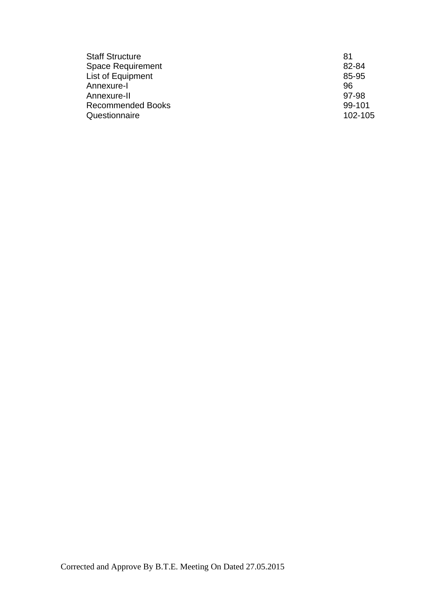| <b>Staff Structure</b>   | 81      |
|--------------------------|---------|
| <b>Space Requirement</b> | 82-84   |
| List of Equipment        | 85-95   |
| Annexure-I               | 96      |
| Annexure-II              | 97-98   |
| <b>Recommended Books</b> | 99-101  |
| Questionnaire            | 102-105 |
|                          |         |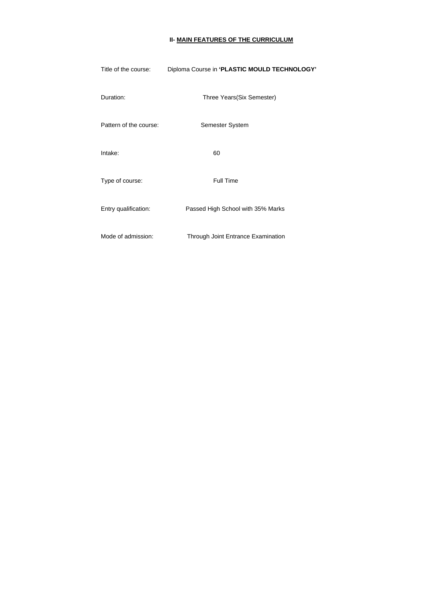# **II- MAIN FEATURES OF THE CURRICULUM**

| Title of the course:   | Diploma Course in 'PLASTIC MOULD TECHNOLOGY' |
|------------------------|----------------------------------------------|
| Duration:              | Three Years(Six Semester)                    |
| Pattern of the course: | <b>Semester System</b>                       |
| Intake:                | 60                                           |
| Type of course:        | <b>Full Time</b>                             |
| Entry qualification:   | Passed High School with 35% Marks            |
| Mode of admission:     | <b>Through Joint Entrance Examination</b>    |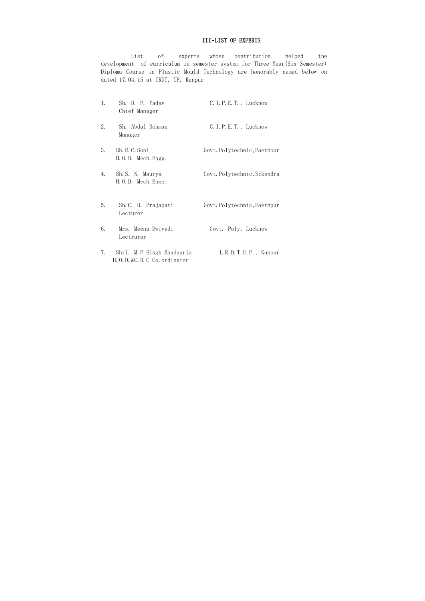# III**-**LIST OF EXPERTS

 List of experts whose contribution helped the development of curriculum in semester system for Three Year(Six Semester) Diploma Course in Plastic Mould Technology are honorably named below on dated 17.04.15 at IRDT, UP, Kanpur

| 1. | Sh. D. P. Yadav<br>Chief Manager                          | $C. I. P. E. T.$ , Lucknow  |
|----|-----------------------------------------------------------|-----------------------------|
| 2. | Sh. Abdul Rehman<br>Manager                               | C. I. P. E. T., Lucknow     |
| 3. | Sh. R. C. Soni<br>H.O.D. Mech. Engg.                      | Govt. Polytechnic, Faethpur |
| 4. | Sh.S. N. Maurya<br>H.O.D. Mech. Engg.                     | Govt. Polytechnic, Sikendra |
| 5. | Sh. C. B. Prajapati<br>Lecturer                           | Govt. Polytechnic, Faethpur |
| 6. | Mrs. Meenu Dwivedi<br>Lectrurer                           | Govt. Poly, Lucknow         |
| 7. | Shri. M.P.Singh Bhadauria<br>H.O.D. & C.D.C Co. ordinator | I.R.D.T.U.P., Kanpur        |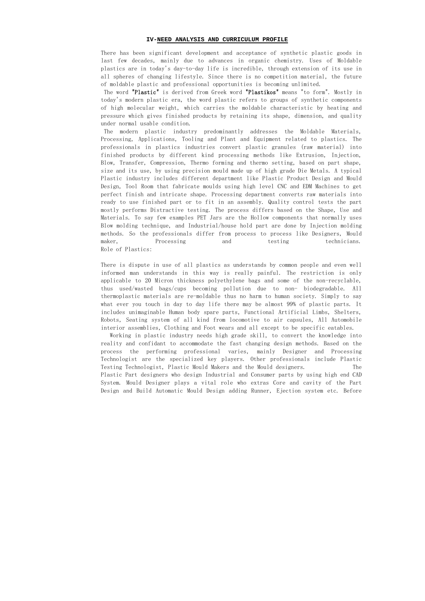#### **IV-NEED ANALYSIS AND CURRICULUM PROFILE**

There has been significant development and acceptance of synthetic plastic goods in last few decades, mainly due to advances in organic chemistry. Uses of Moldable plastics are in today's day-to-day life is incredible, through extension of its use in all spheres of changing lifestyle. Since there is no competition material, the future of moldable plastic and professional opportunities is becoming unlimited.

 The word "Plastic" is derived from Greek word "Plastikos" means "to form". Mostly in today's modern plastic era, the word plastic refers to groups of synthetic components of high molecular weight, which carries the moldable characteristic by heating and pressure which gives finished products by retaining its shape, dimension, and quality under normal usable condition.

 The modern plastic industry predominantly addresses the Moldable Materials, Processing, Applications, Tooling and Plant and Equipment related to plastics. The professionals in plastics industries convert plastic granules (raw material) into finished products by different kind processing methods like Extrusion, Injection, Blow, Transfer, Compression, Thermo forming and thermo setting, based on part shape, size and its use, by using precision mould made up of high grade Die Metals. A typical Plastic industry includes different department like Plastic Product Design and Mould Design, Tool Room that fabricate moulds using high level CNC and EDM Machines to get perfect finish and intricate shape. Processing department converts raw materials into ready to use finished part or to fit in an assembly. Quality control tests the part mostly performs Distractive testing. The process differs based on the Shape, Use and Materials. To say few examples PET Jars are the Hollow components that normally uses Blow molding technique, and Industrial/house hold part are done by Injection molding methods. So the professionals differ from process to process like Designers, Mould maker, Processing and testing technicians. Role of Plastics:

There is dispute in use of all plastics as understands by common people and even well informed man understands in this way is really painful. The restriction is only applicable to 20 Micron thickness polyethylene bags and some of the non-recyclable, thus used/wasted bags/cups becoming pollution due to non- biodegradable. All thermoplastic materials are re-moldable thus no harm to human society. Simply to say what ever you touch in day to day life there may be almost 99% of plastic parts. It includes unimaginable Human body spare parts, Functional Artificial Limbs, Shelters, Robots, Seating system of all kind from locomotive to air capsules, All Automobile interior assemblies, Clothing and Foot wears and all except to be specific eatables.

 Working in plastic industry needs high grade skill, to convert the knowledge into reality and confidant to accommodate the fast changing design methods. Based on the process the performing professional varies, mainly Designer and Processing Technologist are the specialized key players. Other professionals include Plastic Testing Technologist, Plastic Mould Makers and the Mould designers. The Plastic Part designers who design Industrial and Consumer parts by using high end CAD System. Mould Designer plays a vital role who extras Core and cavity of the Part Design and Build Automatic Mould Design adding Runner, Ejection system etc. Before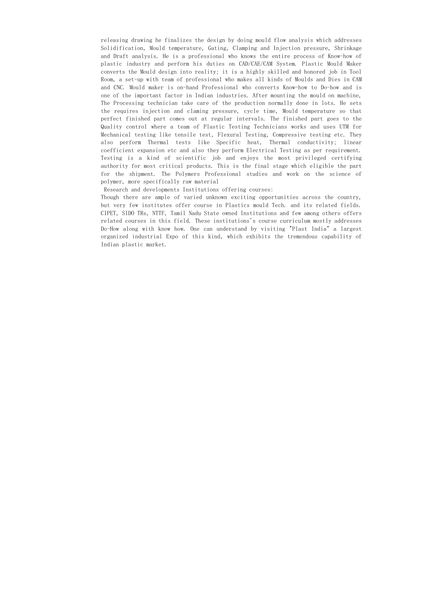releasing drawing he finalizes the design by doing mould flow analysis which addresses Solidification, Mould temperature, Gating, Clamping and Injection pressure, Shrinkage and Draft analysis. He is a professional who knows the entire process of Know-how of plastic industry and perform his duties on CAD/CAE/CAM System. Plastic Mould Maker converts the Mould design into reality; it is a highly skilled and honored job in Tool Room, a set-up with team of professional who makes all kinds of Moulds and Dies in CAM and CNC. Mould maker is on-hand Professional who converts Know-how to Do-how and is one of the important factor in Indian industries. After mounting the mould on machine, The Processing technician take care of the production normally done in lots. He sets the requires injection and claming pressure, cycle time, Mould temperature so that perfect finished part comes out at regular intervals. The finished part goes to the Quality control where a team of Plastic Testing Technicians works and uses UTM for Mechanical testing like tensile test, Flexural Testing, Compressive testing etc. They also perform Thermal tests like Specific heat, Thermal conductivity; linear coefficient expansion etc and also they perform Electrical Testing as per requirement. Testing is a kind of scientific job and enjoys the most privileged certifying authority for most critical products. This is the final stage which eligible the part for the shipment. The Polymers Professional studies and work on the science of polymer, more specifically raw material

Research and developments Institutions offering courses:

Though there are ample of varied unknown exciting opportunities across the country, but very few institutes offer course in Plastics mould Tech. and its related fields. CIPET, SIDO TRs, NTTF, Tamil Nadu State owned Institutions and few among others offers related courses in this field. These institutions's course curriculum mostly addresses Do-How along with know how. One can understand by visiting "Plast India" a largest organized industrial Expo of this kind, which exhibits the tremendous capability of Indian plastic market.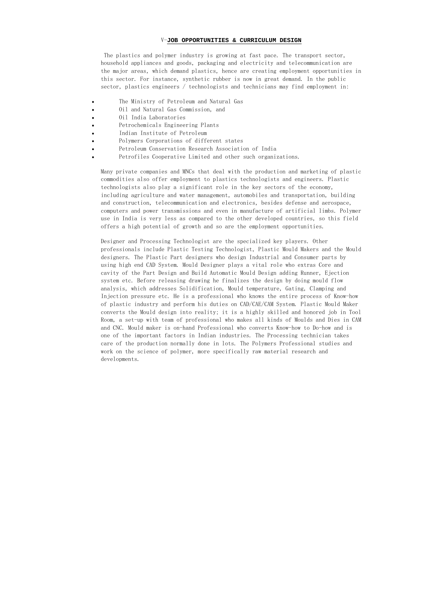### V-**JOB OPPORTUNITIES & CURRICULUM DESIGN**

 The plastics and polymer industry is growing at fast pace. The transport sector, household appliances and goods, packaging and electricity and telecommunication are the major areas, which demand plastics, hence are creating employment opportunities in this sector. For instance, synthetic rubber is now in great demand. In the public sector, plastics engineers / technologists and technicians may find employment in:

- The Ministry of Petroleum and Natural Gas
- Oil and Natural Gas Commission, and
- Oil India Laboratories
- Petrochemicals Engineering Plants
- Indian Institute of Petroleum
- Polymers Corporations of different states
- Petroleum Conservation Research Association of India
- Petrofiles Cooperative Limited and other such organizations.

Many private companies and MNCs that deal with the production and marketing of plastic commodities also offer employment to plastics technologists and engineers. Plastic technologists also play a significant role in the key sectors of the economy, including agriculture and water management, automobiles and transportation, building and construction, telecommunication and electronics, besides defense and aerospace, computers and power transmissions and even in manufacture of artificial limbs. Polymer use in India is very less as compared to the other developed countries, so this field offers a high potential of growth and so are the employment opportunities.

Designer and Processing Technologist are the specialized key players. Other professionals include Plastic Testing Technologist, Plastic Mould Makers and the Mould designers. The Plastic Part designers who design Industrial and Consumer parts by using high end CAD System. Mould Designer plays a vital role who extras Core and cavity of the Part Design and Build Automatic Mould Design adding Runner, Ejection system etc. Before releasing drawing he finalizes the design by doing mould flow analysis, which addresses Solidification, Mould temperature, Gating, Clamping and Injection pressure etc. He is a professional who knows the entire process of Know-how of plastic industry and perform his duties on CAD/CAE/CAM System. Plastic Mould Maker converts the Mould design into reality; it is a highly skilled and honored job in Tool Room, a set-up with team of professional who makes all kinds of Moulds and Dies in CAM and CNC. Mould maker is on-hand Professional who converts Know-how to Do-how and is one of the important factors in Indian industries. The Processing technician takes care of the production normally done in lots. The Polymers Professional studies and work on the science of polymer, more specifically raw material research and developments.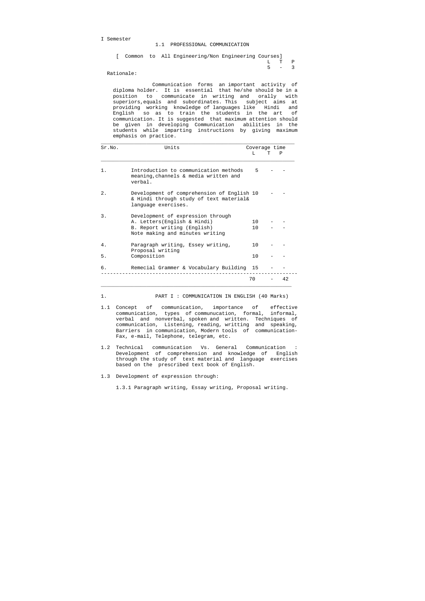I Semester

|  |  | [ Common to All Engineering/Non Engineering Courses] |  |         |  |
|--|--|------------------------------------------------------|--|---------|--|
|  |  |                                                      |  | T, TP   |  |
|  |  |                                                      |  | $5 - 3$ |  |

Rationale:

 Communication forms an important activity of diploma holder. It is essential that he/she should be in a position to communicate in writing and orally with superiors,equals and subordinates. This subject aims at providing working knowledge of languages like Hindi and English so as to train the students in the art of communication. It is suggested that maximum attention should be given in developing Communication abilities in the students while imparting instructions by giving maximum emphasis on practice.

| Sr.NO. | Units                                                                                                                               | Coverage time |   |    |
|--------|-------------------------------------------------------------------------------------------------------------------------------------|---------------|---|----|
|        |                                                                                                                                     | T.            | Τ | P  |
| $1$ .  | Introduction to communication methods<br>meaning, channels & media written and<br>verbal.                                           | 5             |   |    |
| 2.     | Development of comprehension of English 10<br>& Hindi through study of text material&<br>language exercises.                        |               |   |    |
| 3.     | Development of expression through<br>A. Letters (English & Hindi)<br>B. Report writing (English)<br>Note making and minutes writing | 1 N<br>1 O    |   |    |
| 4.     | Paragraph writing, Essey writing,<br>Proposal writing                                                                               | 1 Q           |   |    |
| 5.     | Composition                                                                                                                         | 1 Q           |   |    |
| б.     | Remecial Grammer & Vocabulary Building 15                                                                                           |               |   |    |
|        |                                                                                                                                     | 70            |   | 42 |

1. PART I : COMMUNICATION IN ENGLISH (40 Marks)

- 1.1 Concept of communication, importance of effective communication, types of communucation, formal, informal, verbal and nonverbal, spoken and written. Techniques of communication, Listening, reading, writting and speaking, Barriers in communication, Modern tools of communication- Fax, e-mail, Telephone, telegram, etc.
- 1.2 Technical communication Vs. General Communication : Development of comprehension and knowledge of English through the study of text material and language exercises based on the prescribed text book of English.
- 1.3 Development of expression through:

1.3.1 Paragraph writing, Essay writing, Proposal writing.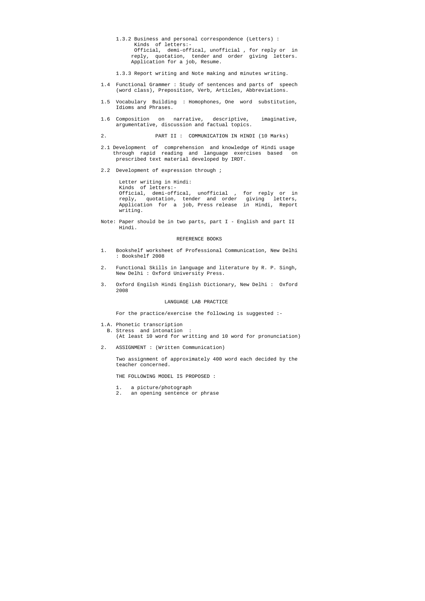- 1.3.2 Business and personal correspondence (Letters) : Kinds of letters:- Official, demi-offical, unofficial , for reply or in reply, quotation, tender and order giving letters. Application for a job, Resume.
- 1.3.3 Report writing and Note making and minutes writing.
- 1.4 Functional Grammer : Study of sentences and parts of speech (word class), Preposition, Verb, Articles, Abbreviations.
- 1.5 Vocabulary Building : Homophones, One word substitution, Idioms and Phrases.
- 1.6 Composition on narrative, descriptive, imaginative, argumentative, discussion and factual topics.
- 2. PART II : COMMUNICATION IN HINDI (10 Marks)
- 2.1 Development of comprehension and knowledge of Hindi usage through rapid reading and language exercises based on prescribed text material developed by IRDT.
- 2.2 Development of expression through ;

 Letter writing in Hindi: Kinds of letters:- Official, demi-offical, unofficial , for reply or in reply, quotation, tender and order giving letters, Application for a job, Press release in Hindi, Report writing.

Note: Paper should be in two parts, part I - English and part II Hindi.

#### REFERENCE BOOKS

- 1. Bookshelf worksheet of Professional Communication, New Delhi : Bookshelf 2008
- 2. Functional Skills in language and literature by R. P. Singh, New Delhi : Oxford University Press.
- 3. Oxford Engilsh Hindi English Dictionary, New Delhi : Oxford 2008

#### LANGUAGE LAB PRACTICE

For the practice/exercise the following is suggested :-

1.A. Phonetic transcription

 B. Stress and intonation : (At least 10 word for writting and 10 word for pronunciation)

2. ASSIGNMENT : (Written Communication)

 Two assignment of approximately 400 word each decided by the teacher concerned.

THE FOLLOWING MODEL IS PROPOSED :

- 1. a picture/photograph
- 2. an opening sentence or phrase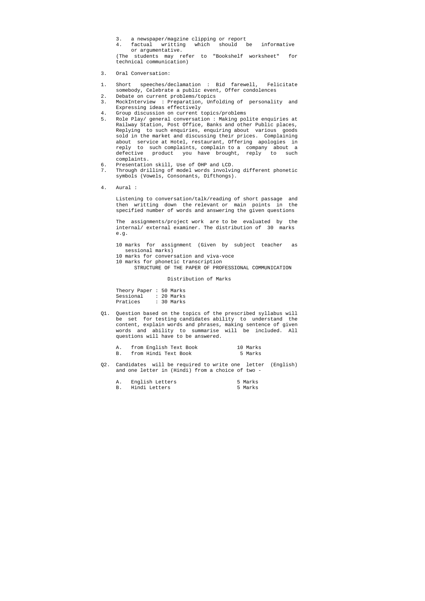- 3. a newspaper/magzine clipping or report
- 4. factual writting which should be informative or argumentative.

 (The students may refer to "Bookshelf worksheet" for technical communication)

- 3. Oral Conversation:
- 1. Short speeches/declamation : Bid farewell, Felicitate somebody, Celebrate a public event, Offer condolences
- 2. Debate on current problems/topics
- 3. MockInterview : Preparation, Unfolding of personality and Expressing ideas effectively
- 4. Group discussion on current topics/problems
- 5. Role Play/ general conversation : Making polite enquiries at Railway Station, Post Office, Banks and other Public places, Replying to such enquiries, enquiring about various goods sold in the market and discussing their prices. Complaining about service at Hotel, restaurant, Offering apologies in reply to such complaints, complain to a company about a defective product you have brought, reply to such complaints.
- 6. Presentation skill, Use of OHP and LCD.
- 7. Through drilling of model words involving different phonetic symbols (Vowels, Consonants, Difthongs).
- 4. Aural :

 Listening to conversation/talk/reading of short passage and then writting down the relevant or main points in the specified number of words and answering the given questions

 The assignments/project work are to be evaluated by the internal/ external examiner. The distribution of 30 marks e.g.

- 10 marks for assignment (Given by subject teacher as sessional marks)
- 10 marks for conversation and viva-voce
- 10 marks for phonetic transcription STRUCTURE OF THE PAPER OF PROFESSIONAL COMMUNICATION

Distribution of Marks

| Theory Paper : 50 Marks |  |            |
|-------------------------|--|------------|
| Sessional               |  | : 20 Marks |
| Pratices                |  | : 30 Marks |

Q1. Question based on the topics of the prescribed syllabus will be set for testing candidates ability to understand the content, explain words and phrases, making sentence of given words and ability to summarise will be included. All questions will have to be answered.

| from English Text Book | 10 Marks |
|------------------------|----------|
| from Hindi Text Book   | 5 Marks  |

Q2. Candidates will be required to write one letter (English) and one letter in (Hindi) from a choice of two -

| English Letters | 5 Marks |
|-----------------|---------|
| Hindi Letters   | 5 Marks |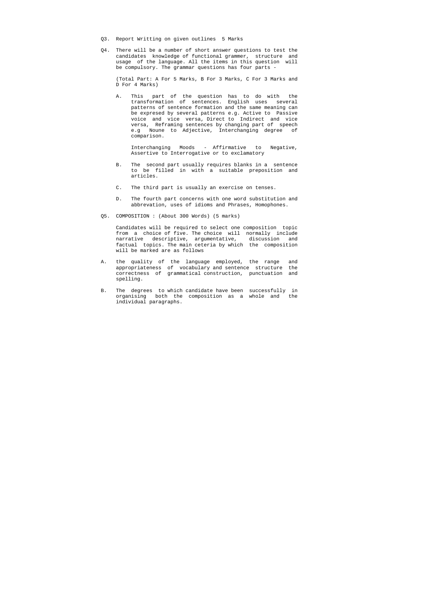- Q3. Report Writting on given outlines 5 Marks
- Q4. There will be a number of short answer questions to test the candidates knowledge of functional grammer, structure and usage of the language. All the items in this question will be compulsory. The grammar questions has four parts -

 (Total Part: A For 5 Marks, B For 3 Marks, C For 3 Marks and D For 4 Marks)

 A. This part of the question has to do with the transformation of sentences. English uses several patterns of sentence formation and the same meaning can be expresed by several patterns e.g. Active to Passive voice and vice versa, Direct to Indirect and vice versa, Reframing sentences by changing part of speech e.g Noune to Adjective, Interchanging degree of comparison.

 Interchanging Moods - Affirmative to Negative, Assertive to Interrogative or to exclamatory

- B. The second part usually requires blanks in a sentence to be filled in with a suitable preposition and articles.
- C. The third part is usually an exercise on tenses.
- D. The fourth part concerns with one word substitution and abbrevation, uses of idioms and Phrases, Homophones.
- Q5. COMPOSITION : (About 300 Words) (5 marks)

 Candidates will be required to select one composition topic from a choice of five. The choice will normally include narrative descriptive, argumentative, discussion and factual topics. The main ceteria by which the composition will be marked are as follows

- A. the quality of the language employed, the range and appropriateness of vocabulary and sentence structure the correctness of grammatical construction, punctuation and spelling.
- B. The degrees to which candidate have been successfully in organising both the composition as a whole and the individual paragraphs.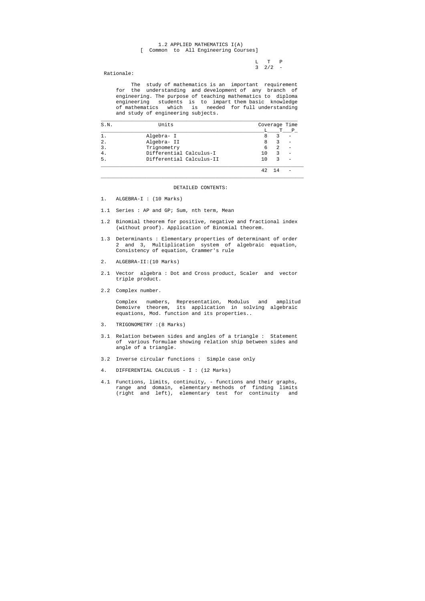L T P  $3 \t2/2 -$ 

#### 1.2 APPLIED MATHEMATICS I(A) [ Common to All Engineering Courses]

Rationale:

 The study of mathematics is an important requirement for the understanding and development of any branch of engineering. The purpose of teaching mathematics to diploma engineering students is to impart them basic knowledge of mathematics which is needed for full understanding and study of engineering subjects.

| S.N.             | Units                    |         | Coverage Time |              |
|------------------|--------------------------|---------|---------------|--------------|
|                  |                          | L       | т             | $\mathbf{P}$ |
|                  | Algebra- I               | 8       | 3             |              |
| $\overline{2}$ . | Algebra- II              | 8       |               |              |
| 3.               | Trignometry              | 6       | 2             |              |
|                  | Differential Calculus-I  | 10      |               |              |
| 5.               | Differential Calculus-II | $10 \,$ | ς             |              |
|                  |                          | 42      | -14           |              |

#### DETAILED CONTENTS:

- 1. ALGEBRA-I : (10 Marks)
- 1.1 Series : AP and GP; Sum, nth term, Mean
- 1.2 Binomial theorem for positive, negative and fractional index (without proof). Application of Binomial theorem.
- 1.3 Determinants : Elementary properties of determinant of order 2 and 3, Multiplication system of algebraic equation, Consistency of equation, Crammer's rule
- 2. ALGEBRA-II:(10 Marks)
- 2.1 Vector algebra : Dot and Cross product, Scaler and vector triple product.
- 2.2 Complex number.

 Complex numbers, Representation, Modulus and amplitud Demoivre theorem, its application in solving algebraic equations, Mod. function and its properties..

- 3. TRIGONOMETRY :(8 Marks)
- 3.1 Relation between sides and angles of a triangle : Statement of various formulae showing relation ship between sides and angle of a triangle.
- 3.2 Inverse circular functions : Simple case only
- 4. DIFFERENTIAL CALCULUS I : (12 Marks)
- 4.1 Functions, limits, continuity, functions and their graphs, range and domain, elementary methods of finding limits (right and left), elementary test for continuity and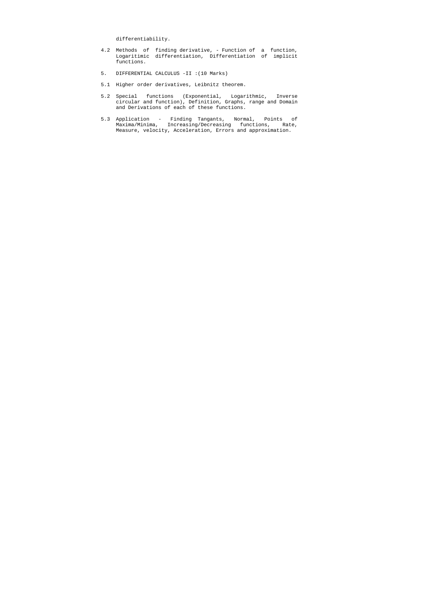differentiability.

- 4.2 Methods of finding derivative, Function of a function, Logaritimic differentiation, Differentiation of implicit functions.
- 5. DIFFERENTIAL CALCULUS -II :(10 Marks)
- 5.1 Higher order derivatives, Leibnitz theorem.
- 5.2 Special functions (Exponential, Logarithmic, Inverse circular and function), Definition, Graphs, range and Domain and Derivations of each of these functions.
- 5.3 Application Finding Tangants, Normal, Points of Maxima/Minima, Increasing/Decreasing functions, Rate, Measure, velocity, Acceleration, Errors and approximation.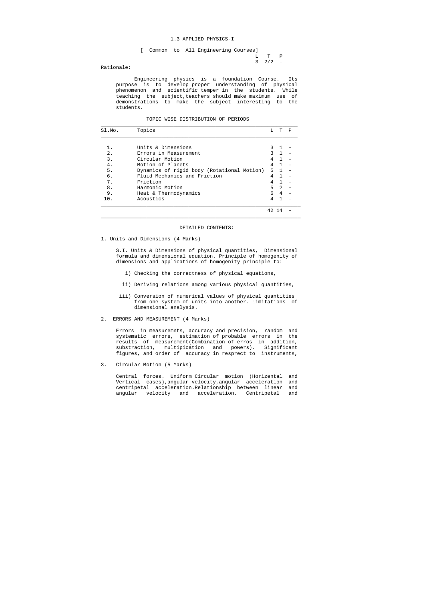#### 1.3 APPLIED PHYSICS-I

 L T P  $3 \t2/2 -$ 

[ Common to All Engineering Courses]

Rationale:

 Engineering physics is a foundation Course. Its purpose is to develop proper understanding of physical phenomenon and scientific temper in the students. While teaching the subject, teachers should make maximum use of demonstrations to make the subject interesting to the students.

#### TOPIC WISE DISTRIBUTION OF PERIODS

| SI.NO. | Topics                                     | т.            | T              | P |
|--------|--------------------------------------------|---------------|----------------|---|
|        |                                            |               |                |   |
|        | Units & Dimensions                         |               |                |   |
| $2$ .  | Errors in Measurement                      | $\mathcal{L}$ | $\mathbf{1}$   |   |
| 3.     | Circular Motion                            | 4             |                |   |
| 4.     | Motion of Planets                          | 4             | $\mathbf{1}$   |   |
| 5.     | Dynamics of rigid body (Rotational Motion) | 5.            | $\overline{1}$ |   |
| б.     | Fluid Mechanics and Friction               | 4             |                |   |
| 7.     | Friction                                   | 4             |                |   |
| 8.     | Harmonic Motion                            | 5             | $\mathfrak{D}$ |   |
| 9.     | Heat & Thermodynamics                      | 6             | $\overline{4}$ |   |
| 10.    | Acoustics                                  |               |                |   |
|        |                                            |               |                |   |

#### DETAILED CONTENTS:

 $\_$  ,  $\_$  ,  $\_$  ,  $\_$  ,  $\_$  ,  $\_$  ,  $\_$  ,  $\_$  ,  $\_$  ,  $\_$  ,  $\_$  ,  $\_$  ,  $\_$  ,  $\_$  ,  $\_$  ,  $\_$  ,  $\_$  ,  $\_$  ,  $\_$  ,  $\_$  ,  $\_$  ,  $\_$  ,  $\_$  ,  $\_$  ,  $\_$  ,  $\_$  ,  $\_$  ,  $\_$  ,  $\_$  ,  $\_$  ,  $\_$  ,  $\_$  ,  $\_$  ,  $\_$  ,  $\_$  ,  $\_$  ,  $\_$  ,

1. Units and Dimensions (4 Marks)

 S.I. Units & Dimensions of physical quantities, Dimensional formula and dimensional equation. Principle of homogenity of dimensions and applications of homogenity principle to:

- i) Checking the correctness of physical equations,
- ii) Deriving relations among various physical quantities,
- iii) Conversion of numerical values of physical quantities from one system of units into another. Limitations of dimensional analysis.
- 2. ERRORS AND MEASUREMENT (4 Marks)

 Errors in measuremnts, accuracy and precision, random and systematic errors, estimation of probable errors in the results of measurement(Combination of erros in addition, substraction, multipication and powers). Significant figures, and order of accuracy in resprect to instruments,

3. Circular Motion (5 Marks)

 Central forces. Uniform Circular motion (Horizental and Vertical cases),angular velocity,angular acceleration and centripetal acceleration.Relationship between linear and angular velocity and acceleration. Centripetal and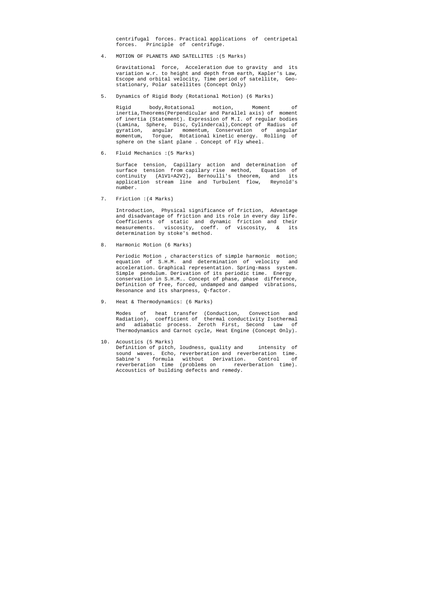centrifugal forces. Practical applications of centripetal forces. Principle of centrifuge.

4. MOTION OF PLANETS AND SATELLITES :(5 Marks)

 Gravitational force, Acceleration due to gravity and its variation w.r. to height and depth from earth, Kapler's Law, Escope and orbital velocity, Time period of satellite, Geo stationary, Polar satellites (Concept Only)

5. Dynamics of Rigid Body (Rotational Motion) (6 Marks)

 Rigid body,Rotational motion, Moment of inertia,Theorems(Perpendicular and Parallel axis) of moment of inertia (Statement). Expression of M.I. of regular bodies (Lamina, Sphere, Disc, Cylindercal),Concept of Radius of gyration, angular momentum, Conservation of angular momentum, Torque, Rotational kinetic energy. Rolling of sphere on the slant plane . Concept of Fly wheel.

6. Fluid Mechanics :(5 Marks)

 Surface tension, Capillary action and determination of surface tension from capilary rise method, Equation of continuity (A1V1=A2V2), Bernoulli's theorem, and its application stream line and Turbulent flow, Reynold's number.

7. Friction :(4 Marks)

 Introduction, Physical significance of friction, Advantage and disadvantage of friction and its role in every day life. Coefficients of static and dynamic friction and their measurements. viscosity, coeff. of viscosity, & its determination by stoke's method.

8. Harmonic Motion (6 Marks)

 Periodic Motion , characterstics of simple harmonic motion; equation of S.H.M. and determination of velocity and acceleration. Graphical representation. Spring-mass system. Simple pendulum. Derivation of its periodic time. Energy conservation in S.H.M.. Concept of phase, phase difference, Definition of free, forced, undamped and damped vibrations, Resonance and its sharpness, Q-factor.

9. Heat & Thermodynamics: (6 Marks)

 Modes of heat transfer (Conduction, Convection and Radiation), coefficient of thermal conductivity Isothermal and adiabatic process. Zeroth First, Second Law of Thermodynamics and Carnot cycle, Heat Engine (Concept Only).

10. Acoustics (5 Marks)

 Definition of pitch, loudness, quality and intensity of sound waves. Echo, reverberation and reverberation time. Sabine's formula without Derivation. Control of reverberation time (problems on reverberation time). Accoustics of building defects and remedy.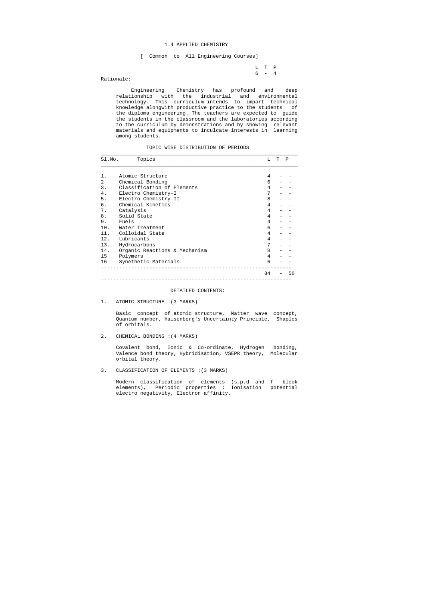#### 1.4 APPLIED CHEMISTRY

[ Common to All Engineering Courses]

 L T P 6 - 4

Rationale:

 Engineering Chemistry has profound and deep relationship with the industrial and environmental technology. This curriculum intends to impart technical knowledge alongwith productive practice to the students of the diploma engineering. The teachers are expected to guide the students in the classroom and the laboratories according to the curriculum by demonstrations and by showing relevant materials and equipments to inculcate interests in learning among students.

TOPIC WISE DISTRIBUTION OF PERIODS

| Sl.No.         | Topics                        | т. | T | P  |
|----------------|-------------------------------|----|---|----|
| 1.             | Atomic Structure              | 4  |   |    |
| $\mathfrak{D}$ | Chemical Bonding              | 6  |   |    |
| 3.             | Classification of Elements    | 4  |   |    |
| 4.             | Electro Chemistry-I           | 7  |   |    |
| 5.             | Electro Chemistry-II          | 8  |   |    |
| б.             | Chemical Kinetics             | 4  |   |    |
| 7.             | Catalysis                     | 4  |   |    |
| 8.             | Solid State                   | 4  |   |    |
| 9.             | Fuels                         | 4  |   |    |
| 10.            | Water Treatment               | 6  |   |    |
| 11.            | Colloidal State               | 4  |   |    |
| 12.            | Lubricants                    | 4  |   |    |
| 13.            | Hydrocarbons                  | 7  |   |    |
| 14.            | Organic Reactions & Mechanism | 8  |   |    |
| 15             | Polymers                      | 4  |   |    |
| 16             | Synethetic Materials          | 6  |   |    |
|                |                               | 84 |   | 56 |

#### DETAILED CONTENTS:

1. ATOMIC STRUCTURE :(3 MARKS)

 Basic concept of atomic structure, Matter wave concept, Quantum number, Haisenberg's Uncertainty Principle, Shaples of orbitals.

2. CHEMICAL BONDING :(4 MARKS)

 Covalent bond, Ionic & Co-ordinate, Hydrogen bonding, Valence bond theory, Hybridisation, VSEPR theory, Molecular orbital theory.

#### 3. CLASSIFICATION OF ELEMENTS :(3 MARKS)

 Modern classification of elements (s,p,d and f blcok elements), Periodic properties : Ionisation potential electro negativity, Electron affinity.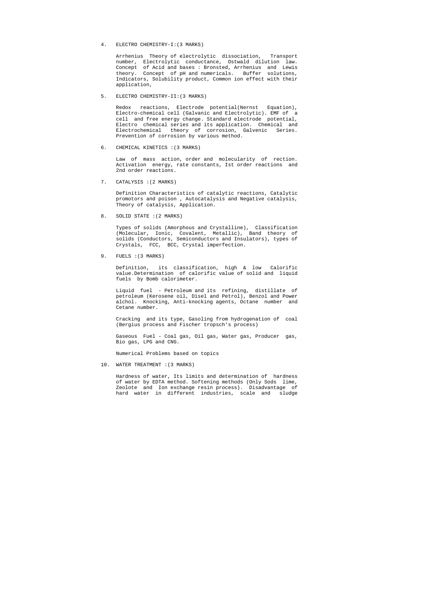4. ELECTRO CHEMISTRY-I:(3 MARKS)

 Arrhenius Theory of electrolytic dissociation, Transport number, Electrolytic conductance, Ostwald dilution law. Concept of Acid and bases : Bronsted, Arrhenius and Lewis theory. Concept of pH and numericals. Buffer solutions, Indicators, Solubility product, Common ion effect with their application,

5. ELECTRO CHEMISTRY-II:(3 MARKS)

 Redox reactions, Electrode potential(Nernst Equation), Electro-chemical cell (Galvanic and Electrolytic). EMF of a cell and free energy change. Standard electrode potential, Electro chemical series and its application. Chemical and Electrochemical theory of corrosion, Galvenic Series. Prevention of corrosion by various method.

6. CHEMICAL KINETICS :(3 MARKS)

 Law of mass action, order and molecularity of rection. Activation energy, rate constants, Ist order reactions and 2nd order reactions.

7. CATALYSIS :(2 MARKS)

 Definition Characteristics of catalytic reactions, Catalytic promotors and poison , Autocatalysis and Negative catalysis, Theory of catalysis, Application.

8. SOLID STATE :(2 MARKS)

 Types of solids (Amorphous and Crystalline), Classification (Molecular, Ionic, Covalent, Metallic), Band theory of solids (Conductors, Semiconductors and Insulators), types of Crystals, FCC, BCC, Crystal imperfection.

9. FUELS : (3 MARKS)

 Definition, its classification, high & low Calorific value.Determination of calorific value of solid and liquid fuels by Bomb calorimeter.

 Liquid fuel - Petroleum and its refining, distillate of petroleum (Kerosene oil, Disel and Petrol), Benzol and Power alchol. Knocking, Anti-knocking agents, Octane number and Cetane number.

 Cracking and its type, Gasoling from hydrogenation of coal (Bergius process and Fischer tropsch's process)

 Gaseous Fuel - Coal gas, Oil gas, Water gas, Producer gas, Bio gas, LPG and CNG.

Numerical Problems based on topics

10. WATER TREATMENT :(3 MARKS)

 Hardness of water, Its limits and determination of hardness of water by EDTA method. Softening methods (Only Sods lime, Zeolote and Ion exchange resin process). Disadvantage of hard water in different industries, scale and sludge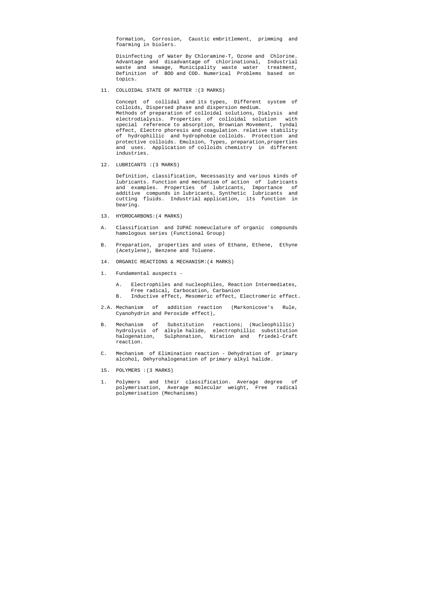formation, Corrosion, Caustic embritlement, primming and foarming in biolers.

 Disinfecting of Water By Chloramine-T, Ozone and Chlorine. Advantage and disadvantage of chlorinational, Industrial waste and sewage, Municipality waste water treatment, Definition of BOD and COD. Numerical Problems based on topics.

11. COLLOIDAL STATE OF MATTER :(3 MARKS)

 Concept of collidal and its types, Different system of colloids, Dispersed phase and dispersion medium. Methods of preparation of colloidal solutions, Dialysis and electrodialysis. Properties of colloidal solution with special reference to absorption, Brownian Movement, tyndal effect, Electro phoresis and coagulation. relative stability of hydrophillic and hydrophobie colloids. Protection and protective colloids. Emulsion, Types, preparation,properties and uses. Application of colloids chemistry in different industries.

12. LUBRICANTS :(3 MARKS)

 Definition, classification, Necessasity and various kinds of lubricants. Function and mechanism of action of lubricants and examples. Properties of lubricants, Importance of additive compunds in lubricants, Synthetic lubricants and cutting fluids. Industrial application, its function in bearing.

- 13. HYDROCARBONS:(4 MARKS)
- A. Classification and IUPAC nomeuclature of organic compounds hamologous series (Functional Group)
- B. Preparation, properties and uses of Ethane, Ethene, Ethyne (Acetylene), Benzene and Toluene.
- 14. ORGANIC REACTIONS & MECHANISM:(4 MARKS)
- 1. Fundamental auspects
	- A. Electrophiles and nucleophiles, Reaction Intermediates, Free radical, Carbocation, Carbanion
	- B. Inductive effect, Mesomeric effect, Electromeric effect.
- 2.A. Mechanism of addition reaction (Markonicove's Rule, Cyanohydrin and Peroxide effect),
- B. Mechanism of Substitution reactions; (Nucleophillic) hydrolysis of alkyle halide, electrophillic substitution halogenation, Sulphonation, Niration and friedel-Craft reaction.
- C. Mechanism of Elimination reaction Dehydration of primary alcohol, Dehyrohalogenation of primary alkyl halide.
- 15. POLYMERS :(3 MARKS)
- 1. Polymers and their classification. Average degree of polymerisation, Average molecular weight, Free radical polymerisation (Mechanisms)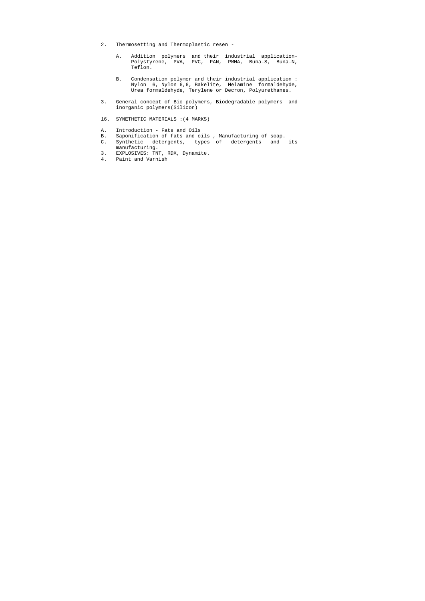- 2. Thermosetting and Thermoplastic resen
	- A. Addition polymers and their industrial application- Polystyrene, PVA, PVC, PAN, PMMA, Buna-S, Buna-N, Teflon.
- B. Condensation polymer and their industrial application : Nylon 6, Nylon 6,6, Bakelite, Melamine formaldehyde, Urea formaldehyde, Terylene or Decron, Polyurethanes.
- 3. General concept of Bio polymers, Biodegradable polymers and inorganic polymers(Silicon)
- 16. SYNETHETIC MATERIALS :(4 MARKS)
- A. Introduction Fats and Oils
- B. Saponification of fats and oils , Manufacturing of soap.
- C. Synthetic detergents, types of detergents and its manufacturing.
- 3. EXPLOSIVES: TNT, RDX, Dynamite.
- 4. Paint and Varnish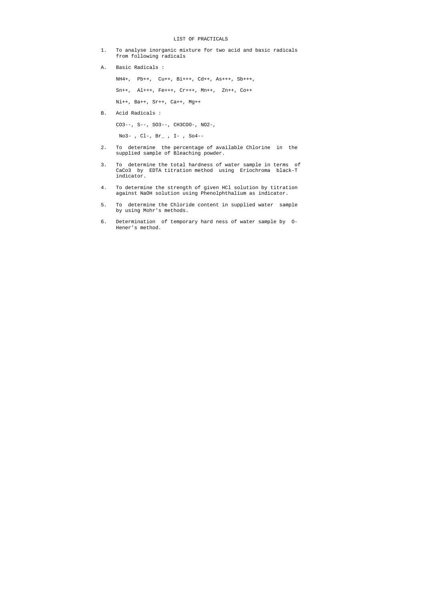#### LIST OF PRACTICALS

- 1. To analyse inorganic mixture for two acid and basic radicals from following radicals
- A. Basic Radicals :

NH4+, Pb++, Cu++, Bi+++, Cd++, As+++, Sb+++,

Sn++, Al+++, Fe+++, Cr+++, Mn++, Zn++, Co++

Ni++, Ba++, Sr++, Ca++, Mg++

B. Acid Radicals :

CO3--, S--, SO3--, CH3COO-, NO2-,

No3- , Cl-, Br\_ , I- , So4--

- 2. To determine the percentage of available Chlorine in the supplied sample of Bleaching powder.
- 3. To determine the total hardness of water sample in terms of CaCo3 by EDTA titration method using Eriochroma black-T indicator.
- 4. To determine the strength of given HCl solution by titration against NaOH solution using Phenolphthalium as indicator.
- 5. To determine the Chloride content in supplied water sample by using Mohr's methods.
- 6. Determination of temporary hard ness of water sample by O- Hener's method.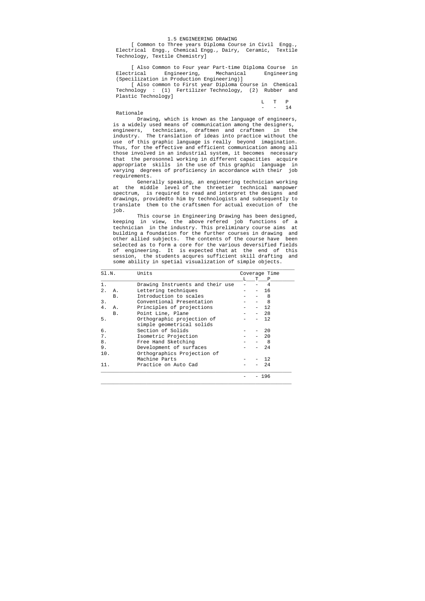#### 1.5 ENGINEERING DRAWING

[ Common to Three years Diploma Course in Civil Engg., Electrical Engg., Chemical Engg., Dairy, Ceramic, Textile Technology, Textile Chemistry]

 [ Also Common to Four year Part-time Diploma Course in Electrical Engineering, Mechanical Engineering (Specilization in Production Engineering)]

 [ Also common to First year Diploma Course in Chemical Technology : (1) Fertilizer Technology, (2) Rubber and Plastic Technology]

| L T P      |  |
|------------|--|
| $- - - 14$ |  |

Rationale

 Drawing, which is known as the language of engineers, is a widely used means of communication among the designers, engineers, technicians, draftmen and craftmen in the industry. The translation of ideas into practice without the use of this graphic language is really beyond imagination. Thus, for the effective and efficient communication among all those involved in an industrial system, it becomes necessary that the perosonnel working in different capacities acquire appropriate skills in the use of this graphic language in varying degrees of proficiency in accordance with their job requirements.

 Generally speaking, an engineering technician working at the middle level of the threetier technical manpower spectrum, is required to read and interpret the designs and drawings, providedto him by technologists and subsequently to translate them to the craftsmen for actual execution of the job.

 This course in Engineering Drawing has been designed, keeping in view, the above refered job functions of a technician in the industry. This preliminary course aims at building a foundation for the further courses in drawing and other allied subjects. The contents of the course have been selected as to form a core for the various deversified fields of engineering. It is expected that at the end of this session, the students acqures sufficient skill drafting and some ability in spetial visualization of simple objects.

| SI.N. |           | Units                            |  | Coverage Time |     |  |  |
|-------|-----------|----------------------------------|--|---------------|-----|--|--|
|       |           |                                  |  | T.            | Ρ   |  |  |
| $1$ . |           | Drawing Instruents and their use |  |               | 4   |  |  |
| 2.    | Α.        | Lettering techniques             |  |               | 16  |  |  |
|       | <b>B.</b> | Introduction to scales           |  |               | 8   |  |  |
| 3.    |           | Conventional Presentation        |  |               | 8   |  |  |
| 4.    | Α.        | Principles of projections        |  |               | 12  |  |  |
|       | <b>B.</b> | Point Line, Plane                |  |               | 28  |  |  |
| 5.    |           | Orthographic projection of       |  |               | 12  |  |  |
|       |           | simple geometrical solids        |  |               |     |  |  |
| б.    |           | Section of Solids                |  |               | 20  |  |  |
| 7.    |           | Isometric Projection             |  |               | 20  |  |  |
| 8.    |           | Free Hand Sketching              |  |               | 8   |  |  |
| 9.    |           | Development of surfaces          |  |               | 24  |  |  |
| 10.   |           | Orthographics Projection of      |  |               |     |  |  |
|       |           | Machine Parts                    |  |               | 12  |  |  |
| 11.   |           | Practice on Auto Cad             |  |               | 24  |  |  |
|       |           |                                  |  |               |     |  |  |
|       |           |                                  |  |               | 196 |  |  |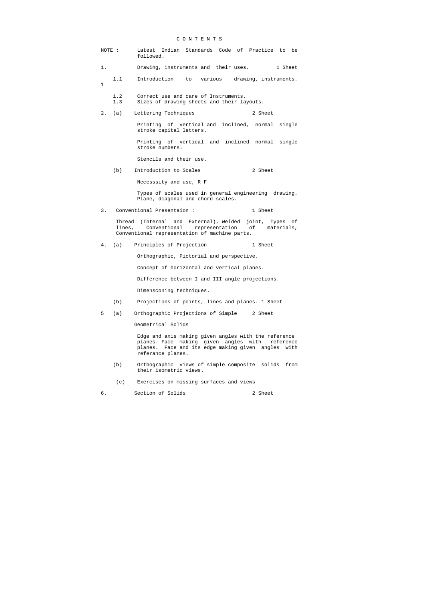## C O N T E N T S

| NOTE : |            | Latest Indian Standards Code of Practice to<br>be<br>followed.                                                                                                                           |
|--------|------------|------------------------------------------------------------------------------------------------------------------------------------------------------------------------------------------|
| 1.     |            | Drawing, instruments and their uses. 1 Sheet                                                                                                                                             |
| 1      | 1.1        | Introduction<br>to various drawing, instruments.                                                                                                                                         |
|        | 1.2<br>1.3 | Correct use and care of Instruments.<br>Sizes of drawing sheets and their layouts.                                                                                                       |
| 2.     | (a)        | Lettering Techniques<br>2 Sheet                                                                                                                                                          |
|        |            | Printing of vertical and inclined, normal single<br>stroke capital letters.                                                                                                              |
|        |            | Printing of vertical and inclined normal single<br>stroke numbers.                                                                                                                       |
|        |            | Stencils and their use.                                                                                                                                                                  |
|        | (b)        | Introduction to Scales<br>2 Sheet                                                                                                                                                        |
|        |            | Necesssity and use, R F                                                                                                                                                                  |
|        |            | Types of scales used in general engineering drawing.<br>Plane, diagonal and chord scales.                                                                                                |
| 3.     |            | Conventional Presentaion:<br>1 Sheet                                                                                                                                                     |
|        |            | Thread (Internal and External), Welded joint, Types of<br>lines, Conventional representation of materials,<br>Conventional representation of machine parts.                              |
| 4.     | (a)        | Principles of Projection<br>1 Sheet                                                                                                                                                      |
|        |            | Orthographic, Pictorial and perspective.                                                                                                                                                 |
|        |            | Concept of horizontal and vertical planes.                                                                                                                                               |
|        |            | Difference between I and III angle projections.                                                                                                                                          |
|        |            | Dimensconing techniques.                                                                                                                                                                 |
|        | (b)        | Projections of points, lines and planes. 1 Sheet                                                                                                                                         |
| 5      | (a)        | Orthographic Projections of Simple<br>2 Sheet                                                                                                                                            |
|        |            | Geometrical Solids                                                                                                                                                                       |
|        |            | Edge and axis making given angles with the reference<br>planes. Face making given angles with<br>reference<br>planes. Face and its edge making given angles<br>with<br>referance planes. |
|        | (b)        | Orthographic views of simple composite solids<br>from<br>their isometric views.                                                                                                          |
|        | (c)        | Exercises on missing surfaces and views                                                                                                                                                  |

6. Section of Solids 2 Sheet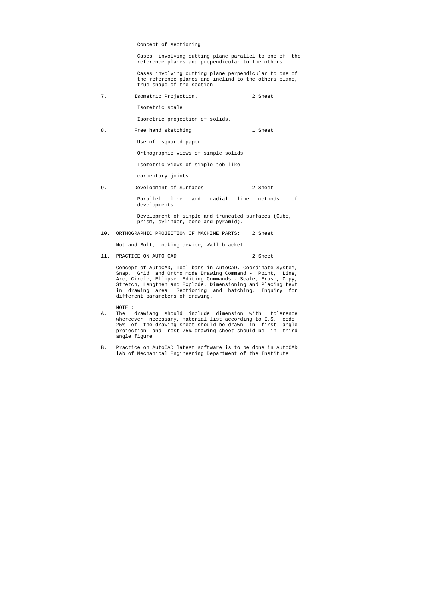#### Concept of sectioning

 Cases involving cutting plane parallel to one of the reference planes and prependicular to the others.

 Cases involving cutting plane perpendicular to one of the reference planes and inclind to the others plane, true shape of the section

7. Isometric Projection. 2 Sheet

Isometric scale

Isometric projection of solids.

8. Free hand sketching 1 Sheet

Use of squared paper

Orthographic views of simple solids

Isometric views of simple job like

carpentary joints

9. Development of Surfaces 2 Sheet

 Parallel line and radial line methods of developments.

 Development of simple and truncated surfaces (Cube, prism, cylinder, cone and pyramid).

10. ORTHOGRAPHIC PROJECTION OF MACHINE PARTS: 2 Sheet

Nut and Bolt, Locking device, Wall bracket

11. PRACTICE ON AUTO CAD : 2 Sheet

 Concept of AutoCAD, Tool bars in AutoCAD, Coordinate System, Snap, Grid and Ortho mode.Drawing Command - Point, Line, Arc, Circle, Ellipse. Editing Commands - Scale, Erase, Copy, Stretch, Lengthen and Explode. Dimensioning and Placing text in drawing area. Sectioning and hatching. Inquiry for different parameters of drawing.

NOTE :

- A. The drawiang should include dimension with tolerence whereever necessary, material list according to I.S. code. 25% of the drawing sheet should be drawn in first angle projection and rest 75% drawing sheet should be in third angle figure
- B. Practice on AutoCAD latest software is to be done in AutoCAD lab of Mechanical Engineering Department of the Institute.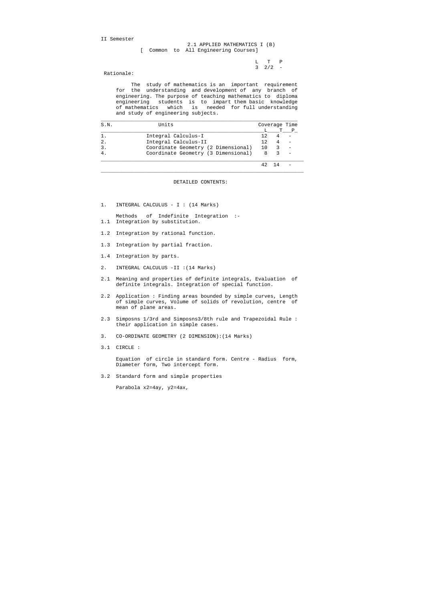II Semester

 L T P  $3 \t2/2 -$ 

#### 2.1 APPLIED MATHEMATICS I (B) [ Common to All Engineering Courses]

Rationale:

 The study of mathematics is an important requirement for the understanding and development of any branch of engineering. The purpose of teaching mathematics to diploma engineering students is to impart them basic knowledge of mathematics which is needed for full understanding and study of engineering subjects.

| S.N.             | Units                               |     | Coverage Time |  |  |
|------------------|-------------------------------------|-----|---------------|--|--|
|                  |                                     |     |               |  |  |
|                  | Integral Calculus-I                 | 12. |               |  |  |
| $\overline{2}$ . | Integral Calculus-II                | 12. |               |  |  |
|                  | Coordinate Geometry (2 Dimensional) | 10  |               |  |  |
|                  | Coordinate Geometry (3 Dimensional) | 8   |               |  |  |
|                  |                                     | 42  | - 14          |  |  |

#### DETAILED CONTENTS:

1. INTEGRAL CALCULUS - I : (14 Marks)

 Methods of Indefinite Integration :- 1.1 Integration by substitution.

- 1.2 Integration by rational function.
- 1.3 Integration by partial fraction.
- 1.4 Integration by parts.
- 2. INTEGRAL CALCULUS -II :(14 Marks)
- 2.1 Meaning and properties of definite integrals, Evaluation of definite integrals. Integration of special function.
- 2.2 Application : Finding areas bounded by simple curves, Length of simple curves, Volume of solids of revolution, centre of mean of plane areas.
- 2.3 Simposns 1/3rd and Simposns3/8th rule and Trapezoidal Rule : their application in simple cases.
- 3. CO-ORDINATE GEOMETRY (2 DIMENSION):(14 Marks)
- 3.1 CIRCLE :

 Equation of circle in standard form. Centre - Radius form, Diameter form, Two intercept form.

3.2 Standard form and simple properties

Parabola x2=4ay, y2=4ax,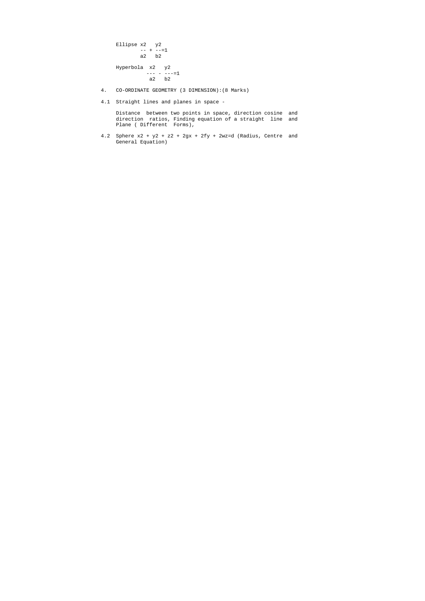```
 Ellipse x2 y2 
-+ -=1 a2 b2 
 Hyperbola x2 y2 
--- - - - -1 a2 b2
```
- 4. CO-ORDINATE GEOMETRY (3 DIMENSION):(8 Marks)
- 4.1 Straight lines and planes in space -

4.2 Sphere  $x^2 + y^2 + z^2 + 2gx + 2fy + 2wz = d$  (Radius, Centre and General Equation)

 Distance between two points in space, direction cosine and direction ratios, Finding equation of a straight line and Plane ( Different Forms),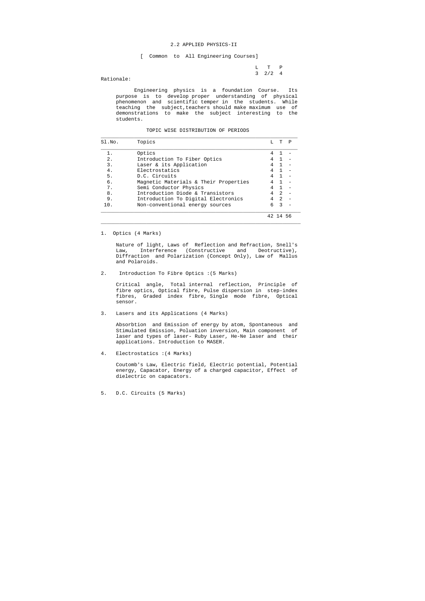#### 2.2 APPLIED PHYSICS-II

[ Common to All Engineering Courses]

 L T P 3 2/2 4

Rationale:

 Engineering physics is a foundation Course. Its purpose is to develop proper understanding of physical phenomenon and scientific temper in the students. While teaching the subject,teachers should make maximum use of demonstrations to make the subject interesting to the students.

#### TOPIC WISE DISTRIBUTION OF PERIODS

| Sl.No. | Topics                                |   | T              | P  |
|--------|---------------------------------------|---|----------------|----|
| $1$ .  | Optics                                |   |                |    |
| $2$ .  | Introduction To Fiber Optics          |   |                |    |
| 3.     | Laser & its Application               | 4 | $\overline{1}$ |    |
| 4.     | Electrostatics                        |   |                |    |
| 5.     | D.C. Circuits                         |   |                |    |
| б.     | Magnetic Materials & Their Properties |   |                |    |
| 7.     | Semi Conductor Physics                |   |                |    |
| 8.     | Introduction Diode & Transistors      |   | $\mathfrak{D}$ |    |
| 9.     | Introduction To Digital Electronics   |   | $\mathcal{L}$  |    |
| 10.    | Non-conventional energy sources       | 6 | 3              |    |
|        |                                       |   |                | 56 |

1. Optics (4 Marks)

 Nature of light, Laws of Reflection and Refraction, Snell's Law, Interference (Constructive and Deotructive), Diffraction and Polarization (Concept Only), Law of Mallus and Polaroids.

 $\_$  ,  $\_$  ,  $\_$  ,  $\_$  ,  $\_$  ,  $\_$  ,  $\_$  ,  $\_$  ,  $\_$  ,  $\_$  ,  $\_$  ,  $\_$  ,  $\_$  ,  $\_$  ,  $\_$  ,  $\_$  ,  $\_$  ,  $\_$  ,  $\_$  ,  $\_$  ,  $\_$  ,  $\_$  ,  $\_$  ,  $\_$  ,  $\_$  ,  $\_$  ,  $\_$  ,  $\_$  ,  $\_$  ,  $\_$  ,  $\_$  ,  $\_$  ,  $\_$  ,  $\_$  ,  $\_$  ,  $\_$  ,  $\_$  ,

2. Introduction To Fibre Optics :(5 Marks)

 Critical angle, Total internal reflection, Principle of fibre optics, Optical fibre, Pulse dispersion in step-index fibres, Graded index fibre, Single mode fibre, Optical sensor.

3. Lasers and its Applications (4 Marks)

 Absorbtion and Emission of energy by atom, Spontaneous and Stimulated Emission, Poluation inversion, Main component of laser and types of laser- Ruby Laser, He-Ne laser and their applications. Introduction to MASER.

4. Electrostatics :(4 Marks)

 Coutomb's Law, Electric field, Electric potential, Potential energy, Capacator, Energy of a charged capacitor, Effect of dielectric on capacators.

5. D.C. Circuits (5 Marks)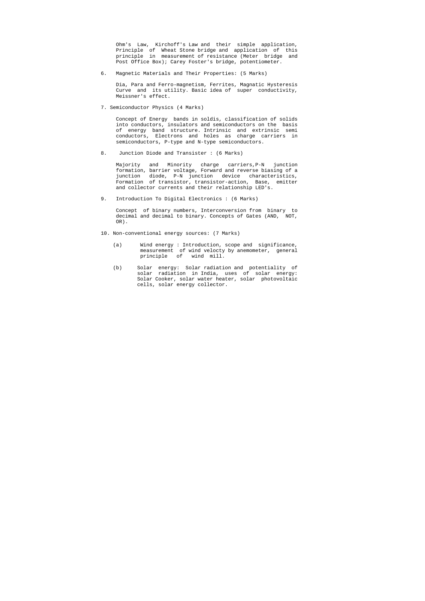Ohm's Law, Kirchoff's Law and their simple application, Principle of Wheat Stone bridge and application of this principle in measurement of resistance (Meter bridge and Post Office Box); Carey Foster's bridge, potentiometer.

6. Magnetic Materials and Their Properties: (5 Marks)

 Dia, Para and Ferro-magnetism, Ferrites, Magnatic Hysteresis Curve and its utility. Basic idea of super conductivity, Meissner's effect.

7. Semiconductor Physics (4 Marks)

 Concept of Energy bands in soldis, classification of solids into conductors, insulators and semiconductors on the basis of energy band structure. Intrinsic and extrinsic semi conductors, Electrons and holes as charge carriers in semiconductors, P-type and N-type semiconductors.

8. Junction Diode and Transister : (6 Marks)

 Majority and Minority charge carriers,P-N junction formation, barrier voltage, Forward and reverse biasing of a junction diode, P-N junction device characteristics, Formation of transistor, transistor-action, Base, emitter and collector currents and their relationship LED's.

9. Introduction To Digital Electronics : (6 Marks)

 Concept of binary numbers, Interconversion from binary to decimal and decimal to binary. Concepts of Gates (AND, NOT, OR).

- 10. Non-conventional energy sources: (7 Marks)
	- (a) Wind energy : Introduction, scope and significance, measurement of wind velocty by anemometer, general principle of wind mill.
	- (b) Solar energy: Solar radiation and potentiality of solar radiation in India, uses of solar energy: Solar Cooker, solar water heater, solar photovoltaic cells, solar energy collector.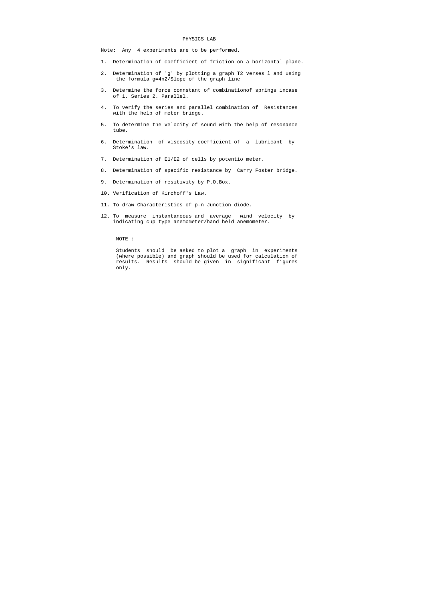#### PHYSICS LAB

Note: Any 4 experiments are to be performed.

- 1. Determination of coefficient of friction on a horizontal plane.
- 2. Determination of 'g' by plotting a graph T2 verses l and using the formula g=4n2/Slope of the graph line
- 3. Determine the force connstant of combinationof springs incase of 1. Series 2. Parallel.
- 4. To verify the series and parallel combination of Resistances with the help of meter bridge.
- 5. To determine the velocity of sound with the help of resonance tube.
- 6. Determination of viscosity coefficient of a lubricant by Stoke's law.
- 7. Determination of E1/E2 of cells by potentio meter.
- 8. Determination of specific resistance by Carry Foster bridge.
- 9. Determination of resitivity by P.O.Box.
- 10. Verification of Kirchoff's Law.
- 11. To draw Characteristics of p-n Junction diode.
- 12. To measure instantaneous and average wind velocity by indicating cup type anemometer/hand held anemometer.

NOTE :

 Students should be asked to plot a graph in experiments (where possible) and graph should be used for calculation of results. Results should be given in significant figures only.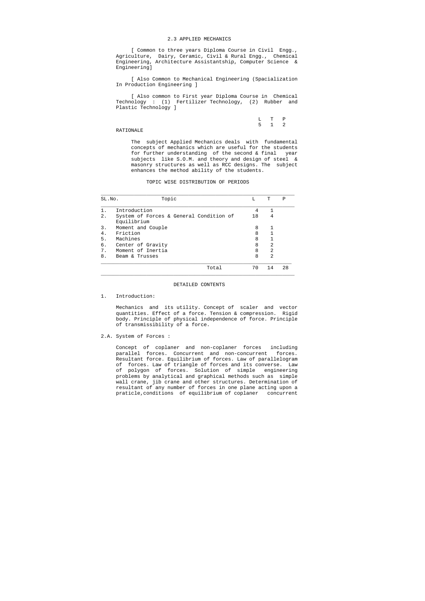#### 2.3 APPLIED MECHANICS

 [ Common to three years Diploma Course in Civil Engg., Agriculture, Dairy, Ceramic, Civil & Rural Engg., Chemical Engineering, Architecture Assistantship, Computer Science & Engineering]

 [ Also Common to Mechanical Engineering (Spacialization In Production Engineering ]

 [ Also common to First year Diploma Course in Chemical Technology : (1) Fertilizer Technology, (2) Rubber and Plastic Technology ]

|  | L T P |  |
|--|-------|--|
|  | 5 1 2 |  |

RATIONALE

 The subject Applied Mechanics deals with fundamental concepts of mechanics which are useful for the students for further understanding of the second & final year subjects like S.O.M. and theory and design of steel & masonry structures as well as RCC designs. The subject enhances the method ability of the students.

#### TOPIC WISE DISTRIBUTION OF PERIODS

| SL.No. | Topic                                                  | L  | т              | Ρ  |
|--------|--------------------------------------------------------|----|----------------|----|
|        | Introduction                                           | 4  | 1              |    |
| $2$ .  | System of Forces & General Condition of<br>Equilibrium | 18 | 4              |    |
| 3.     | Moment and Couple                                      | 8  | 1              |    |
| 4.     | Friction                                               | 8  |                |    |
| 5.     | Machines                                               | 8  |                |    |
| б.     | Center of Gravity                                      | 8  | 2              |    |
| 7.     | Moment of Inertia                                      | 8  | 2              |    |
| 8.     | Beam & Trusses                                         | 8  | $\mathfrak{D}$ |    |
|        | Total                                                  | 70 | 14             | 28 |

#### DETAILED CONTENTS

1. Introduction:

 Mechanics and its utility. Concept of scaler and vector quantities. Effect of a force. Tension & compression. Rigid body. Principle of physical independence of force. Principle of transmissibility of a force.

2.A. System of Forces :

 Concept of coplaner and non-coplaner forces including parallel forces. Concurrent and non-concurrent forces. Resultant force. Equilibrium of forces. Law of parallelogram of forces. Law of triangle of forces and its converse. Law of polygon of forces. Solution of simple engineering problems by analytical and graphical methods such as simple wall crane, jib crane and other structures. Determination of resultant of any number of forces in one plane acting upon a praticle,conditions of equilibrium of coplaner concurrent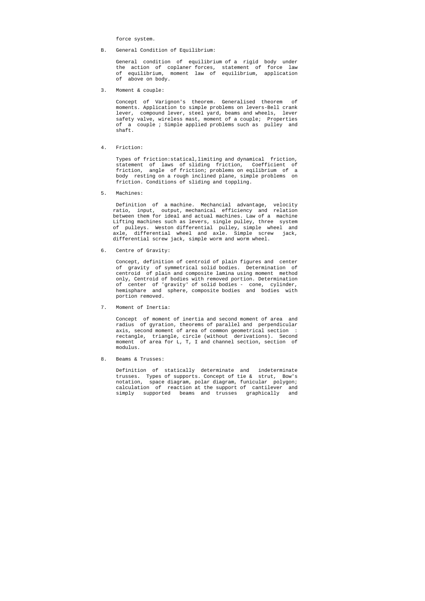force system.

B. General Condition of Equilibrium:

 General condition of equilibrium of a rigid body under the action of coplaner forces, statement of force law of equilibrium, moment law of equilibrium, application of above on body.

3. Moment & couple:

 Concept of Varignon's theorem. Generalised theorem of moments. Application to simple problems on levers-Bell crank lever, compound lever, steel yard, beams and wheels, lever safety valve, wireless mast, moment of a couple; Properties of a couple ; Simple applied problems such as pulley and shaft.

4. Friction:

 Types of friction:statical,limiting and dynamical friction, statement of laws of sliding friction, Coefficient of friction, angle of friction; problems on eqilibrium of a body resting on a rough inclined plane, simple problems on friction. Conditions of sliding and toppling.

5. Machines:

 Definition of a machine. Mechancial advantage, velocity ratio, input, output, mechanical efficiency and relation between them for ideal and actual machines. Law of a machine Lifting machines such as levers, single pulley, three system of pulleys. Weston differential pulley, simple wheel and axle, differential wheel and axle. Simple screw jack, differential screw jack, simple worm and worm wheel.

6. Centre of Gravity:

 Concept, definition of centroid of plain figures and center of gravity of symmetrical solid bodies. Determination of centroid of plain and composite lamina using moment method only, Centroid of bodies with removed portion. Determination of center of 'gravity' of solid bodies - cone, cylinder, hemisphare and sphere, composite bodies and bodies with portion removed.

7. Moment of Inertia:

 Concept of moment of inertia and second moment of area and radius of gyration, theorems of parallel and perpendicular axis, second moment of area of common geometrical section : rectangle, triangle, circle (without derivations). Second moment of area for L, T, I and channel section, section of modulus.

8. Beams & Trusses:

 Definition of statically determinate and indeterminate trusses. Types of supports. Concept of tie & strut, Bow's notation, space diagram, polar diagram, funicular polygon; calculation of reaction at the support of cantilever and simply supported beams and trusses graphically and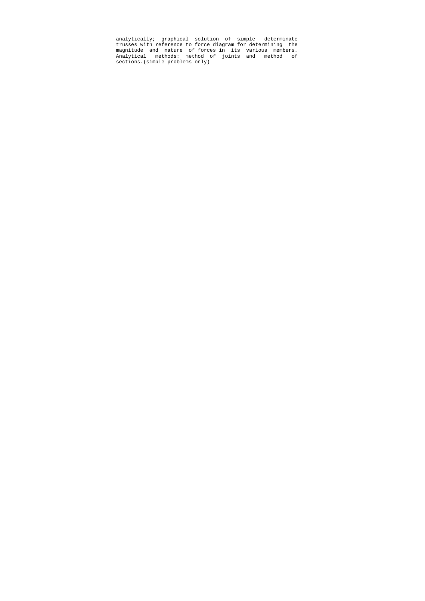analytically; graphical solution of simple determinate trusses with reference to force diagram for determining the magnitude and nature of forces in its various members. Analytical methods: method of joints and method of sections.(simple problems only)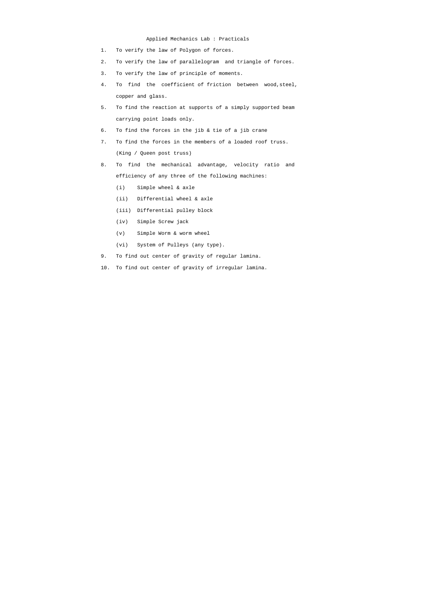#### Applied Mechanics Lab : Practicals

- 1. To verify the law of Polygon of forces.
- 2. To verify the law of parallelogram and triangle of forces.
- 3. To verify the law of principle of moments.
- 4. To find the coefficient of friction between wood,steel, copper and glass.
- 5. To find the reaction at supports of a simply supported beam carrying point loads only.
- 6. To find the forces in the jib & tie of a jib crane
- 7. To find the forces in the members of a loaded roof truss. (King / Queen post truss)
- 8. To find the mechanical advantage, velocity ratio and efficiency of any three of the following machines:
	- (i) Simple wheel & axle
	- (ii) Differential wheel & axle
	- (iii) Differential pulley block
	- (iv) Simple Screw jack
	- (v) Simple Worm & worm wheel
	- (vi) System of Pulleys (any type).
- 9. To find out center of gravity of regular lamina.
- 10. To find out center of gravity of irregular lamina.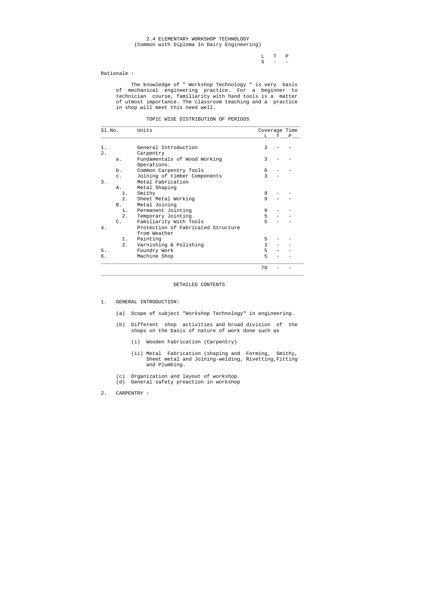L T P  $5 - -$ 

#### 2.4 ELEMENTARY WORKSHOP TECHNOLOGY (Common with Diploma In Dairy Engineering)

#### Rationale :

 The knowledge of " Workshop Technology " is very basis of mechanical engineering practice. For a beginner to technician course, familiarity with hand tools is a matter of utmost importance. The classroom teaching and a practice in shop will meet this need well.

#### TOPIC WISE DISTRIBUTION OF PERIODS

| Sl.No. |                 | Units                              | Coverage Time |    |   |
|--------|-----------------|------------------------------------|---------------|----|---|
|        |                 |                                    | L             | T. | P |
| $1$ .  |                 | General Introduction               | 3             |    |   |
| 2.     |                 | Carpentry                          |               |    |   |
|        | $a$ .           | Fundamentals of Wood Working       | 3             |    |   |
|        |                 | Operations.                        |               |    |   |
|        | b.              | Common Carpentry Tools             | 6             |    |   |
|        | $\mathsf{C}$ .  | Joining of timber Components       | 3             |    |   |
| 3.     |                 | Metal Fabrication                  |               |    |   |
|        | Α.              | Metal Shaping                      |               |    |   |
|        | 1.              | Smithy                             | 9             |    |   |
|        | 2.              | Sheet Metal Working                | 9             |    |   |
|        | <b>B</b> .      | Metal Joining                      |               |    |   |
|        | 1.              | Permanent Jointing                 | 9             |    |   |
|        | 2.              | Temporary Jointing                 | 5             |    |   |
|        | $\mathcal{C}$ . | Familiarity With Tools             | 5             |    |   |
| 4.     |                 | Protection of Fabricated Structure |               |    |   |
|        |                 | from Weather                       |               |    |   |
|        | 1.              | Painting                           | 5             |    |   |
|        | 2.              | Varnishing & Polishing             | 3             |    |   |
| 5.     |                 | Foundry Work                       | 5             |    |   |
| б.     |                 | Machine Shop                       | 5             |    |   |
|        |                 |                                    | 70            |    |   |

#### DETAILED CONTENTS

- 1. GENERAL INTRODUCTION:
	- (a) Scope of subject "Workshop Technology" in engineering.
	- (b) Different shop activities and broad division of the shops on the basis of nature of work done such as
		- (i) Wooden Fabrication (Carpentry)
		- (ii) Metal Fabrication (shaping and Forming, Smithy, Sheet metal and Joining-welding, Rivetting,Fitting and Plumbing.
	- (c) Organization and layout of workshop.
	- (d) General safety preaction in workshop
- 2. CARPENTRY :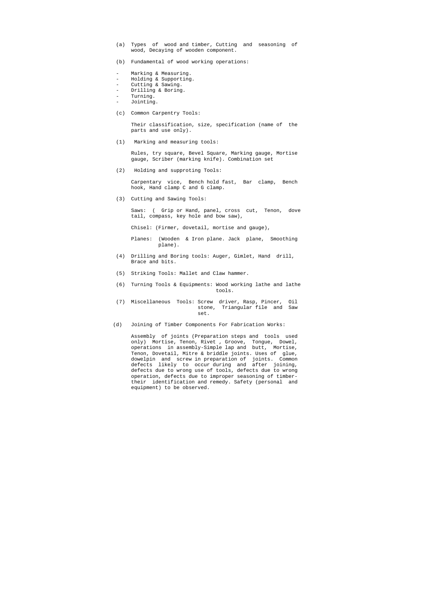- (a) Types of wood and timber, Cutting and seasoning of wood, Decaying of wooden component.
- (b) Fundamental of wood working operations:
- Marking & Measuring.
- Holding & Supporting.
- Cutting & Sawing.
- Drilling & Boring.
- Turning.
- Jointing.
- (c) Common Carpentry Tools:

 Their classification, size, specification (name of the parts and use only).

(1) Marking and measuring tools:

 Rules, try square, Bevel Square, Marking gauge, Mortise gauge, Scriber (marking knife). Combination set

(2) Holding and supproting Tools:

 Carpentary vice, Bench hold fast, Bar clamp, Bench hook, Hand clamp C and G clamp.

(3) Cutting and Sawing Tools:

 Saws: ( Grip or Hand, panel, cross cut, Tenon, dove tail, compass, key hole and bow saw),

Chisel: (Firmer, dovetail, mortise and gauge),

 Planes: (Wooden & Iron plane. Jack plane, Smoothing plane).

- (4) Drilling and Boring tools: Auger, Gimlet, Hand drill, Brace and bits.
- (5) Striking Tools: Mallet and Claw hammer.
- (6) Turning Tools & Equipments: Wood working lathe and lathe tools.
- (7) Miscellaneous Tools: Screw driver, Rasp, Pincer, Oil stone, Triangular file and Saw set.
	- (d) Joining of Timber Components For Fabrication Works:

 Assembly of joints (Preparation steps and tools used only) Mortise, Tenon, Rivet , Groove, Tongue, Dowel, operations in assembly-Simple lap and butt, Mortise, Tenon, Dovetail, Mitre & briddle joints. Uses of glue, dowelpin and screw in preparation of joints. Common defects likely to occur during and after joining, defects due to wrong use of tools, defects due to wrong operation, defects due to improper seasoning of timber their identification and remedy. Safety (personal and equipment) to be observed.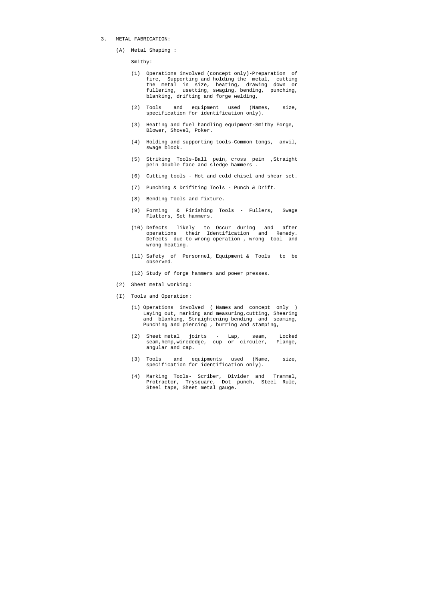- 3. METAL FABRICATION:
	- (A) Metal Shaping :

Smithy:

- (1) Operations involved (concept only)-Preparation of fire, Supporting and holding the metal, cutting the metal in size, heating, drawing down or fullering, usetting, swaging, bending, punching, blanking, drifting and forge welding,
- (2) Tools and equipment used (Names, size, specification for identification only).
- (3) Heating and fuel handling equipment-Smithy Forge, Blower, Shovel, Poker.
- (4) Holding and supporting tools-Common tongs, anvil, swage block.
- (5) Striking Tools-Ball pein, cross pein ,Straight pein double face and sledge hammers .
- (6) Cutting tools Hot and cold chisel and shear set.
- (7) Punching & Drifiting Tools Punch & Drift.
- (8) Bending Tools and fixture.
- (9) Forming & Finishing Tools Fullers, Swage Flatters, Set hammers.
- (10) Defects likely to Occur during and after operations their Identification and Remedy. Defects due to wrong operation , wrong tool and wrong heating.
- (11) Safety of Personnel, Equipment & Tools to be observed.
- (12) Study of forge hammers and power presses.
- (2) Sheet metal working:
- (I) Tools and Operation:
	- (1) Operations involved ( Names and concept only ) Laying out, marking and measuring, cutting, Shearing and blanking, Straightening bending and seaming, Punching and piercing , burring and stamping,
	- (2) Sheet metal joints Lap, seam, Locked seam,hemp,wirededge, cup or circuler, Flange, angular and cap.
	- (3) Tools and equipments used (Name, size, specification for identification only).
	- (4) Marking Tools- Scriber, Divider and Trammel, Protractor, Trysquare, Dot punch, Steel Rule, Steel tape, Sheet metal gauge.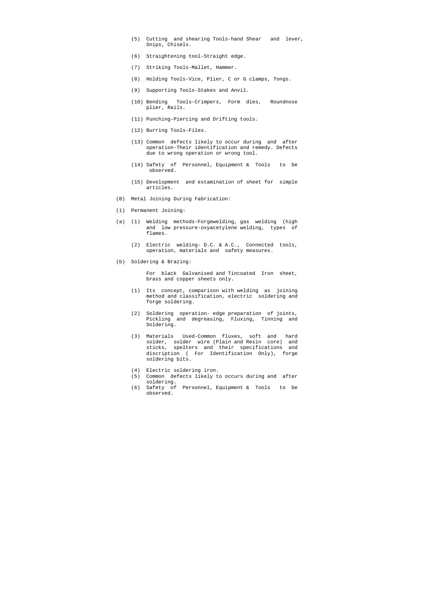- (5) Cutting and shearing Tools-hand Shear and lever, Snips, Chisels.
- (6) Straightening tool-Straight edge.
- (7) Striking Tools-Mallet, Hammer.
- (8) Holding Tools-Vice, Plier, C or G clamps, Tongs.
- (9) Supporting Tools-Stakes and Anvil.
- (10) Bending Tools-Crimpers, Form dies, Roundnose plier, Rails.
- (11) Punching-Piercing and Drifting tools.
- (12) Burring Tools-Files.
- (13) Common defects likely to occur during and after operation-Their identification and remedy. Defects due to wrong operation or wrong tool.
- (14) Safety of Personnel, Equipment & Tools to be observed.
- (15) Development and estamination of sheet for simple articles.
- (B) Metal Joining During Fabrication:
- (1) Permanent Joining:
- (a) (1) Welding methods-Forgewelding, gas welding (high and low pressure-oxyacetylene welding, types of flames.
	- (2) Electric welding- D.C. & A.C., Connected tools, operation, materials and safety measures.
- (b) Soldering & Brazing:

 For black Galvanised and Tincoated Iron sheet, brass and copper sheets only.

- (1) Its concept, comparison with welding as joining method and classification, electric soldering and forge soldering.
- (2) Soldering operation- edge preparation of joints, Pickling and degreasing, Fluxing, Tinning and Soldering.
- (3) Materials Used-Common fluxes, soft and hard solder, solder wire (Plain and Resin core) and sticks, spelters and their specifications and discription ( For Identification Only), forge soldering bits.
- (4) Electric soldering iron.
- (5) Common defects likely to occurs during and after soldering.
- (6) Safety of Personnel, Equipment & Tools to be observed.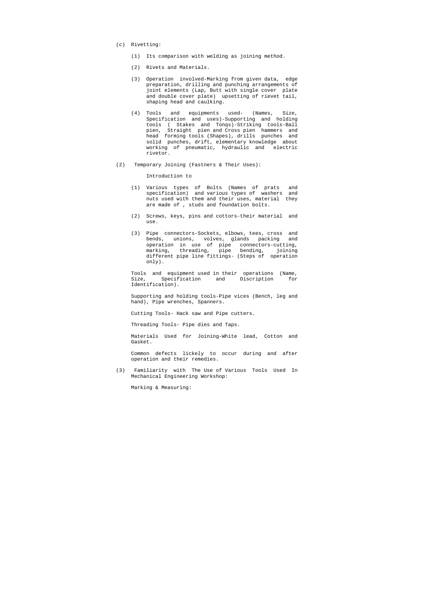- (c) Rivetting:
	- (1) Its comparison with welding as joining method.
	- (2) Rivets and Materials.
	- (3) Operation involved-Marking from given data, edge preparation, drilling and punching arrangements of joint elements (Lap, Butt with single cover plate and double cover plate) upsetting of rievet tail, shaping head and caulking.
	- (4) Tools and equipments used- (Names, Size, Specification and uses)-Supporting and holding tools ( Stakes and Tonqs)-Striking tools-Ball pien, Straight pien and Cross pien hammers and head forming tools (Shapes), drills punches and solid punches, drift, elementary knowledge about working of pneumatic, hydraulic and electric rivetor.
- (2) Temporary Joining (Fastners & Their Uses):

Introduction to

- (1) Various types of Bolts (Names of prats and specification) and various types of washers and nuts used with them and their uses, material they are made of , studs and foundation bolts.
- (2) Screws, keys, pins and cottors-their material and use.
- (3) Pipe connectors-Sockets, elbows, tees, cross and bends, unions, volves, glands packing and operation in use of pipe connectors-cutting, marking, threading, pipe bending, joining different pipe line fittings- (Steps of operation only).

 Tools and equipment used in their operations (Name, Size, Specification and Discription for Identification).

 Supporting and holding tools-Pipe vices (Bench, leg and hand), Pipe wrenches, Spanners.

Cutting Tools- Hack saw and Pipe cutters.

Threading Tools- Pipe dies and Taps.

 Materials Used for Joining-White lead, Cotton and Gasket.

 Common defects lickely to occur during and after operation and their remedies.

 (3) Familiarity with The Use of Various Tools Used In Mechanical Engineering Workshop:

Marking & Measuring: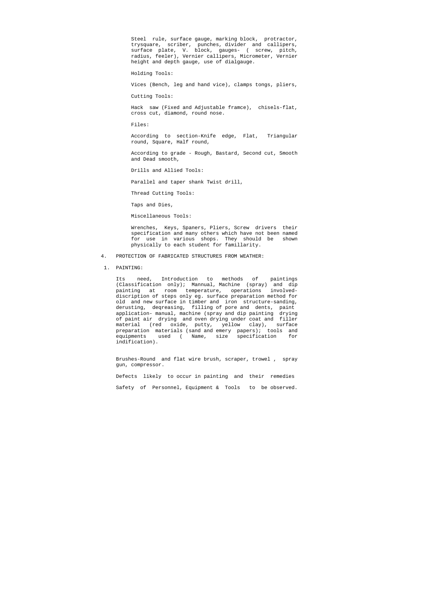Steel rule, surface gauge, marking block, protractor, trysquare, scriber, punches, divider and callipers, surface plate, V. block, gauges- ( screw, pitch, radius, feeler), Vernier callipers, Micrometer, Vernier height and depth gauge, use of dialgauge.

Holding Tools:

Vices (Bench, leg and hand vice), clamps tongs, pliers,

Cutting Tools:

 Hack saw (Fixed and Adjustable framce), chisels-flat, cross cut, diamond, round nose.

Files:

 According to section-Knife edge, Flat, Triangular round, Square, Half round,

 According to grade - Rough, Bastard, Second cut, Smooth and Dead smooth,

Drills and Allied Tools:

Parallel and taper shank Twist drill,

Thread Cutting Tools:

Taps and Dies,

Miscellaneous Tools:

 Wrenches, Keys, Spaners, Pliers, Screw drivers their specification and many others which have not been named for use in various shops. They should be shown physically to each student for famillarity.

- 4. PROTECTION OF FABRICATED STRUCTURES FROM WEATHER:
- 1. PAINTING:

 Its need, Introduction to methods of paintings (Classification only); Mannual, Machine (spray) and dip painting at room temperature, operations involved discription of steps only eg. surface preparation method for old and new surface in timber and iron structure-sanding, derusting, deqreasing, filling of pore and dents, paint application- manual, machine (spray and dip painting drying of paint air drying and oven drying under coat and filler material (red oxide, putty, yellow clay), surface preparation materials (sand and emery papers); tools and equipments used ( Name, size specification for indification).

 Brushes-Round and flat wire brush, scraper, trowel , spray gun, compressor.

 Defects likely to occur in painting and their remedies Safety of Personnel, Equipment & Tools to be observed.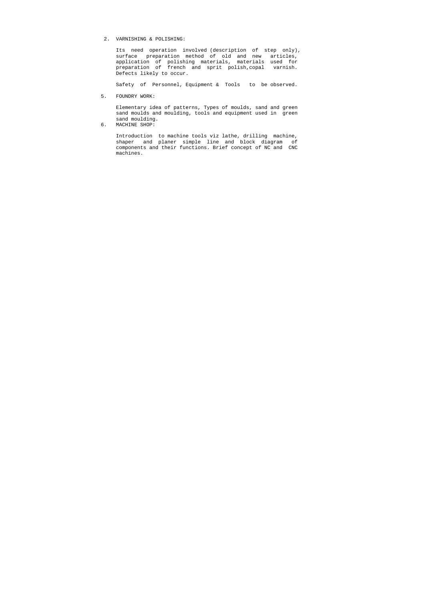2. VARNISHING & POLISHING:

 Its need operation involved (description of step only), surface preparation method of old and new articles, application of polishing materials, materials used for preparation of french and sprit polish,copal varnish. Defects likely to occur.

Safety of Personnel, Equipment & Tools to be observed.

5. FOUNDRY WORK:

 Elementary idea of patterns, Types of moulds, sand and green sand moulds and moulding, tools and equipment used in green sand moulding.

6. MACHINE SHOP:

 Introduction to machine tools viz lathe, drilling machine, shaper and planer simple line and block diagram of components and their functions. Brief concept of NC and CNC machines.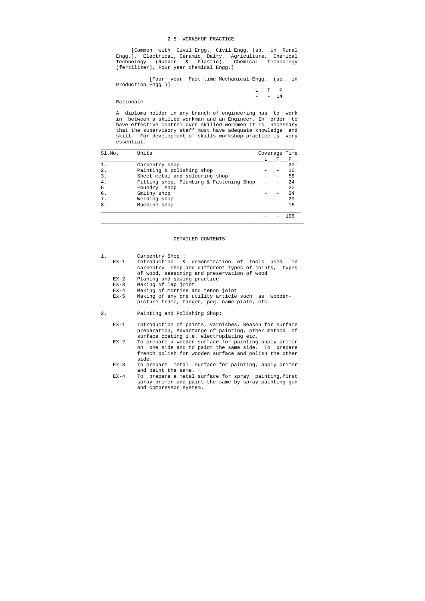#### 2.5 WORKSHOP PRACTICE

 [Common with Civil Engg., Civil Engg. (sp. in Rural Engg.), Electrical, Ceramic, Dairy, Agriculture, Chemical Technology (Rubber & Plastic), Chemical Technology (fertilizer), Four year chemical Engg.]

> L T P  $-$  14

 [Four year Past time Mechanical Engg. (sp. in Production Engg.)]

Rationale

 A diploma holder in any branch of engineering has to work in between a skilled workman and an Engineer. In order to have effective control over skilled workmen it is necessary that the supervisory staff must have adequate knowledge and skill. For development of skills workshop practice is very essential.

| SI.NO.         | Units                                   |  | Coverage Time |     |
|----------------|-----------------------------------------|--|---------------|-----|
|                |                                         |  |               | P   |
|                | Carpentry shop                          |  |               | 20  |
| 2.             | Painting & polishing shop               |  |               | 16  |
| 3.             | Sheet metal and soldering shop          |  |               | 56  |
| 4 <sup>1</sup> | Fitting shop, Plumbing & Fastening Shop |  |               | 24  |
| 5              | Foundry shop                            |  |               | 20  |
| б.             | Smithy shop                             |  |               | 24  |
| 7.             | Welding shop                            |  |               | 20  |
| 8.             | Machine shop                            |  |               | 16  |
|                |                                         |  |               | 196 |

#### DETAILED CONTENTS

| 1. |        | Carpentry Shop:                                     |
|----|--------|-----------------------------------------------------|
|    | $EX-1$ | Introduction & demonstration of tools used<br>in    |
|    |        | carpentry shop and different types of joints, types |
|    |        | of wood, seasoning and preservation of wood         |
|    | $EX-2$ | Planing and sawing practice                         |
|    | $EX-3$ | Making of lap joint                                 |
|    | $EX-4$ | Making of mortise and tenon joint                   |
|    | $Ex-5$ | Making of any one utility article such as wooden-   |

- picture frame, hanger, peg, name plate, etc.
- 2. Painting and Polishing Shop:
	- EX-1 Introduction of paints, varnishes, Reason for surface preparation, Advantange of painting, other method of surface coating i.e. electroplating etc.
	- EX-2 To prepare a wooden surface for painting apply primer on one side and to paint the same side. To prepare french polish for wooden surface and polish the other side.
	- Ex-3 To prepare metal surface for painting, apply primer and paint the same.
	- EX-4 To prepare a metal surface for spray painting,first spray primer and paint the same by spray painting gun and compressor system.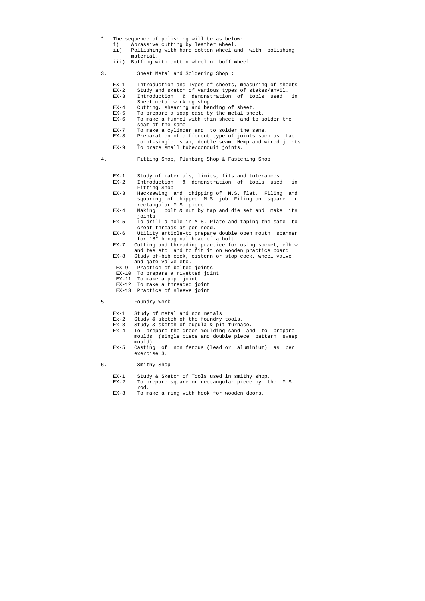- The sequence of polishing will be as below:
	- i) Abrassive cutting by leather wheel.
	- ii) Pollishing with hard cotton wheel and with polishing material.
	- iii) Buffing with cotton wheel or buff wheel.
- 3. Sheet Metal and Soldering Shop :
	- EX-1 Introduction and Types of sheets, measuring of sheets
	- EX-2 Study and sketch of various types of stakes/anvil.
	- EX-3 Introduction & demonstration of tools used in Sheet metal working shop.
	- EX-4 Cutting, shearing and bending of sheet.
	- EX-5 To prepare a soap case by the metal sheet.
	- EX-6 To make a funnel with thin sheet and to solder the seam of the same.
	- EX-7 To make a cylinder and to solder the same.
	- EX-8 Preparation of different type of joints such as Lap
	- joint-single seam, double seam. Hemp and wired joints. EX-9 To braze small tube/conduit joints.
- 4. Fitting Shop, Plumbing Shop & Fastening Shop:
	- EX-1 Study of materials, limits, fits and toterances.
	- EX-2 Introduction & demonstration of tools used in Fitting Shop.
	- EX-3 Hacksawing and chipping of M.S. flat. Filing and squaring of chipped M.S. job. Filing on square or rectangular M.S. piece.
	- EX-4 Making bolt & nut by tap and die set and make its joints
	- Ex-5 To drill a hole in M.S. Plate and taping the same to creat threads as per need.
	- EX-6 Utility article-to prepare double open mouth spanner for 18" hexagonal head of a bolt.
	- EX-7 Cutting and threading practice for using socket, elbow and tee etc. and to fit it on wooden practice board.
	- EX-8 Study of-bib cock, cistern or stop cock, wheel valve and gate valve etc.
	- EX-9 Practice of bolted joints
	- EX-10 To prepare a rivetted joint
	- EX-11 To make a pipe joint
	- EX-12 To make a threaded joint
	- EX-13 Practice of sleeve joint

#### 5. Foundry Work

- Ex-1 Study of metal and non metals
- Ex-2 Study & sketch of the foundry tools.
- Ex-3 Study & sketch of cupula & pit furnace.
- Ex-4 To prepare the green moulding sand and to prepare moulds (single piece and double piece pattern sweep mould)
- Ex-5 Casting of non ferous (lead or aluminium) as per exercise 3.

#### 6. Smithy Shop :

- EX-1 Study & Sketch of Tools used in smithy shop.
- EX-2 To prepare square or rectangular piece by the M.S. rod.
- EX-3 To make a ring with hook for wooden doors.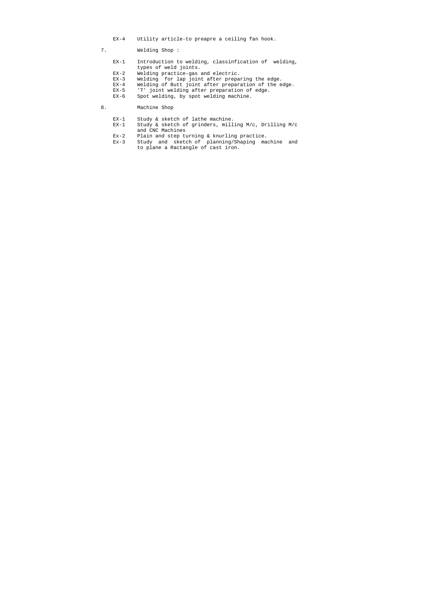- EX-4 Utility article-to preapre a ceiling fan hook.
- 7. Welding Shop :
	- EX-1 Introduction to welding, classinfication of welding, types of weld joints.<br>EX-2 Welding practice-gas
	- EX-2 Welding practice-gas and electric.<br>EX-3 Welding for lap joint after prepar
	- Welding for lap joint after preparing the edge.
	- EX-4 Welding of Butt joint after preparation of the edge.
	- EX-5 'T' joint welding after preparation of edge.<br>EX-6 Spot welding, by spot welding machine.
	- Spot welding, by spot welding machine.
- 8. Machine Shop
	- EX-1 Study & sketch of lathe machine.<br>EX-1 Study & sketch of grinders, mill
	- Study & sketch of grinders, milling M/c, Drilling M/c and CNC Machines
	- Ex-2 Plain and step turning & knurling practice.
	- Ex-3 Study and sketch of planning/Shaping machine and to plane a Ractangle of cast iron.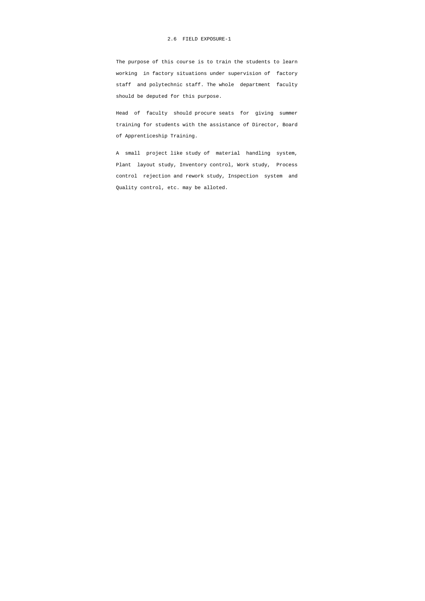The purpose of this course is to train the students to learn working in factory situations under supervision of factory staff and polytechnic staff. The whole department faculty should be deputed for this purpose.

 Head of faculty should procure seats for giving summer training for students with the assistance of Director, Board of Apprenticeship Training.

 A small project like study of material handling system, Plant layout study, Inventory control, Work study, Process control rejection and rework study, Inspection system and Quality control, etc. may be alloted.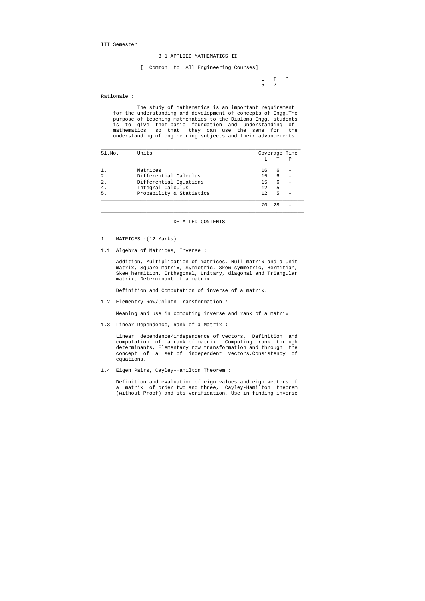III Semester

#### 3.1 APPLIED MATHEMATICS II

 L T P  $5 \t 2 \t -$ 

[ Common to All Engineering Courses]

Rationale :

 The study of mathematics is an important requirement for the understanding and development of concepts of Engg.The purpose of teaching mathematics to the Diploma Engg. students is to give them basic foundation and understanding of mathematics so that they can use the same for the understanding of engineering subjects and their advancements.

| Sl.No. | Units                    | Coverage Time |    |   |
|--------|--------------------------|---------------|----|---|
|        |                          |               | т  | Ρ |
|        | Matrices                 | 16            | 6  |   |
| 2.     | Differential Calculus    | 15            | 6  |   |
| $2$ .  | Differential Equations   | 15            | 6  |   |
| 4.     | Integral Calculus        | 12            | 5  |   |
| 5.     | Probability & Statistics | 12            | 5  |   |
|        |                          | 70            | 28 |   |

#### DETAILED CONTENTS

- 1. MATRICES :(12 Marks)
- 1.1 Algebra of Matrices, Inverse :

 Addition, Multiplication of matrices, Null matrix and a unit matrix, Square matrix, Symmetric, Skew symmetric, Hermitian, Skew hermition, Orthagonal, Unitary, diagonal and Triangular matrix, Determinant of a matrix.

Definition and Computation of inverse of a matrix.

1.2 Elementry Row/Column Transformation :

Meaning and use in computing inverse and rank of a matrix.

1.3 Linear Dependence, Rank of a Matrix :

 Linear dependence/independence of vectors, Definition and computation of a rank of matrix. Computing rank through determinants, Elementary row transformation and through the concept of a set of independent vectors,Consistency of equations.

1.4 Eigen Pairs, Cayley-Hamilton Theorem :

 Definition and evaluation of eign values and eign vectors of a matrix of order two and three, Cayley-Hamilton theorem (without Proof) and its verification, Use in finding inverse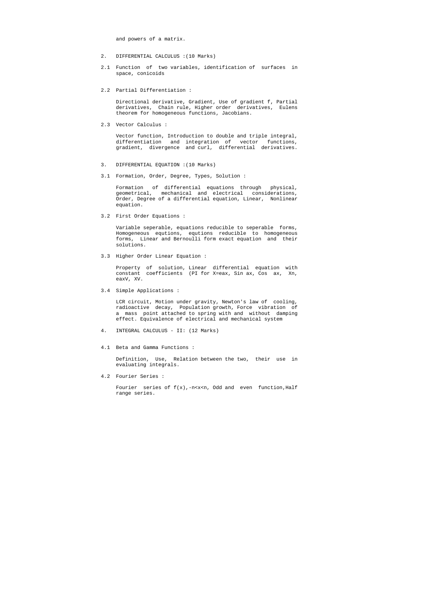and powers of a matrix.

- 2. DIFFERENTIAL CALCULUS :(10 Marks)
- 2.1 Function of two variables, identification of surfaces in space, conicoids
- 2.2 Partial Differentiation :

 Directional derivative, Gradient, Use of gradient f, Partial derivatives, Chain rule, Higher order derivatives, Eulens theorem for homogeneous functions, Jacobians.

2.3 Vector Calculus :

 Vector function, Introduction to double and triple integral, differentiation and integration of vector functions, gradient, divergence and curl, differential derivatives.

- 3. DIFFERENTIAL EQUATION :(10 Marks)
- 3.1 Formation, Order, Degree, Types, Solution :

 Formation of differential equations through physical, geometrical, mechanical and electrical considerations, Order, Degree of a differential equation, Linear, Nonlinear equation.

3.2 First Order Equations :

Fourier series of  $f(x)$ ,-n<x<n, Odd and even function, Half range series.

 Variable seperable, equations reducible to seperable forms, Homogeneous equtions, equtions reducible to homogeneous forms, Linear and Bernoulli form exact equation and their solutions.

3.3 Higher Order Linear Equation :

 Property of solution, Linear differential equation with constant coefficients (PI for X=eax, Sin ax, Cos ax, Xn, eaxV, XV.

3.4 Simple Applications :

 LCR circuit, Motion under gravity, Newton's law of cooling, radioactive decay, Population growth, Force vibration of a mass point attached to spring with and without damping effect. Equivalence of electrical and mechanical system

- 4. INTEGRAL CALCULUS II: (12 Marks)
- 4.1 Beta and Gamma Functions :

 Definition, Use, Relation between the two, their use in evaluating integrals.

4.2 Fourier Series :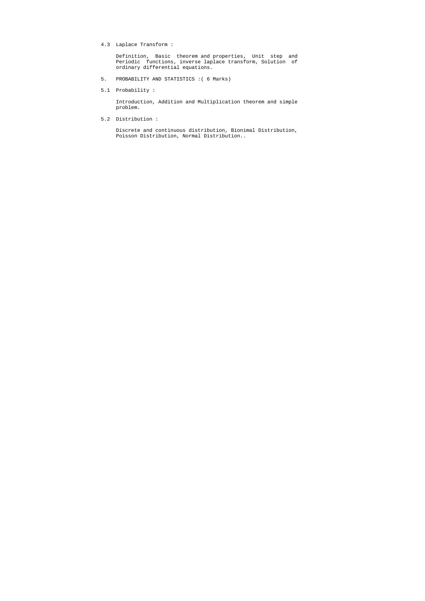4.3 Laplace Transform :

 Definition, Basic theorem and properties, Unit step and Periodic functions, inverse laplace transform, Solution of ordinary differential equations.

- 5. PROBABILITY AND STATISTICS :( 6 Marks)
- 5.1 Probability :

 Introduction, Addition and Multiplication theorem and simple problem.

5.2 Distribution :

 Discrete and continuous distribution, Bionimal Distribution, Poisson Distribution, Normal Distribution..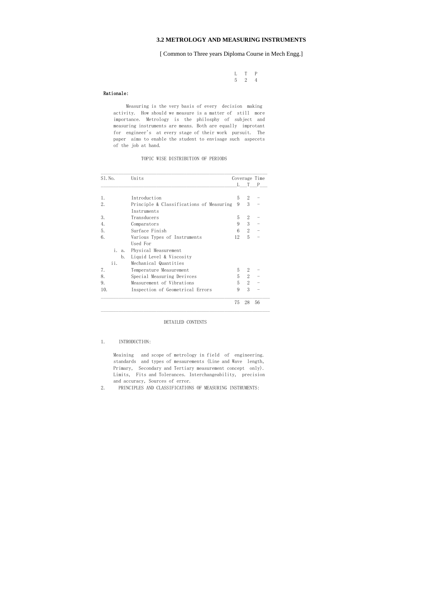### **3.2 METROLOGY AND MEASURING INSTRUMENTS**

[ Common to Three years Diploma Course in Mech Engg.]

 L T P 5 2 4

#### Rationale:

 Measuring is the very basis of every decision making activity. How should we measure is a matter of still more importance. Metrology is the philosphy of subject and measuring instruments are means. Both are equally improtant for engineer's at every stage of their work pursuit. The paper aims to enable the student to envisage such aspecets of the job at hand.

TOPIC WISE DISTRIBUTION OF PERIODS

| S1. No.  | Units                                    |    | Coverage Time  |    |
|----------|------------------------------------------|----|----------------|----|
|          |                                          |    | L T            | P  |
| 1.       | Introduction                             | 5  | $\overline{2}$ |    |
| 2.       | Principle & Classifications of Measuring | 9  | 3              |    |
|          | Instruments                              |    |                |    |
| 3.       | Transducers                              | 5  | $\overline{2}$ |    |
| 4.       | Comparators                              | 9  | 3              |    |
| 5.       | Surface Finish                           | 6  | 2              |    |
| 6.       | Various Types of Instruments             | 12 | 5              |    |
|          | Used For                                 |    |                |    |
| i.<br>a. | Physical Measurement                     |    |                |    |
| b.       | Liquid Level & Viscosity                 |    |                |    |
| ii.      | Mechanical Quantities                    |    |                |    |
| 7.       | Temperature Measurement                  | 5  | 2              |    |
| 8.       | Special Measuring Devivces               | 5  | $\overline{2}$ |    |
| 9.       | Measurement of Vibrations                | 5  | $\overline{2}$ |    |
| 10.      | Inspection of Geometrical Errors         | 9  | 3              |    |
|          |                                          | 75 | 28             | 56 |

#### DETAILED CONTENTS

#### 1. INTRODUCTION:

 Meaining and scope of metrology in field of engineering. standards and types of mesaurements (Line and Wave length, Primary, Secondary and Tertiary measurement concept only). Limits, Fits and Tolerances. Interchangeability, precision and accuracy, Sources of error.

2. PRINCIPLES AND CLASSIFICATIONS OF MEASURING INSTRUMENTS: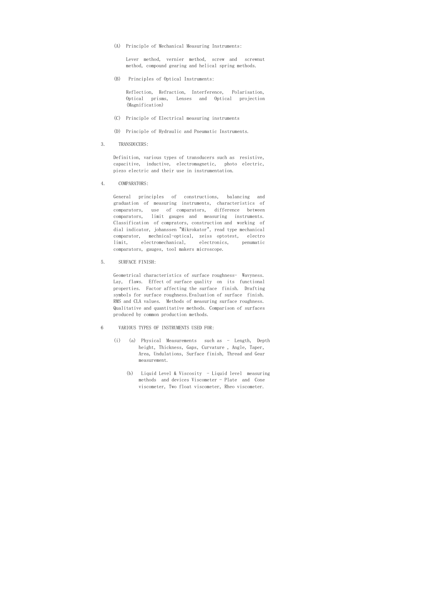(A) Principle of Mechanical Measuring Instruments:

 Lever method, vernier method, screw and screwnut method, compound gearing and helical spring methods.

(B) Principles of Optical Instruments:

 Reflection, Refraction, Interference, Polarisation, Optical prisms, Lenses and Optical projection (Magnification)

- (C) Principle of Electrical measuring instruments
- (D) Principle of Hydraulic and Pneumatic Instruments.
- 3. TRANSDUCERS:

 Definition, various types of transducers such as resistive, capacitive, inductive, electromagnetic, photo electric, piezo electric and their use in instrumentation.

4. COMPARATORS:

 General principles of constructions, balancing and graduation of measuring instruments, characteristics of comparators, use of comparators, difference between comparators, limit gauges and measuring instruments. Classification of comprators, construction and working of dial indicator, johanssen "Mikrokator", read type mechanical comparator, mechnical-optical, zeiss optotest, electro limit, electromechanical, electronics, penumatic comparators, gauges, tool makers microscope.

5. SURFACE FINISH:

 Geometrical characteristics of surface roughness- Wavyness. Lay, flaws. Effect of surface quality on its functional properties. Factor affecting the surface finish. Drafting symbols for surface roughness.Evaluation of surface finish. RMS and CLA values. Methods of measuring surface roughness. Qualitative and quantitative methods. Comparison of surfaces produced by common production methods.

- 6 VARIOUS TYPES OF INSTRUMENTS USED FOR:
	- (i) (a) Physical Measurements such as Length, Depth height, Thickness, Gaps, Curvature , Angle, Taper, Area, Undulations, Surface finish, Thread and Gear measurement.
		- (b) Liquid Level & Viscosity Liquid level measuring methods and devices Viscometer - Plate and Cone viscometer, Two float viscometer, Rheo viscometer.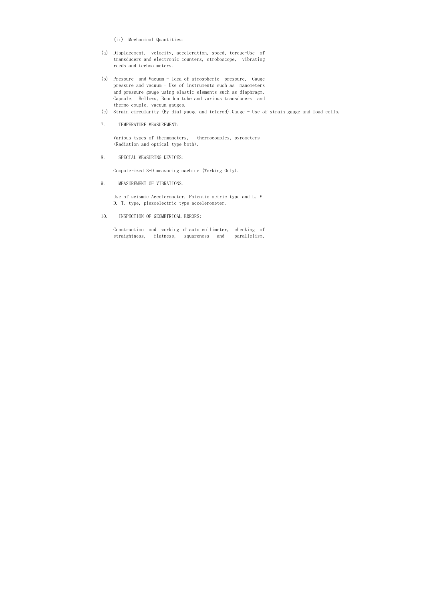- (ii) Mechanical Quantities:
- (a) Displacement, velocity, acceleration, speed, torque-Use of transducers and electronic counters, stroboscope, vibrating reeds and techno meters.
- (b) Pressure and Vacuum Idea of atmospheric pressure, Gauge pressure and vacuum - Use of instruments such as manometers and pressure gauge using elastic elements such as diaphragm, Capsule, Bellows, Bourdon tube and various transducers and thermo couple, vacuum gauges.
- (c) Strain circularity (By dial gauge and telerod).Gauge Use of strain gauge and load cells.
- 7. TEMPERATURE MEASUREMENT:

 Various types of thermometers, thermocouples, pyrometers (Radiation and optical type both).

8. SPECIAL MEASURING DEVICES:

Computerized 3-D measuring machine (Working Only).

9. MEASUREMENT OF VIBRATIONS:

 Use of seismic Accelerometer, Potentio metric type and L. V. D. T. type, piezoelectric type accelerometer.

10. INSPECTION OF GEOMETRICAL ERRORS:

 Construction and working of auto collimeter, checking of straightness, flatness, squareness and parallelism,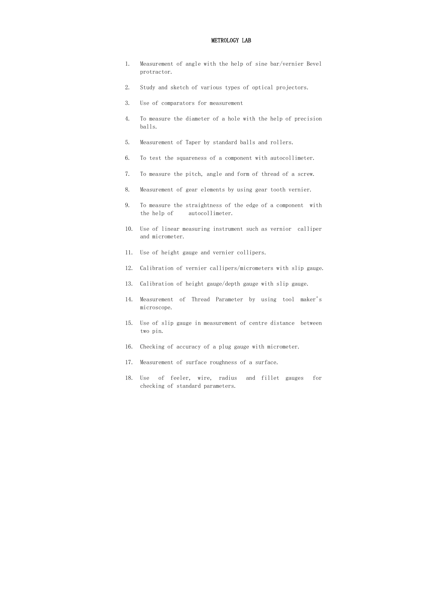### METROLOGY LAB

- 1. Measurement of angle with the help of sine bar/vernier Bevel protractor.
- 2. Study and sketch of various types of optical projectors.
- 3. Use of comparators for measurement
- 4. To measure the diameter of a hole with the help of precision balls.
- 5. Measurement of Taper by standard balls and rollers.
- 6. To test the squareness of a component with autocollimeter.
- 7. To measure the pitch, angle and form of thread of a screw.
- 8. Measurement of gear elements by using gear tooth vernier.
- 9. To measure the straightness of the edge of a component with the help of autocollimeter.
- 10. Use of linear measuring instrument such as vernior calliper and micrometer.
- 11. Use of height gauge and vernier collipers.
- 12. Calibration of vernier callipers/micrometers with slip gauge.
- 13. Calibration of height gauge/depth gauge with slip gauge.
- 14. Measurement of Thread Parameter by using tool maker's microscope.
- 15. Use of slip gauge in measurement of centre distance between two pin.
- 16. Checking of accuracy of a plug gauge with micrometer.
- 17. Measurement of surface roughness of a surface.
- 18. Use of feeler, wire, radius and fillet gauges for checking of standard parameters.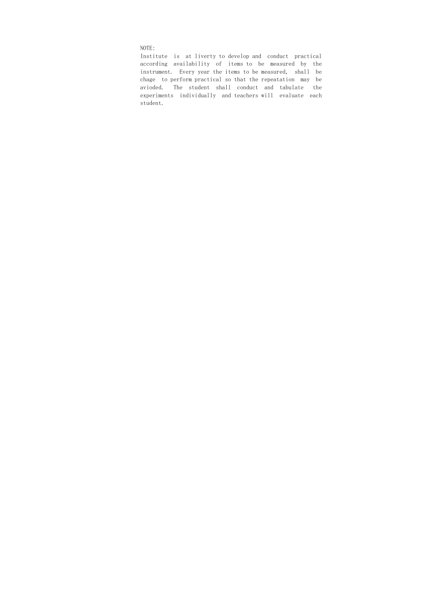NOTE:

 Institute is at liverty to develop and conduct practical according availability of items to be measured by the instrument. Every year the items to be measured, shall be chage to perform practical so that the repeatation may be avioded. The student shall conduct and tabulate the experiments individually and teachers will evaluate each student.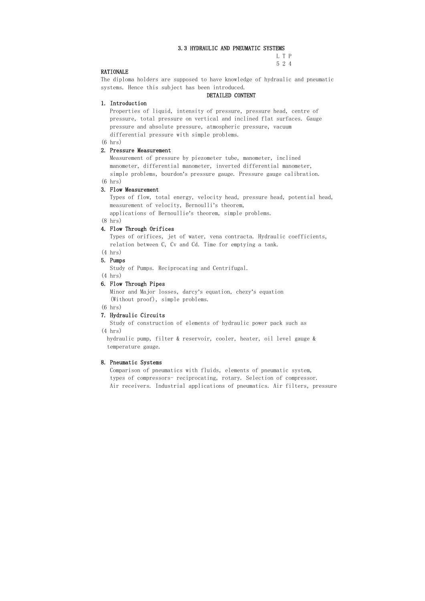#### 3.3 HYDRAULIC AND PNEUMATIC SYSTEMS

 L T P 5 2 4

#### RATIONALE

The diploma holders are supposed to have knowledge of hydraulic and pneumatic systems. Hence this subject has been introduced.

#### DETAILED CONTENT

### 1. Introduction

 Properties of liquid, intensity of pressure, pressure head, centre of pressure, total pressure on vertical and inclined flat surfaces. Gauge pressure and absolute pressure, atmospheric pressure, vacuum differential pressure with simple problems.

#### (6 hrs)

### 2. Pressure Measurement

 Measurement of pressure by piezometer tube, manometer, inclined manometer, differential manometer, inverted differential manometer, simple problems, bourdon's pressure gauge. Pressure gauge calibration. (6 hrs)

# 3. Flow Measurement

 Types of flow, total energy, velocity head, pressure head, potential head, measurement of velocity, Bernoulli's theorem,

applications of Bernoullie's theorem, simple problems.

#### (8 hrs)

#### 4. Flow Through Orifices

 Types of orifices, jet of water, vena contracta. Hydraulic coefficients, relation between C, Cv and Cd. Time for emptying a tank.

# (4 hrs)

5. Pumps

Study of Pumps. Reciprocating and Centrifugal.

(4 hrs)

# 6. Flow Through Pipes

 Minor and Major losses, darcy's equation, chezy's equation (Without proof), simple problems.

#### (6 hrs)

### 7. Hydraulic Circuits

 Study of construction of elements of hydraulic power pack such as (4 hrs)

 hydraulic pump, filter & reservoir, cooler, heater, oil level gauge & temperature gauge.

#### 8. Pneumatic Systems

 Comparison of pneumatics with fluids, elements of pneumatic system, types of compressors- reciprocating, rotary. Selection of compressor. Air receivers. Industrial applications of pneumatics. Air filters, pressure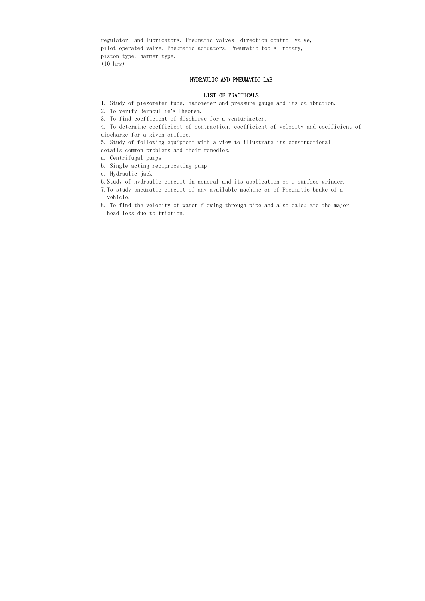regulator, and lubricators. Pneumatic valves- direction control valve, pilot operated valve. Pneumatic actuators. Pneumatic tools- rotary, piston type, hammer type. (10 hrs)

### HYDRAULIC AND PNEUMATIC LAB

#### LIST OF PRACTICALS

5. Study of following equipment with a view to illustrate its constructional details, common problems and their remedies.

- 1. Study of piezometer tube, manometer and pressure gauge and its calibration.
- 2. To verify Bernoullie's Theorem.
- 3. To find coefficient of discharge for a venturimeter.

4. To determine coefficient of contraction, coefficient of velocity and coefficient of discharge for a given orifice.

- a. Centrifugal pumps
- b. Single acting reciprocating pump
- c. Hydraulic jack
- 6.Study of hydraulic circuit in general and its application on a surface grinder.
- 7.To study pneumatic circuit of any available machine or of Pneumatic brake of a vehicle.
- 8. To find the velocity of water flowing through pipe and also calculate the major head loss due to friction.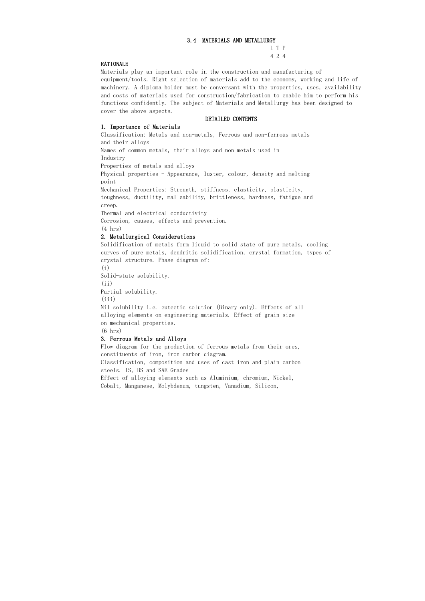### 3.4 MATERIALS AND METALLURGY

 L T P 4 2 4

### RATIONALE

Materials play an important role in the construction and manufacturing of equipment/tools. Right selection of materials add to the economy, working and life of machinery. A diploma holder must be conversant with the properties, uses, availability and costs of materials used for construction/fabrication to enable him to perform his functions confidently. The subject of Materials and Metallurgy has been designed to cover the above aspects.

### DETAILED CONTENTS

### 1. Importance of Materials

Classification: Metals and non-metals, Ferrous and non-ferrous metals and their alloys

Partial solubility.  $(iii)$ 

Names of common metals, their alloys and non-metals used in Industry

Properties of metals and alloys

Physical properties - Appearance, luster, colour, density and melting point

Mechanical Properties: Strength, stiffness, elasticity, plasticity,

toughness, ductility, malleability, brittleness, hardness, fatigue and creep.

Thermal and electrical conductivity

Corrosion, causes, effects and prevention.

(4 hrs)

# 2. Metallurgical Considerations

Solidification of metals form liquid to solid state of pure metals, cooling curves of pure metals, dendritic solidification, crystal formation, types of crystal structure. Phase diagram of:

(i)

Solid-state solubility.

 $(iii)$ 

Nil solubility i.e. eutectic solution (Binary only). Effects of all alloying elements on engineering materials. Effect of grain size on mechanical properties.

(6 hrs)

# 3. Ferrous Metals and Alloys

Flow diagram for the production of ferrous metals from their ores, constituents of iron, iron carbon diagram.

Classification, composition and uses of cast iron and plain carbon steels. IS, BS and SAE Grades

Effect of alloying elements such as Aluminium, chromium, Nickel, Cobalt, Manganese, Molybdenum, tungsten, Vanadium, Silicon,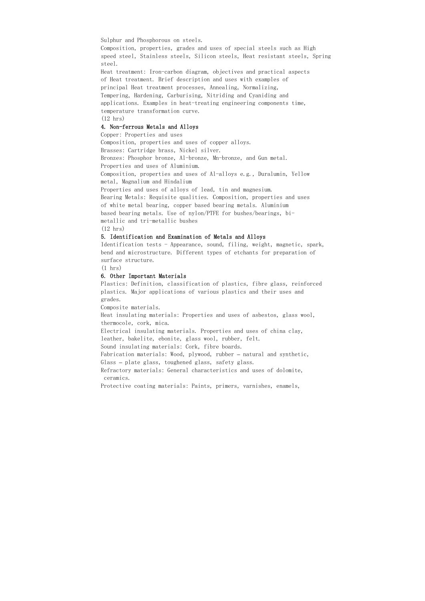Sulphur and Phosphorous on steels.

Composition, properties, grades and uses of special steels such as High speed steel, Stainless steels, Silicon steels, Heat resistant steels, Spring steel.

Heat treatment: Iron-carbon diagram, objectives and practical aspects of Heat treatment. Brief description and uses with examples of principal Heat treatment processes, Annealing, Normalizing, Tempering, Hardening, Carburising, Nitriding and Cyaniding and applications. Examples in heat-treating engineering components time, temperature transformation curve.

(12 hrs)

### 4. Non-ferrous Metals and Alloys

Copper: Properties and uses

Composition, properties and uses of copper alloys.

Brasses: Cartridge brass, Nickel silver.

Bronzes: Phosphor bronze, Al-bronze, Mn-bronze, and Gun metal.

Properties and uses of Aluminium.

Composition, properties and uses of Al-alloys e.g., Duralumin, Yellow metal, Magnalium and Hindalium

Properties and uses of alloys of lead, tin and magnesium.

Bearing Metals: Requisite qualities. Composition, properties and uses of white metal bearing, copper based bearing metals. Aluminium based bearing metals. Use of nylon/PTFE for bushes/bearings, bimetallic and tri-metallic bushes

(12 hrs)

#### 5. Identification and Examination of Metals and Alloys

Identification tests - Appearance, sound, filing, weight, magnetic, spark, bend and microstructure. Different types of etchants for preparation of surface structure.

 $(1 \text{ hrs})$ 

### 6. Other Important Materials

Plastics: Definition, classification of plastics, fibre glass, reinforced plastics. Major applications of various plastics and their uses and grades.

Composite materials.

Heat insulating materials: Properties and uses of asbestos, glass wool, thermocole, cork, mica.

Electrical insulating materials. Properties and uses of china clay,

leather, bakelite, ebonite, glass wool, rubber, felt.

Sound insulating materials: Cork, fibre boards.

Fabrication materials: Wood, plywood, rubber – natural and synthetic,

Glass – plate glass, toughened glass, safety glass.

Refractory materials: General characteristics and uses of dolomite, ceramics.

Protective coating materials: Paints, primers, varnishes, enamels,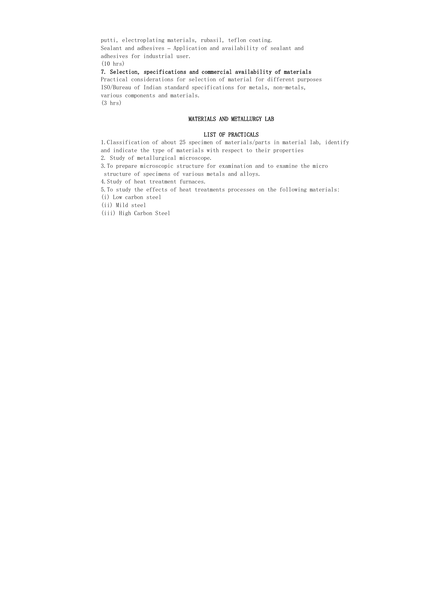putti, electroplating materials, rubasil, teflon coating. Sealant and adhesives – Application and availability of sealant and adhesives for industrial user. (10 hrs)

7. Selection, specifications and commercial availability of materials

Practical considerations for selection of material for different purposes ISO/Bureau of Indian standard specifications for metals, non-metals, various components and materials. (3 hrs)

### MATERIALS AND METALLURGY LAB

#### LIST OF PRACTICALS

1.Classification of about 25 specimen of materials/parts in material lab, identify and indicate the type of materials with respect to their properties 2. Study of metallurgical microscope.

3.To prepare microscopic structure for examination and to examine the micro

structure of specimens of various metals and alloys.

4.Study of heat treatment furnaces.

5.To study the effects of heat treatments processes on the following materials:

(i) Low carbon steel

(ii) Mild steel

(iii) High Carbon Steel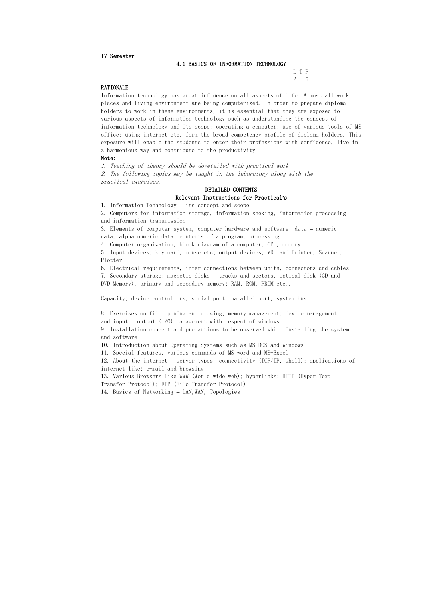### IV Semester

 L T P  $2 - 5$ 

#### 4.1 BASICS OF INFORMATION TECHNOLOGY

### RATIONALE

Information technology has great influence on all aspects of life. Almost all work places and living environment are being computerized. In order to prepare diploma holders to work in these environments, it is essential that they are exposed to various aspects of information technology such as understanding the concept of information technology and its scope; operating a computer; use of various tools of MS office; using internet etc. form the broad competency profile of diploma holders. This exposure will enable the students to enter their professions with confidence, live in a harmonious way and contribute to the productivity.

#### Note:

1. Teaching of theory should be dovetailed with practical work 2. The following topics may be taught in the laboratory along with the practical exercises.

8. Exercises on file opening and closing; memory management; device management and input – output  $(I/0)$  management with respect of windows

# DETAILED CONTENTS Relevant Instructions for Practical s'

1. Information Technology – its concept and scope

2. Computers for information storage, information seeking, information processing and information transmission

3. Elements of computer system, computer hardware and software; data – numeric data, alpha numeric data; contents of a program, processing

4. Computer organization, block diagram of a computer, CPU, memory

5. Input devices; keyboard, mouse etc; output devices; VDU and Printer, Scanner, Plotter

6. Electrical requirements, inter-connections between units, connectors and cables 7. Secondary storage; magnetic disks – tracks and sectors, optical disk (CD and DVD Memory), primary and secondary memory: RAM, ROM, PROM etc.,

Capacity; device controllers, serial port, parallel port, system bus

9. Installation concept and precautions to be observed while installing the system and software

10. Introduction about Operating Systems such as MS-DOS and Windows

11. Special features, various commands of MS word and MS-Excel

12. About the internet – server types, connectivity (TCP/IP, shell); applications of internet like: e-mail and browsing

13. Various Browsers like WWW (World wide web); hyperlinks; HTTP (Hyper Text

Transfer Protocol); FTP (File Transfer Protocol)

14. Basics of Networking – LAN,WAN, Topologies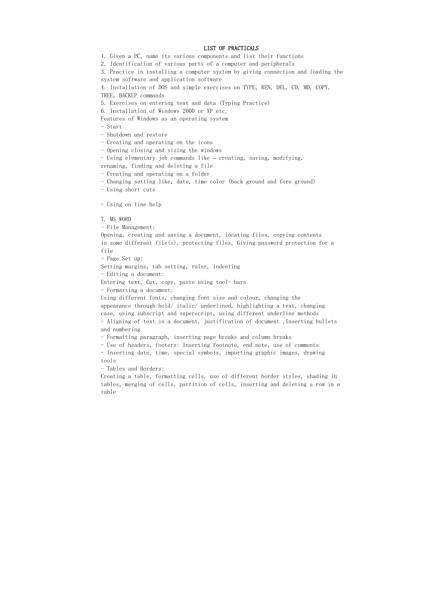#### LIST OF PRACTICALS

1. Given a PC, name its various components and list their functions

2. Identification of various parts of a computer and peripherals

3. Practice in installing a computer system by giving connection and loading the system software and application software

4. Installation of DOS and simple exercises on TYPE, REN, DEL, CD, MD, COPY, TREE, BACKUP commands

5. Exercises on entering text and data (Typing Practice)

6. Installation of Windows 2000 or XP etc.

Features of Windows as an operating system

- Start

- Shutdown and restore

- Creating and operating on the icons

- Opening closing and sizing the windows

- Using elementary job commands like – creating, saving, modifying,

renaming, finding and deleting a file

- Creating and operating on a folder

- Changing setting like, date, time color (back ground and fore ground)

- Using short cuts

- Using on line help

7. MS-WORD

- File Management:

Opening, creating and saving a document, locating files, copying contents in some different file(s), protecting files, Giving password protection for a file

- Page Set up:

Setting margins, tab setting, ruler, indenting

- Editing a document:

Entering text, Cut, copy, paste using tool- bars

- Formatting a document:

Using different fonts, changing font size and colour, changing the appearance through bold/ italic/ underlined, highlighting a text, changing case, using subscript and superscript, using different underline methods - Aligning of text in a document, justification of document ,Inserting bullets

and numbering

- Formatting paragraph, inserting page breaks and column breaks

- Use of headers, footers: Inserting footnote, end note, use of comments

- Inserting date, time, special symbols, importing graphic images, drawing tools

- Tables and Borders:

Creating a table, formatting cells, use of different border styles, shading in tables, merging of cells, partition of cells, inserting and deleting a row in a table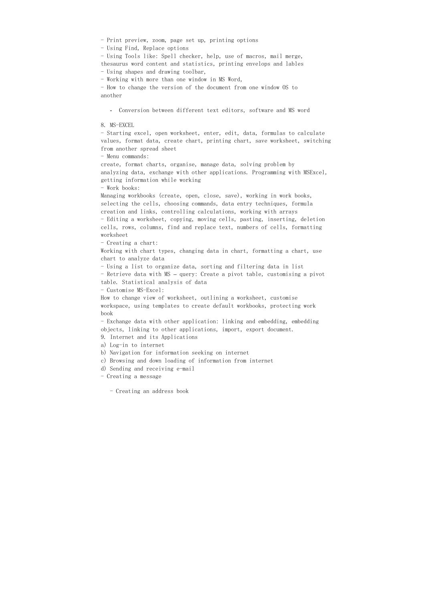- Print preview, zoom, page set up, printing options

- Using Find, Replace options

- Using Tools like: Spell checker, help, use of macros, mail merge, thesaurus word content and statistics, printing envelops and lables - Using shapes and drawing toolbar,

- Working with more than one window in MS Word,

- How to change the version of the document from one window OS to another

- Conversion between different text editors, software and MS word

#### 8. MS-EXCEL

- Starting excel, open worksheet, enter, edit, data, formulas to calculate values, format data, create chart, printing chart, save worksheet, switching from another spread sheet

- Menu commands:

create, format charts, organise, manage data, solving problem by analyzing data, exchange with other applications. Programming with MSExcel, getting information while working

- Work books:

Managing workbooks (create, open, close, save), working in work books, selecting the cells, choosing commands, data entry techniques, formula creation and links, controlling calculations, working with arrays

- Editing a worksheet, copying, moving cells, pasting, inserting, deletion cells, rows, columns, find and replace text, numbers of cells, formatting worksheet

- Creating a chart:

Working with chart types, changing data in chart, formatting a chart, use chart to analyze data

- Using a list to organize data, sorting and filtering data in list

- Retrieve data with MS – query: Create a pivot table, customising a pivot table. Statistical analysis of data

- Customise MS-Excel:

How to change view of worksheet, outlining a worksheet, customise workspace, using templates to create default workbooks, protecting work book

- Exchange data with other application: linking and embedding, embedding objects, linking to other applications, import, export document.

9. Internet and its Applications

a) Log-in to internet

b) Navigation for information seeking on internet

c) Browsing and down loading of information from internet

d) Sending and receiving e-mail

- Creating a message

- Creating an address book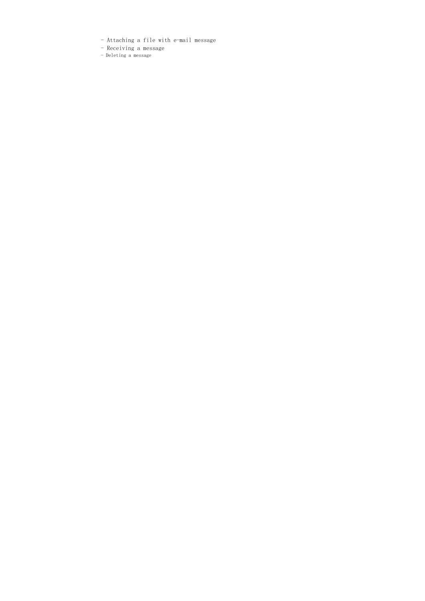- Attaching a file with e-mail message
- Receiving a message
- Deleting a message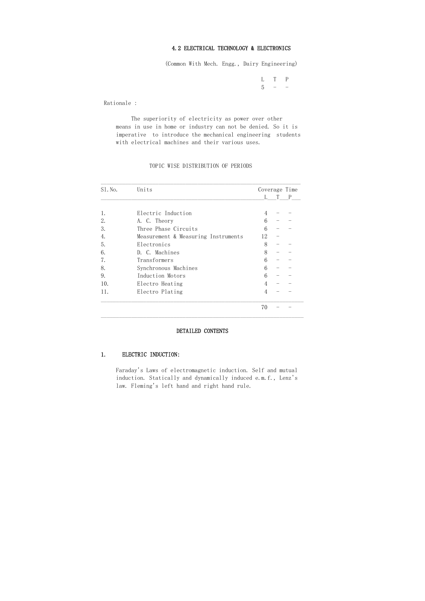### 4.2 ELECTRICAL TECHNOLOGY & ELECTRONICS

 L T P  $5$  - -

(Common With Mech. Engg., Dairy Engineering)

Rationale :

 The superiority of electricity as power over other means in use in home or industry can not be denied. So it is imperative to introduce the mechanical engineering students with electrical machines and their various uses.

#### TOPIC WISE DISTRIBUTION OF PERIODS

| $S1.$ No. | Units                               | Coverage Time |   |   |  |
|-----------|-------------------------------------|---------------|---|---|--|
|           |                                     | L             | T | P |  |
| 1.        | Electric Induction                  | 4             |   |   |  |
| 2.        | A. C. Theory                        | 6             |   |   |  |
| 3.        | Three Phase Circuits                | 6             |   |   |  |
| 4.        | Measurement & Measuring Instruments | 12            |   |   |  |
| 5.        | Electronics                         | 8             |   |   |  |
| 6.        | D. C. Machines                      | 8             |   |   |  |
| 7.        | Transformers                        | 6             |   |   |  |
| 8.        | Synchronous Machines                | 6             |   |   |  |
| 9.        | Induction Motors                    | 6             |   |   |  |
| 10.       | Electro Heating                     | 4             |   |   |  |
| 11.       | Electro Plating                     | 4             |   |   |  |
|           |                                     | 70            |   |   |  |

#### DETAILED CONTENTS

#### 1. ELECTRIC INDUCTION:

 Faraday's Laws of electromagnetic induction. Self and mutual induction. Statically and dynamically induced e.m.f., Lenz's law. Fleming's left hand and right hand rule.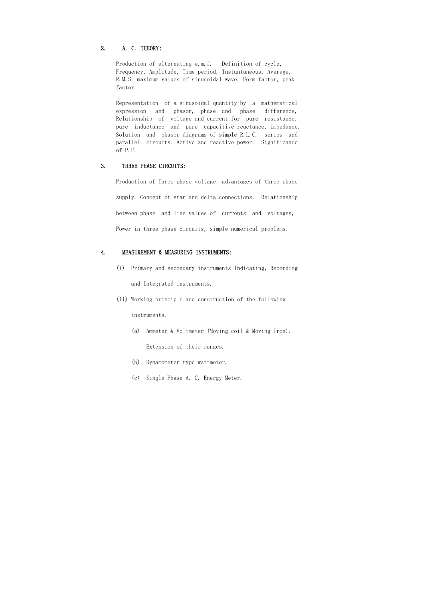### 2. A. C. THEORY:

 Production of alternating e.m.f. Definition of cycle, Frequency, Amplitude, Time period, Instantaneous, Average, R.M.S. maximum values of sinusoidal wave. Form factor, peak factor.

 Representation of a sinusoidal quantity by a mathematical expression and phasor, phase and phase difference, Relationship of voltage and current for pure resistance, pure inductance and pure capacitive reactance, impedance. Solution and phasor diagrams of simple R.L.C. series and parallel circuits. Active and reactive power. Significance of P.F.

#### 3. THREE PHASE CIRCUITS:

 Production of Three phase voltage, advantages of three phase supply. Concept of star and delta connections. Relationship between phase and line values of currents and voltages, Power in three phase circuits, simple numerical problems.

### 4. MEASUREMENT & MEASURING INSTRUMENTS:

- (i) Primary and secondary instruments-Indicating, Recording and Integrated instruments.
- (ii) Working principle and construction of the following instruments.
	- (a) Ammeter & Voltmeter (Moving coil & Moving Iron). Extension of their ranges.
	- (b) Dynamometer type wattmeter.
	- (c) Single Phase A. C. Energy Meter.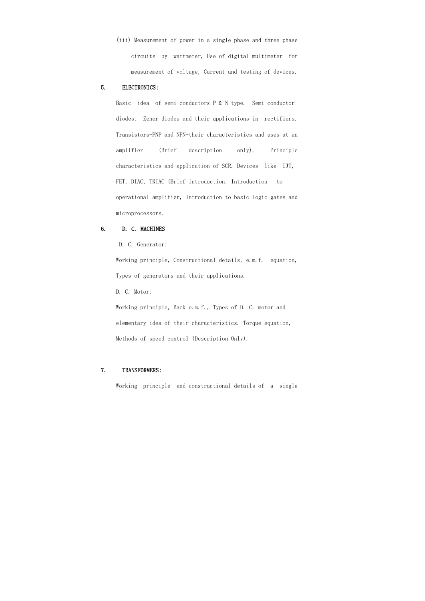(iii) Measurement of power in a single phase and three phase circuits by wattmeter, Use of digital multimeter for measurement of voltage, Current and testing of devices.

#### 5. ELECTRONICS:

 Basic idea of semi conductors P & N type. Semi conductor diodes, Zener diodes and their applications in rectifiers. Transistors-PNP and NPN-their characteristics and uses at an amplifier (Brief description only). Principle characteristics and application of SCR. Devices like UJT, FET, DIAC, TRIAC (Brief introduction, Introduction to operational amplifier, Introduction to basic logic gates and microprocessors.

### 6. D. C. MACHINES

D. C. Generator:

 Working principle, Constructional details, e.m.f. equation, Types of generators and their applications.

D. C. Motor:

 Working principle, Back e.m.f., Types of D. C. motor and elementary idea of their characteristics. Torque equation, Methods of speed control (Description Only).

### 7. TRANSFORMERS:

Working principle and constructional details of a single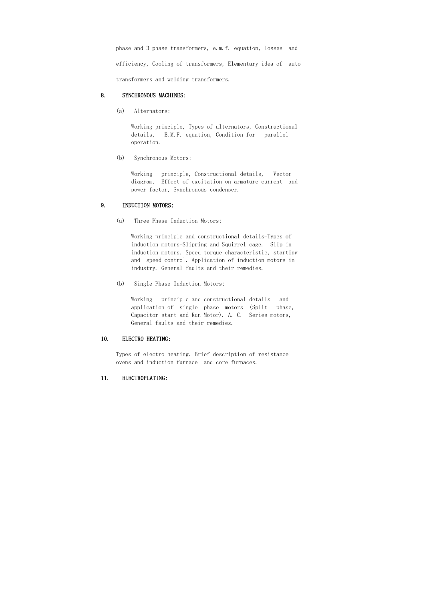phase and 3 phase transformers, e.m.f. equation, Losses and efficiency, Cooling of transformers, Elementary idea of auto transformers and welding transformers.

# 8. SYNCHRONOUS MACHINES:

(a) Alternators:

 Working principle, Types of alternators, Constructional details, E.M.F. equation, Condition for parallel operation.

(b) Synchronous Motors:

 Working principle, Constructional details, Vector diagram, Effect of excitation on armature current and power factor, Synchronous condenser.

# 9. INDUCTION MOTORS:

(a) Three Phase Induction Motors:

 Working principle and constructional details-Types of induction motors-Slipring and Squirrel cage. Slip in induction motors. Speed torque characteristic, starting and speed control. Application of induction motors in industry. General faults and their remedies.

(b) Single Phase Induction Motors:

 Working principle and constructional details and application of single phase motors (Split phase, Capacitor start and Run Motor). A. C. Series motors, General faults and their remedies.

# 10. ELECTRO HEATING:

 Types of electro heating. Brief description of resistance ovens and induction furnace and core furnaces.

# 11. ELECTROPLATING: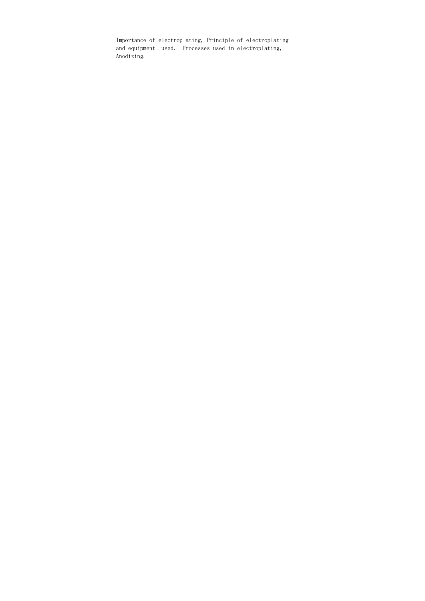Importance of electroplating, Principle of electroplating and equipment used. Processes used in electroplating, Anodizing.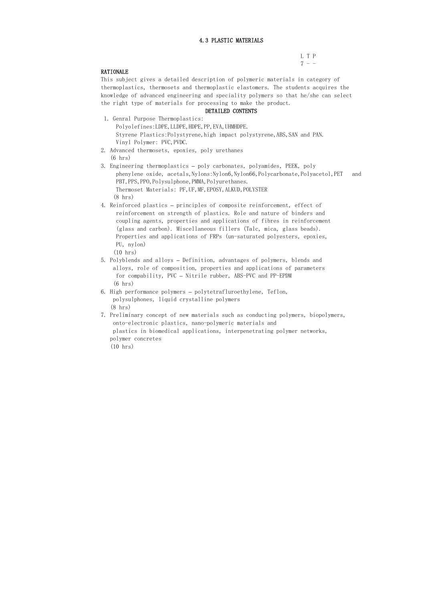# 4.3 PLASTIC MATERIALS

L T P  $7 - -$ 

# RATIONALE

This subject gives a detailed description of polymeric materials in category of thermoplastics, thermosets and thermoplastic elastomers. The students acquires the knowledge of advanced engineering and speciality polymers so that he/she can select the right type of materials for processing to make the product.

### DETAILED CONTENTS

- 1. Genral Purpose Thermoplastics: Polyolefines: LDPE, LLDPE, HDPE, PP, EVA, UHMHDPE. Styrene Plastics: Polystyrene, high impact polystyrene, ABS, SAN and PAN. Vinyl Polymer: PVC,PVDC.
- 2. Advanced thermosets, epoxies, poly urethanes (6 hrs)
- 3. Engineering thermoplastics poly carbonates, polyamides, PEEK, poly phenylene oxide, acetals, Nylons:Nylon6, Nylon66, Polycarbonate, Polyacetol, PET and PBT, PPS, PPO, Polysulphone, PMMA, Polyurethanes. Thermoset Materials: PF, UF, MF, EPOSY, ALKUD, POLYSTER (8 hrs)
- 4. Reinforced plastics principles of composite reinforcement, effect of reinforcement on strength of plastics. Role and nature of binders and coupling agents, properties and applications of fibres in reinforcement (glass and carbon). Miscellaneous fillers (Talc, mica, glass beads). Properties and applications of FRPs (un-saturated polyesters, epoxies, PU, nylon)

(10 hrs)

- 5. Polyblends and alloys Definition, advantages of polymers, blends and alloys, role of composition, properties and applications of parameters for compability, PVC – Nitrile rubber, ABS-PVC and PP-EPDM (6 hrs)
- 6. High performance polymers polytetrafluroethylene, Teflon, polysulphones, liquid crystalline polymers (8 hrs)
- 7. Preliminary concept of new materials such as conducting polymers, biopolymers, onto-electronic plastics, nano-polymeric materials and plastics in biomedical applications, interpenetrating polymer networks, polymer concretes (10 hrs)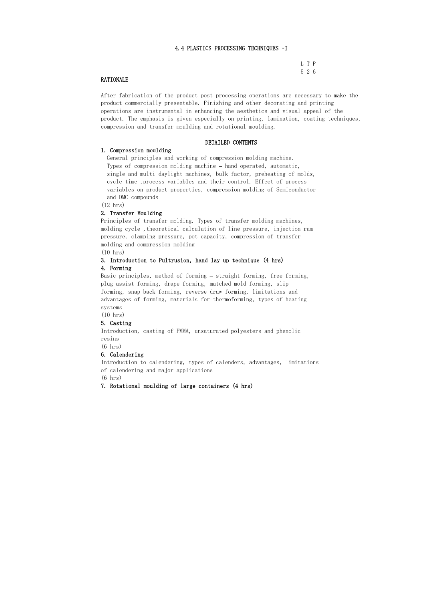### 4.4 PLASTICS PROCESSING TECHNIQUES –I

| ╭ | z |
|---|---|

#### RATIONALE

After fabrication of the product post processing operations are necessary to make the product commercially presentable. Finishing and other decorating and printing operations are instrumental in enhancing the aesthetics and visual appeal of the product. The emphasis is given especially on printing, lamination, coating techniques, compression and transfer moulding and rotational moulding.

#### DETAILED CONTENTS

#### 1. Compression moulding

 General principles and working of compression molding machine. Types of compression molding machine – hand operated, automatic, single and multi daylight machines, bulk factor, preheating of molds, cycle time ,process variables and their control. Effect of process variables on product properties, compression molding of Semiconductor and DMC compounds

(12 hrs)

#### 2. Transfer Moulding

Principles of transfer molding. Types of transfer molding machines, molding cycle ,theoretical calculation of line pressure, injection ram pressure, clamping pressure, pot capacity, compression of transfer molding and compression molding

(10 hrs)

# 3. Introduction to Pultrusion, hand lay up technique (4 hrs)

### 4. Forming

Basic principles, method of forming – straight forming, free forming, plug assist forming, drape forming, matched mold forming, slip forming, snap back forming, reverse draw forming, limitations and advantages of forming, materials for thermoforming, types of heating systems

(10 hrs)

#### 5. Casting

Introduction, casting of PMMA, unsaturated polyesters and phenolic resins

(6 hrs)

#### 6. Calendering

Introduction to calendering, types of calenders, advantages, limitations of calendering and major applications (6 hrs)

#### 7. Rotational moulding of large containers (4 hrs)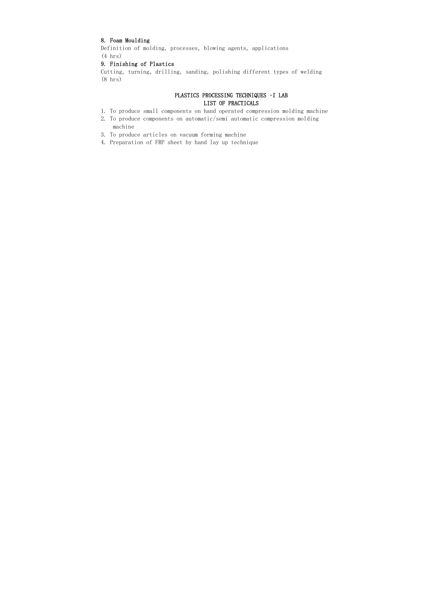# 8. Foam Moulding

Definition of molding, processes, blowing agents, applications (4 hrs)

# 9. Finishing of Plastics

Cutting, turning, drilling, sanding, polishing different types of welding (8 hrs)

# PLASTICS PROCESSING TECHNIQUES –I LAB LIST OF PRACTICALS

- 1. To produce small components on hand operated compression molding machine
- 2. To produce components on automatic/semi automatic compression molding machine
- 3. To produce articles on vacuum forming machine
- 4. Preparation of FRP sheet by hand lay up technique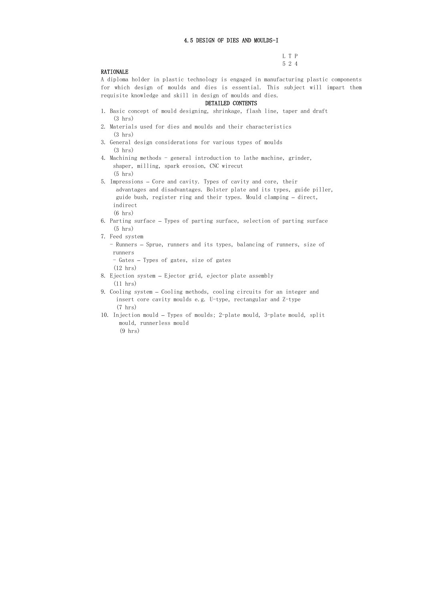#### 4.5 DESIGN OF DIES AND MOULDS-I

L T P 5 2 4

## RATIONALE

A diploma holder in plastic technology is engaged in manufacturing plastic components for which design of moulds and dies is essential. This subject will impart them requisite knowledge and skill in design of moulds and dies.

#### DETAILED CONTENTS

- 1. Basic concept of mould designing, shrinkage, flash line, taper and draft (3 hrs)
- 2. Materials used for dies and moulds and their characteristics (3 hrs)
- 3. General design considerations for various types of moulds (3 hrs)
- 4. Machining methods general introduction to lathe machine, grinder, shaper, milling, spark erosion, CNC wirecut (5 hrs)
- 5. Impressions Core and cavity. Types of cavity and core, their advantages and disadvantages. Bolster plate and its types, guide piller, guide bush, register ring and their types. Mould clamping – direct, indirect
	- (6 hrs)
- 6. Parting surface Types of parting surface, selection of parting surface (5 hrs)
- 7. Feed system
	- Runners Sprue, runners and its types, balancing of runners, size of runners
	- Gates Types of gates, size of gates
	- (12 hrs)
- 8. Ejection system Ejector grid, ejector plate assembly (11 hrs)
- 9. Cooling system Cooling methods, cooling circuits for an integer and insert core cavity moulds e.g. U-type, rectangular and Z-type (7 hrs)
- 10. Injection mould Types of moulds; 2-plate mould, 3-plate mould, split mould, runnerless mould (9 hrs)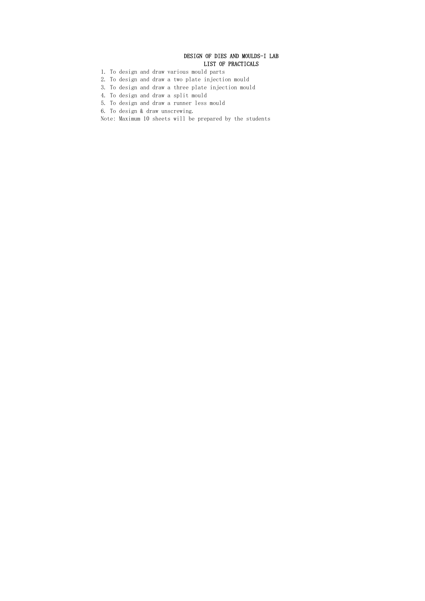# DESIGN OF DIES AND MOULDS-I LAB LIST OF PRACTICALS

- 1. To design and draw various mould parts
- 2. To design and draw a two plate injection mould
- 3. To design and draw a three plate injection mould
- 4. To design and draw a split mould
- 5. To design and draw a runner less mould
- 6. To design & draw unscrewing.
- Note: Maximum 10 sheets will be prepared by the students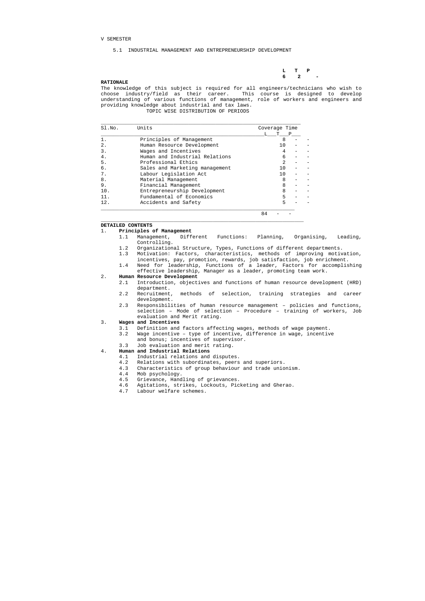#### V SEMESTER

 **L T P 6** 2 –

#### 5.1 INDUSTRIAL MANAGEMENT AND ENTREPRENEURSHIP DEVELOPMENT

#### **RATIONALE**

The knowledge of this subject is required for all engineers/technicians who wish to choose industry/field as their career. This course is designed to develop understanding of various functions of management, role of workers and engineers and providing knowledge about industrial and tax laws. TOPIC WISE DISTRIBUTION OF PERIODS

| Sl.No.           | Units                          | Coverage Time |   |  |
|------------------|--------------------------------|---------------|---|--|
|                  |                                |               | P |  |
|                  | Principles of Management       | 8             |   |  |
| $\overline{2}$ . | Human Resource Development     | 10            |   |  |
| 3.               | Wages and Incentives           |               |   |  |
| 4.               | Human and Industrial Relations | 6             |   |  |
| 5.               | Professional Ethics            | 2             |   |  |
| 6.               | Sales and Marketing management | 1 O           |   |  |
| 7.               | Labour Legislation Act         | 1 O           |   |  |
| 8.               | Material Management            | 8             |   |  |
| 9.               | Financial Management           | 8             |   |  |
| 10.              | Entrepreneurship Development   | 8             |   |  |
| 11.              | Fundamental of Economics       | 5             |   |  |
| 12.              | Accidents and Safety           |               |   |  |

 $\_$  ,  $\_$  ,  $\_$  ,  $\_$  ,  $\_$  ,  $\_$  ,  $\_$  ,  $\_$  ,  $\_$  ,  $\_$  ,  $\_$  ,  $\_$  ,  $\_$  ,  $\_$  ,  $\_$  ,  $\_$  ,  $\_$  ,  $\_$  ,  $\_$  ,  $\_$  ,  $\_$  ,  $\_$  ,  $\_$  ,  $\_$  ,  $\_$  ,  $\_$  ,  $\_$  ,  $\_$  ,  $\_$  ,  $\_$  ,  $\_$  ,  $\_$  ,  $\_$  ,  $\_$  ,  $\_$  ,  $\_$  ,  $\_$  ,

84 - -

#### **DETAILED CONTENTS**

#### 1. **Principles of Management**

- 1.1 Management, Different Functions: Planning, Organising, Leading, Controlling.
- 1.2 Organizational Structure, Types, Functions of different departments.
- 1.3 Motivation: Factors, characteristics, methods of improving motivation, incentives, pay, promotion, rewards, job satisfaction, job enrichment.
- 1.4 Need for leadership, Functions of a leader, Factors for accomplishing effective leadership, Manager as a leader, promoting team work.

#### 2. **Human Resource Development**

- 2.1 Introduction, objectives and functions of human resource development (HRD) department.
- 2.2 Recruitment, methods of selection, training strategies and career development.
- 2.3 Responsibilities of human resource management policies and functions, selection – Mode of selection – Procedure – training of workers, Job evaluation and Merit rating.

#### 3. **Wages and Incentives**

- 3.1 Definition and factors affecting wages, methods of wage payment.
- 3.2 Wage incentive type of incentive, difference in wage, incentive
	- and bonus; incentives of supervisor.
- 3.3 Job evaluation and merit rating.
- 4. **Human and Industrial Relations** 
	- 4.1 Industrial relations and disputes.
	- 4.2 Relations with subordinates, peers and superiors.
	- 4.3 Characteristics of group behaviour and trade unionism.
	- 4.4 Mob psychology.
	- 4.5 Grievance, Handling of grievances.
	- 4.6 Agitations, strikes, Lockouts, Picketing and Gherao.
	- 4.7 Labour welfare schemes.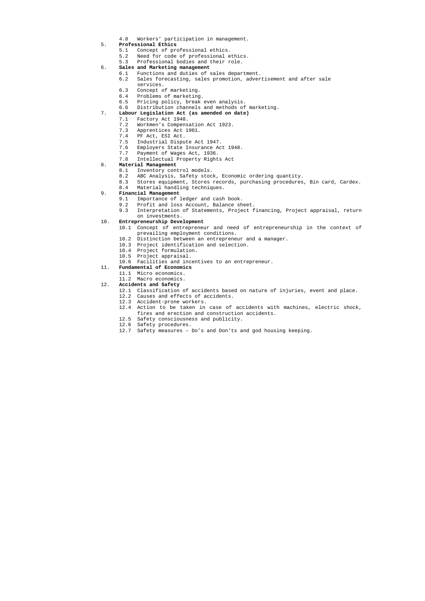4.8 Workers' participation in management.

#### 5. **Professional Ethics**

- 5.1 Concept of professional ethics.
- 5.2 Need for code of professional ethics.
- 5.3 Professional bodies and their role.
- 6. **Sales and Marketing management** 
	- 6.1 Functions and duties of sales department.
	- 6.2 Sales forecasting, sales promotion, advertisement and after sale
	- services.
	- 6.3 Concept of marketing.
	- 6.4 Problems of marketing.
	- 6.5 Pricing policy, break even analysis.
	- 6.6 Distribution channels and methods of marketing.
- 7. **Labour Legislation Act (as amended on date)** 
	- 7.1 Factory Act 1948.
	- 7.2 Workmen's Compensation Act 1923.
- 7.3 Apprentices Act 1961.
- 7.4 PF Act, ESI Act.
- 7.5 Industrial Dispute Act 1947.
	- 7.6 Employers State Insurance Act 1948.
	- 7.7 Payment of Wages Act, 1936.
	- 7.8 Intellectual Property Rights Act

#### 8. **Material Management**

- 8.1 Inventory control models.
- 8.2 ABC Analysis, Safety stock, Economic ordering quantity.
- 8.3 Stores equipment, Stores records, purchasing procedures, Bin card, Cardex.
- 8.4 Material handling techniques.
- 9. **Financial Management** 
	- 9.1 Importance of ledger and cash book.
	- 9.2 Profit and loss Account, Balance sheet.
	- 9.3 Interpretation of Statements, Project financing, Project appraisal, return on investments.

#### 10. **Entrepreneurship Development**

- 10.1 Concept of entrepreneur and need of entrepreneurship in the context of prevailing employment conditions.
- 10.2 Distinction between an entrepreneur and a manager.
- 10.3 Project identification and selection.
- 10.4 Project formulation.
- 10.5 Project appraisal.
- 10.6 Facilities and incentives to an entrepreneur.

#### 11. **Fundamental of Economics**

- 11.1 Micro economics.
- 11.2 Macro economics.
- 12. **Accidents and Safety** 
	- 12.1 Classification of accidents based on nature of injuries, event and place.
	- 12.2 Causes and effects of accidents.
	- 12.3 Accident-prone workers.
	- 12.4 Action to be taken in case of accidents with machines, electric shock, fires and erection and construction accidents.
	- 12.5 Safety consciousness and publicity.
	- 12.6 Safety procedures.
	- 12.7 Safety measures Do's and Don'ts and god housing keeping.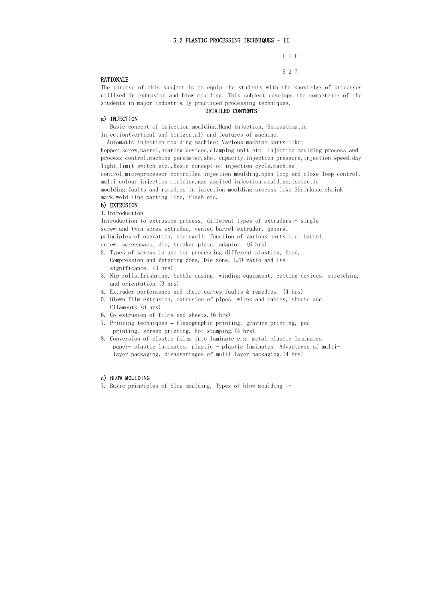## 5.2 PLASTIC PROCESSING TECHNIQUES - II

L T P

5 2 7

## RATIONALE

 Basic concept of injection moulding:Hand injection, Semiautomatic injection(vertical and horizontal) and features of machine.

The purpose of this subject is to equip the students with the knowledge of processes utilized in extrusion and blow moulding. This subject develops the competence of the students in major industrially practiced processing techniques.

 Automatic injection moulding machine: Various machine parts like; hopper, screw, barrel, heating devices, clamping unit etc. Injection moulding process and

process control, machine parameter, shot capacity, injection pressure, injection speed, day light, limit switch etc., Basic concept of injection cycle, machine

#### DETAILED CONTENTS

## a) INJECTION

Introduction to extrusion process, different types of extruders: - single screw and twin screw extruder, vented barrel extruder, general principles of operation, die swell, function of various parts i.e. barrel, screw, screenpack, die, breaker plate, adaptor. (6 hrs)

control,microprocessor controlled injection moulding,open loop and close loop control, multi colour injection moulding,gas assited injection moulding,isotactic moulding, faults and remedies in injection moulding process like: Shrinkage, shrink mark,weld line parting line, flash etc.

b) EXTRUSION

1.Introduction

- 2. Types of screws in use for processing different plastics, Feed, Compression and Metering zone, Die zone, L/D ratio and its significance. (3 hrs)
- 3. Nip rolls,Irishring, bubble casing, winding equipment, cutting devices, stretching and orientation.(3 hrs)
- 4. Extruder performance and their curves,faults & remedies. (4 hrs)
- 5. Blown film extrusion, extrusion of pipes, wires and cables, sheets and Filaments.(8 hrs)
- 6. Co extrusion of films and sheets.(6 hrs)
- 7. Printing techniques flexographic printing, gravure printing, pad printing, screen printing, hot stamping.(4 hrs)
- 8. Conversion of plastic films into laminate e.g. metal plastic laminates, paper- plastic laminates, plastic - plastic laminates. Advantages of multi layer packaging, disadvantages of multi layer packaging.(4 hrs)

#### c) BLOW MOULDING

7. Basic principles of blow moulding, Types of blow moulding :-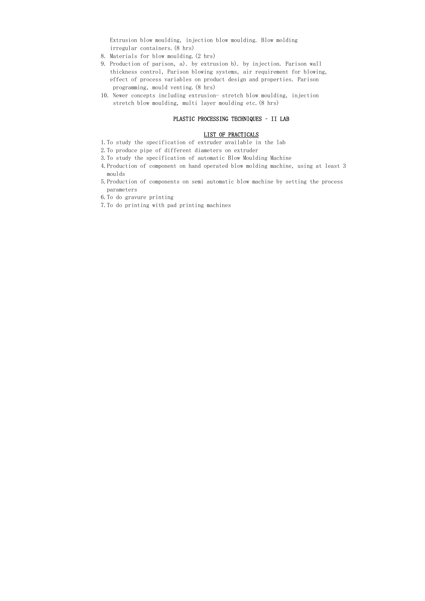Extrusion blow moulding, injection blow moulding. Blow molding irregular containers.(8 hrs)

- 8. Materials for blow moulding.(2 hrs)
- 9. Production of parison, a). by extrusion b). by injection. Parison wall thickness control, Parison blowing systems, air requirement for blowing, effect of process variables on product design and properties. Parison programming, mould venting.(8 hrs)
- 10. Newer concepts including extrusion- stretch blow moulding, injection stretch blow moulding, multi layer moulding etc.(8 hrs)

#### PLASTIC PROCESSING TECHNIQUES – II LAB

#### LIST OF PRACTICALS

- 1.To study the specification of extruder available in the lab
- 2.To produce pipe of different diameters on extruder
- 3.To study the specification of automatic Blow Moulding Machine
- 4.Production of component on hand operated blow molding machine, using at least 3 moulds
- 5.Production of components on semi automatic blow machine by setting the process parameters
- 6.To do gravure printing
- 7.To do printing with pad printing machines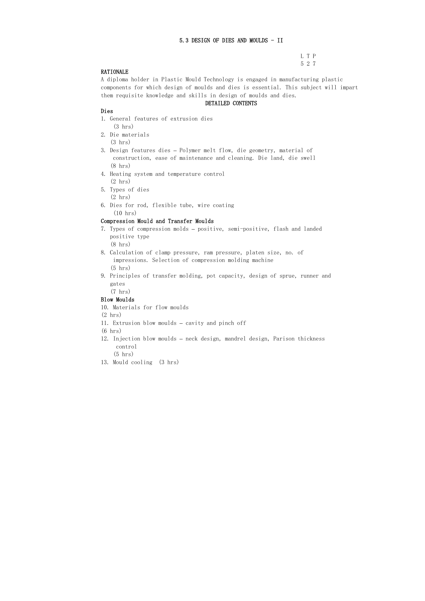## 5.3 DESIGN OF DIES AND MOULDS - II

L T P 5 2 7

## RATIONALE

A diploma holder in Plastic Mould Technology is engaged in manufacturing plastic components for which design of moulds and dies is essential. This subject will impart them requisite knowledge and skills in design of moulds and dies.

#### DETAILED CONTENTS

#### Dies

- 1. General features of extrusion dies (3 hrs)
- 2. Die materials
	- (3 hrs)
- 3. Design features dies Polymer melt flow, die geometry, material of construction, ease of maintenance and cleaning. Die land, die swell (8 hrs)
- 4. Heating system and temperature control (2 hrs)
- 5. Types of dies (2 hrs)
- 6. Dies for rod, flexible tube, wire coating (10 hrs)

#### Compression Mould and Transfer Moulds

- 7. Types of compression molds positive, semi-positive, flash and landed positive type (8 hrs)
- 8. Calculation of clamp pressure, ram pressure, platen size, no. of impressions. Selection of compression molding machine (5 hrs)
- 9. Principles of transfer molding, pot capacity, design of sprue, runner and gates

(7 hrs)

## Blow Moulds

10. Materials for flow moulds

(2 hrs)

11. Extrusion blow moulds – cavity and pinch off

(6 hrs)

12. Injection blow moulds – neck design, mandrel design, Parison thickness control

(5 hrs)

13. Mould cooling (3 hrs)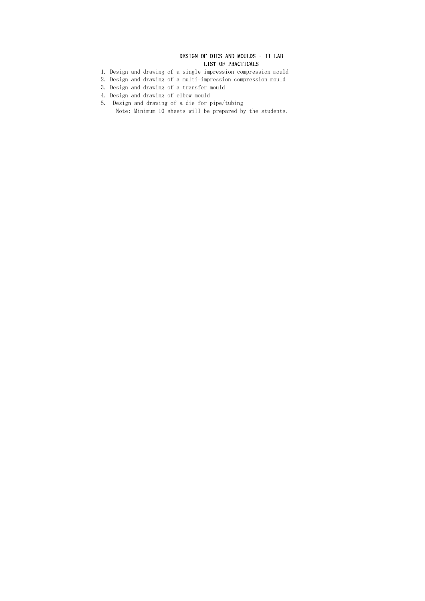# DESIGN OF DIES AND MOULDS – II LAB LIST OF PRACTICALS

- 1. Design and drawing of a single impression compression mould
- 2. Design and drawing of a multi-impression compression mould
- 3. Design and drawing of a transfer mould
- 4. Design and drawing of elbow mould
- 5. Design and drawing of a die for pipe/tubing Note: Minimum 10 sheets will be prepared by the students.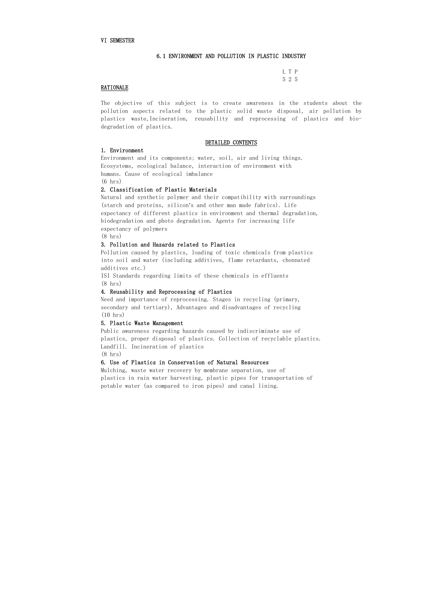#### VI SEMESTER

#### 6.1 ENVIRONMENT AND POLLUTION IN PLASTIC INDUSTRY

| ٠ |  |
|---|--|

#### **RATIONALE**

The objective of this subject is to create awareness in the students about the pollution aspects related to the plastic solid waste disposal, air pollution by plastics waste,Incineration, reusability and reprocessing of plastics and biodegradation of plastics.

#### DETAILED CONTENTS

#### 1. Environment

Environment and its components; water, soil, air and living things. Ecosystems, ecological balance, interaction of environment with humans. Cause of ecological imbalance (6 hrs)

#### 2. Classification of Plastic Materials

Natural and synthetic polymer and their compatibility with surroundings (starch and proteins, silicon's and other man made fabrics). Life expectancy of different plastics in environment and thermal degradation, biodegradation and photo degradation. Agents for increasing life expectancy of polymers

(8 hrs)

#### 3. Pollution and Hazards related to Plastics

Pollution caused by plastics, loading of toxic chemicals from plastics into soil and water (including additives, flame retardants, chonnated additives etc.)

ISI Standards regarding limits of these chemicals in effluents (8 hrs)

#### 4. Reusability and Reprocessing of Plastics

Need and importance of reprocessing. Stages in recycling (primary, secondary and tertiary), Advantages and disadvantages of recycling (10 hrs)

#### 5. Plastic Waste Management

Public awareness regarding hazards caused by indiscriminate use of plastics, proper disposal of plastics. Collection of recyclable plastics. Landfill. Incineration of plastics

(8 hrs)

#### 6. Use of Plastics in Conservation of Natural Resources

Mulching, waste water recovery by membrane separation, use of plastics in rain water harvesting, plastic pipes for transportation of potable water (as compared to iron pipes) and canal lining.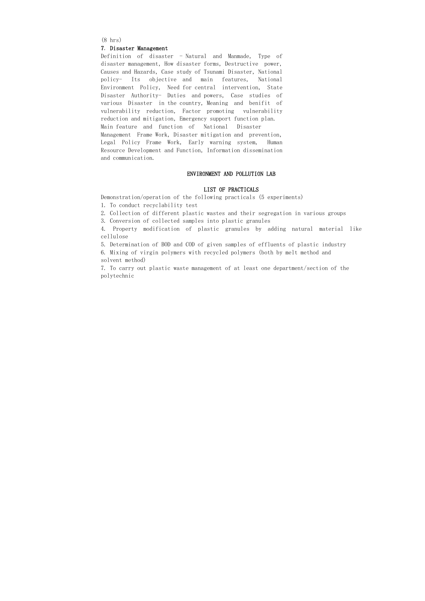(8 hrs)

#### 7. Disaster Management

Definition of disaster - Natural and Manmade, Type of disaster management, How disaster forms, Destructive power, Causes and Hazards, Case study of Tsunami Disaster, National policy- Its objective and main features, National Environment Policy, Need for central intervention, State Disaster Authority- Duties and powers, Case studies of various Disaster in the country, Meaning and benifit of vulnerability reduction, Factor promoting vulnerability reduction and mitigation, Emergency support function plan. Main feature and function of National Disaster Management Frame Work, Disaster mitigation and prevention, Legal Policy Frame Work, Early warning system, Human Resource Development and Function, Information dissemination and communication.

#### ENVIRONMENT AND POLLUTION LAB

#### LIST OF PRACTICALS

Demonstration/operation of the following practicals (5 experiments)

1. To conduct recyclability test

2. Collection of different plastic wastes and their segregation in various groups

3. Conversion of collected samples into plastic granules

4. Property modification of plastic granules by adding natural material like cellulose

5. Determination of BOD and COD of given samples of effluents of plastic industry

6. Mixing of virgin polymers with recycled polymers (both by melt method and solvent method)

7. To carry out plastic waste management of at least one department/section of the polytechnic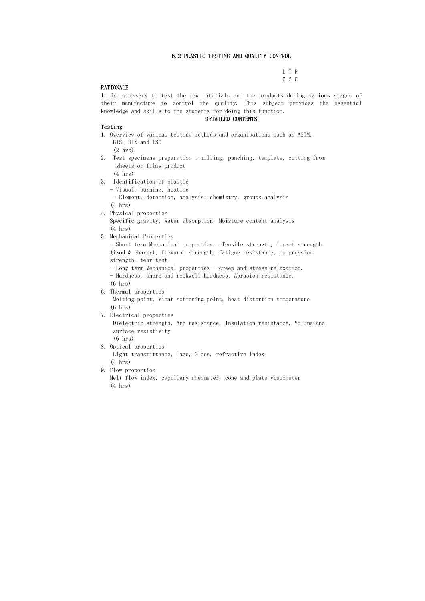#### 6.2 PLASTIC TESTING AND QUALITY CONTROL

| $\cdot$ |  |
|---------|--|

#### RATIONALE

It is necessary to test the raw materials and the products during various stages of their manufacture to control the quality. This subject provides the essential knowledge and skills to the students for doing this function.

#### DETAILED CONTENTS

#### Testing

1. Overview of various testing methods and organisations such as ASTM, BIS, DIN and ISO (2 hrs) 2. Test specimens preparation : milling, punching, template, cutting from sheets or films product

(4 hrs)

- 3. Identification of plastic
	- Visual, burning, heating
	- Element, detection, analysis; chemistry, groups analysis
	- (4 hrs)
- 4. Physical properties Specific gravity, Water absorption, Moisture content analysis (4 hrs)
- 5. Mechanical Properties
	- Short term Mechanical properties Tensile strength, impact strength (izod & charpy), flexural strength, fatigue resistance, compression strength, tear test
	- Long term Mechanical properties creep and stress relaxation.
	- Hardness, shore and rockwell hardness, Abrasion resistance. (6 hrs)
- 6. Thermal properties

 Melting point, Vicat softening point, heat distortion temperature (6 hrs)

7. Electrical properties

 Dielectric strength, Arc resistance, Insulation resistance, Volume and surface resistivity

# (6 hrs)

- 8. Optical properties Light transmittance, Haze, Gloss, refractive index (4 hrs)
- 9. Flow properties Melt flow index, capillary rheometer, cone and plate viscometer (4 hrs)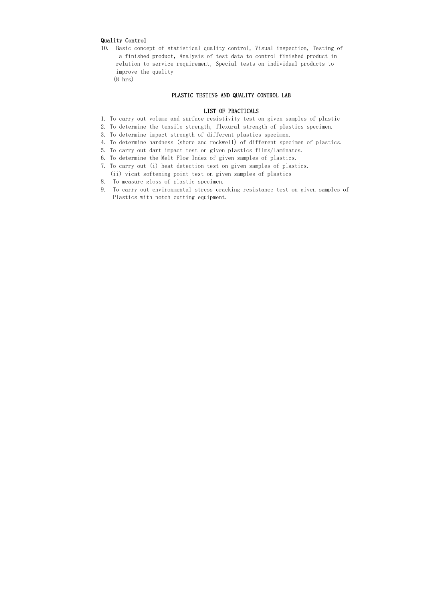#### Quality Control

- 10. Basic concept of statistical quality control, Visual inspection, Testing of a finished product, Analysis of test data to control finished product in relation to service requirement, Special tests on individual products to improve the quality
	- (8 hrs)

#### PLASTIC TESTING AND QUALITY CONTROL LAB

#### LIST OF PRACTICALS

- 1. To carry out volume and surface resistivity test on given samples of plastic
- 2. To determine the tensile strength, flexural strength of plastics specimen.
- 3. To determine impact strength of different plastics specimen.
- 4. To determine hardness (shore and rockwell) of different specimen of plastics.
- 5. To carry out dart impact test on given plastics films/laminates.
- 6. To determine the Melt Flow Index of given samples of plastics.
- 7. To carry out (i) heat detection test on given samples of plastics. (ii) vicat softening point test on given samples of plastics
- 8. To measure gloss of plastic specimen.
- 9. To carry out environmental stress cracking resistance test on given samples of Plastics with notch cutting equipment.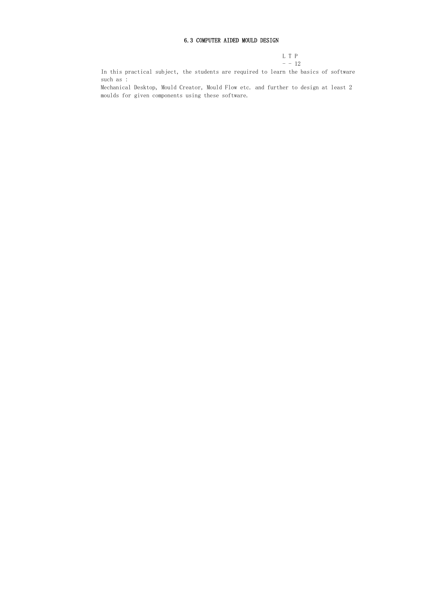## 6.3 COMPUTER AIDED MOULD DESIGN

L T P  $- - 12$ 

In this practical subject, the students are required to learn the basics of software such as :

Mechanical Desktop, Mould Creator, Mould Flow etc. and further to design at least 2 moulds for given components using these software.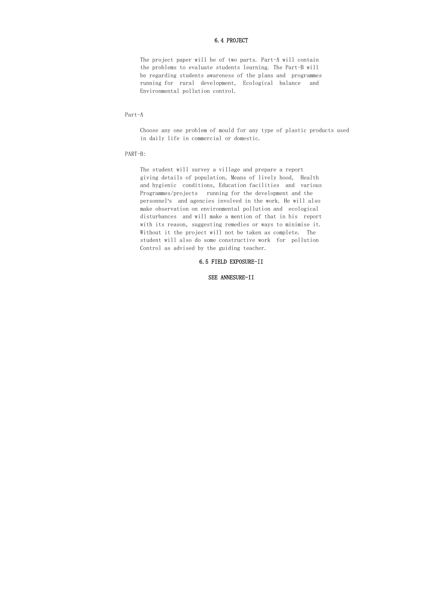#### 6.4 PROJECT

 The project paper will be of two parts. Part-A will contain the problems to evaluate students learning. The Part-B will be regarding students awareness of the plans and programmes running for rural development, Ecological balance and Environmental pollution control.

Part-A

 Choose any one problem of mould for any type of plastic products used in daily life in commercial or domestic.

PART-B:

 The student will survey a village and prepare a report giving details of population, Means of lively hood, Health and hygienic conditions, Education facilities and various Programmes/projects running for the development and the personnel's and agencies involved in the work. He will also make observation on environmental pollution and ecological disturbances and will make a mention of that in his report with its reason, suggesting remedies or ways to minimise it. Without it the project will not be taken as complete. The student will also do some constructive work for pollution Control as advised by the guiding teacher.

#### 6.5 FIELD EXPOSURE-II

#### SEE ANNESURE-II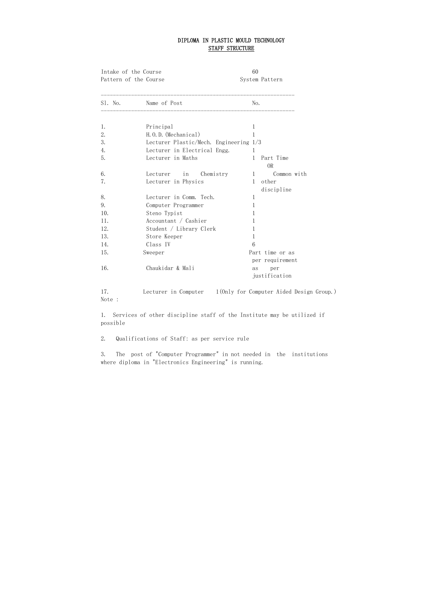# DIPLOMA IN PLASTIC MOULD TECHNOLOGY STAFF STRUCTURE

| Intake of the Course  |                                                               | 60                                 |
|-----------------------|---------------------------------------------------------------|------------------------------------|
| Pattern of the Course |                                                               | System Pattern                     |
| S1. No.               | Name of Post<br>____________________                          | No.                                |
| 1.<br>2.              | Principal                                                     | 1                                  |
| 3.                    | H.O.D. (Mechanical)<br>Lecturer Plastic/Mech. Engineering 1/3 | 1                                  |
| 4.                    | Lecturer in Electrical Engg.                                  | 1                                  |
| 5.                    | Lecturer in Maths                                             | Part Time<br>1<br><b>OR</b>        |
| 6.                    | Lecturer in<br>Chemistry                                      | Common with<br>1                   |
| 7.                    | Lecturer in Physics                                           | other<br>1<br>discipline           |
| 8.                    | Lecturer in Comm. Tech.                                       | 1                                  |
| 9.                    | Computer Programmer                                           | 1                                  |
| 10.                   | Steno Typist                                                  | 1                                  |
| 11.                   | Accountant / Cashier                                          | 1                                  |
| 12.                   | Student / Library Clerk                                       | 1                                  |
| 13.                   | Store Keeper                                                  | 1                                  |
| 14.                   | Class IV                                                      | 6                                  |
| 15.                   | Sweeper                                                       | Part time or as<br>per requirement |
| 16.                   | Chaukidar & Mali                                              | per<br>as<br>justification         |

17. Lecturer in Computer 1(Only for Computer Aided Design Group.) Note :

1. Services of other discipline staff of the Institute may be utilized if possible

2. Qualifications of Staff: as per service rule

3. The post of "Computer Programmer" in not needed in the institutions where diploma in "Electronics Engineering" is running.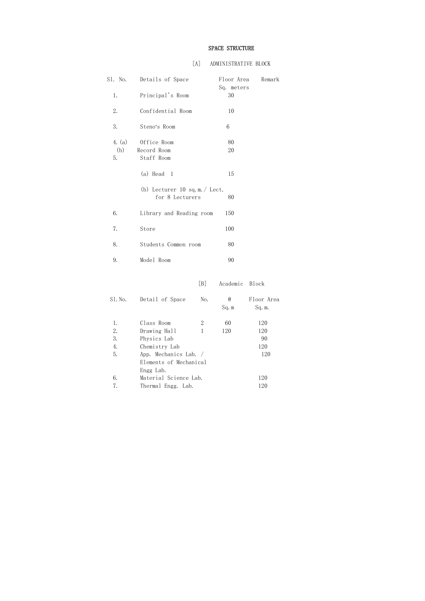# SPACE STRUCTURE

# [A] ADMINISTRATIVE BLOCK

| S1. No.             | Details of Space                                   |                |              | Floor Area<br>Remark<br>Sq. meters |
|---------------------|----------------------------------------------------|----------------|--------------|------------------------------------|
| 1.                  | Principal's Room                                   |                | 30           |                                    |
| 2.                  | Confidential Room                                  |                | 10           |                                    |
| 3.                  | Steno's Room                                       |                | 6            |                                    |
| 4. (a)<br>(b)<br>5. | Office Room<br>Record Room<br>Staff Room           |                | 80<br>20     |                                    |
|                     | $(a)$ Head 1                                       |                | 15           |                                    |
|                     | (b) Lecturer 10 sq.m. $/$ Lect.<br>for 8 Lecturers |                | 80           |                                    |
| 6.                  | Library and Reading room                           |                | 150          |                                    |
| 7.                  | Store                                              |                | 100          |                                    |
| 8.                  | Students Common room                               |                | 80           |                                    |
| 9.                  | Model Room                                         |                | 90           |                                    |
|                     |                                                    | [B]            | Academic     | <b>Block</b>                       |
| S1. No.             | Detail of Space                                    | No.            | $@$<br>Sq. m | Floor Area<br>Sq. m.               |
| 1.                  | Class Room                                         | $\overline{2}$ | 60           | 120                                |
| 2.                  | Drawing Hall                                       | $\mathbf{1}$   | 120          | 120                                |

|    | Class Room             | 60  | 120 |
|----|------------------------|-----|-----|
| 2. | Drawing Hall           | 120 | 120 |
| 3. | Physics Lab            |     | 90  |
| 4. | Chemistry Lab          |     | 120 |
| 5. | App. Mechanics Lab. /  |     | 120 |
|    | Elements of Mechanical |     |     |
|    | Engg Lab.              |     |     |
| 6. | Material Science Lab.  |     | 120 |
|    | Thermal Engg. Lab.     |     | 120 |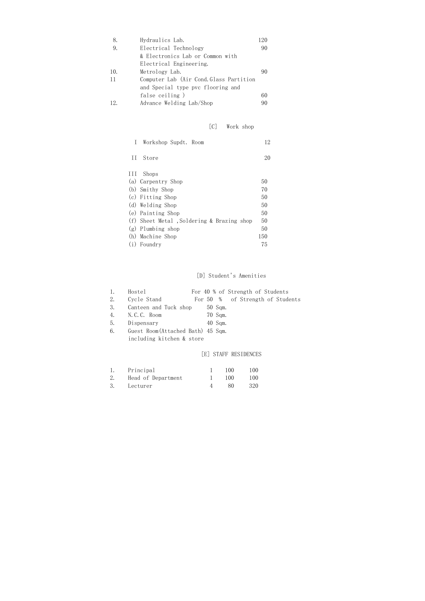| 8.  | Hydraulics Lab.                         |    |
|-----|-----------------------------------------|----|
| 9.  | Electrical Technology                   | 90 |
|     | & Electronics Lab or Common with        |    |
|     | Electrical Engineering.                 |    |
| 10. | Metrology Lab.                          | 90 |
| 11  | Computer Lab (Air Cond. Glass Partition |    |
|     | and Special type pvc flooring and       |    |
|     | false ceiling)                          | 60 |
| 12. | Advance Welding Lab/Shop                | 90 |

# [C] Work shop

| I.  | Workshop Supdt. Room                      | 12  |
|-----|-------------------------------------------|-----|
| Η   | Store                                     | 20  |
| 111 | Shops                                     |     |
|     | (a) Carpentry Shop                        | 50  |
|     | (b) Smithy Shop                           | 70  |
|     | (c) Fitting Shop                          | 50  |
|     | (d) Welding Shop                          | 50  |
|     | (e) Painting Shop                         | 50  |
|     | (f) Sheet Metal, Soldering & Brazing shop | 50  |
|     | $(g)$ Plumbing shop                       | 50  |
|     | (h) Machine Shop                          | 150 |
|     | Foundry                                   | 75  |
|     |                                           |     |

# [D] Student's Amenities

|    | Hostel                             |  |           | For 40 % of Strength of Students |                                  |
|----|------------------------------------|--|-----------|----------------------------------|----------------------------------|
| 2. | Cycle Stand                        |  |           |                                  | For 50 % of Strength of Students |
| 3. | Canteen and Tuck shop              |  | $50$ Sqm. |                                  |                                  |
| 4. | N.C.C. Room                        |  | 70 Sqm.   |                                  |                                  |
| 5. | Dispensary                         |  | 40 Sqm.   |                                  |                                  |
| 6. | Guest Room (Attached Bath) 45 Sqm. |  |           |                                  |                                  |

including kitchen & store

# [E] STAFF RESIDENCES

| Principal          | 100  | 100  |
|--------------------|------|------|
| Head of Department | 100- | 100  |
| Lecturer           | 80.  | -320 |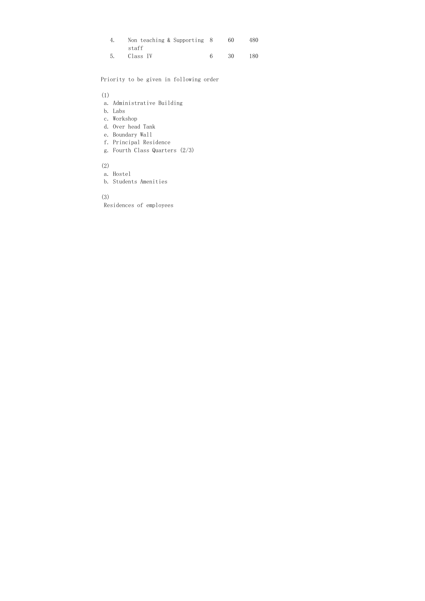| Non teaching & Supporting 8 | 60   |     |
|-----------------------------|------|-----|
| staff                       |      |     |
| Class IV                    | -30- | 180 |

Priority to be given in following order

## (1)

- a. Administrative Building
- b. Labs
- c. Workshop
- d. Over head Tank
- e. Boundary Wall
- f. Principal Residence
- g. Fourth Class Quarters (2/3)

# (2)

- a. Hostel
- b. Students Amenities

# (3)

Residences of employees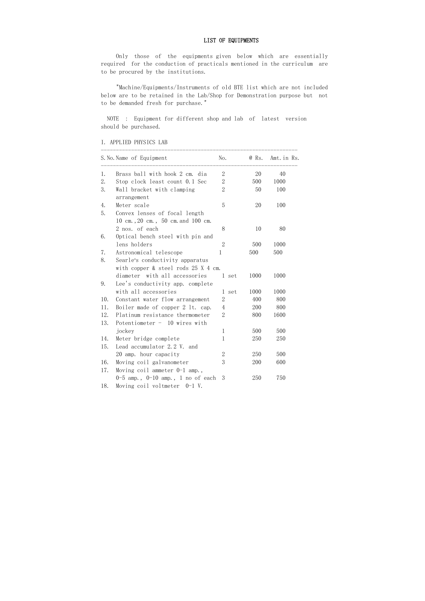## LIST OF EQUIPMENTS

 Only those of the equipments given below which are essentially required for the conduction of practicals mentioned in the curriculum are to be procured by the institutions.

 "Machine/Equipments/Instruments of old BTE list which are not included below are to be retained in the Lab/Shop for Demonstration purpose but not to be demanded fresh for purchase."

 NOTE : Equipment for different shop and lab of latest version should be purchased.

|  |  | I. APPLIED PHYSICS LAB |  |  |
|--|--|------------------------|--|--|
|--|--|------------------------|--|--|

|     | S. No. Name of Equipment                                                  | No.            | @ Rs. | Amt. in Rs. |
|-----|---------------------------------------------------------------------------|----------------|-------|-------------|
| 1.  | Brass ball with hook 2 cm. dia                                            | $\sqrt{2}$     | 20    | 40          |
| 2.  | Stop clock least count 0.1 Sec                                            | $\overline{2}$ | 500   | 1000        |
| 3.  | Wall bracket with clamping<br>arrangement                                 | $\overline{2}$ | 50    | 100         |
| 4.  | Meter scale                                                               | 5              | 20    | 100         |
| 5.  | Convex lenses of focal length<br>10 cm., 20 cm., 50 cm. and 100 cm.       |                |       |             |
|     | 2 nos. of each                                                            | 8              | 10    | 80          |
| 6.  | Optical bench steel with pin and<br>lens holders                          | $\overline{2}$ | 500   | 1000        |
| 7.  | Astronomical telescope                                                    | 1              | 500   | 500         |
| 8.  | Searle's conductivity apparatus<br>with copper $\&$ steel rods 25 X 4 cm. |                |       |             |
|     | diameter with all accessories                                             | 1 set          | 1000  | 1000        |
| 9.  | Lee's conductivity app. complete                                          |                |       |             |
|     | with all accessories                                                      | 1 set          | 1000  | 1000        |
| 10. | Constant water flow arrangement                                           | $\overline{2}$ | 400   | 800         |
| 11. | Boiler made of copper 2 lt. cap.                                          | $\overline{4}$ | 200   | 800         |
| 12. | Platinum resistance thermometer                                           | $\mathbf{2}$   | 800   | 1600        |
| 13. | Potentiometer - 10 wires with                                             |                |       |             |
|     | jockey                                                                    | $\mathbf{1}$   | 500   | 500         |
| 14. | Meter bridge complete                                                     | 1              | 250   | 250         |
| 15. | Lead accumulator 2.2 V. and                                               |                |       |             |
|     | 20 amp. hour capacity                                                     | $\overline{2}$ | 250   | 500         |
| 16. | Moving coil galvanometer                                                  | 3              | 200   | 600         |
| 17. | Moving coil ammeter $0-1$ amp.,                                           |                |       |             |
| 18. | 0-5 amp., $0-10$ amp., 1 no of each<br>Moving coil voltmeter 0-1 V.       | 3              | 250   | 750         |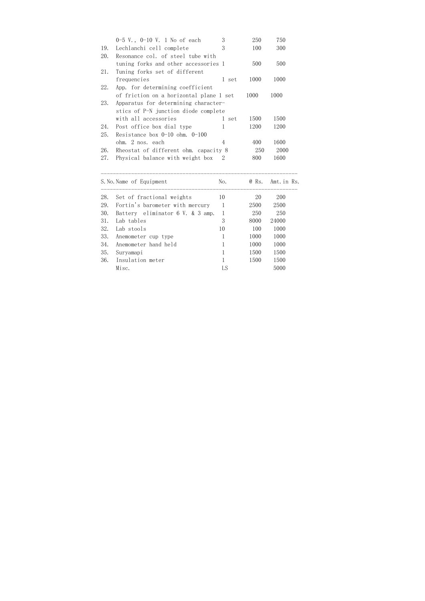|     | $0-5$ V., $0-10$ V. 1 No of each        | 3     | 250  | 750  |
|-----|-----------------------------------------|-------|------|------|
| 19. | Lechlanchi cell complete                | 3     | 100  | 300  |
| 20. | Resonance col. of steel tube with       |       |      |      |
|     | tuning forks and other accessories 1    |       | 500  | 500  |
| 21. | Tuning forks set of different           |       |      |      |
|     | frequencies                             | l set | 1000 | 1000 |
| 22. | App. for determining coefficient        |       |      |      |
|     | of friction on a horizontal plane 1 set |       | 1000 | 1000 |
| 23. | Apparatus for determining character-    |       |      |      |
|     | stics of P-N junction diode complete    |       |      |      |
|     | with all accessories                    | l set | 1500 | 1500 |
| 24. | Post office box dial type               | 1     | 1200 | 1200 |
| 25. | Resistance box $0-10$ ohm. $0-100$      |       |      |      |
|     | ohm. 2 nos. each                        | 4     | 400  | 1600 |
| 26. | Rheostat of different ohm. capacity 8   |       | 250  | 2000 |
| 27. | Physical balance with weight box        |       | 800  | 1600 |

|     | S. No. Name of Equipment         | No. | @ Rs. | Amt.in Rs. |
|-----|----------------------------------|-----|-------|------------|
| 28. | Set of fractional weights        | 10  | 20    | 200        |
| 29. | Fortin's barometer with mercury  |     | 2500  | 2500       |
| 30. | Battery eliminator 6 V. & 3 amp. |     | 250   | 250        |
| 31. | Lab tables                       | 3   | 8000  | 24000      |
| 32. | Lab stools                       | 10  | 100   | 1000       |
| 33. | Anemometer cup type              |     | 1000  | 1000       |
| 34. | Anemometer hand held             |     | 1000  | 1000       |
| 35. | Suryamapi                        |     | 1500  | 1500       |
| 36. | Insulation meter                 |     | 1500  | 1500       |
|     | Misc.                            | LS  |       | 5000       |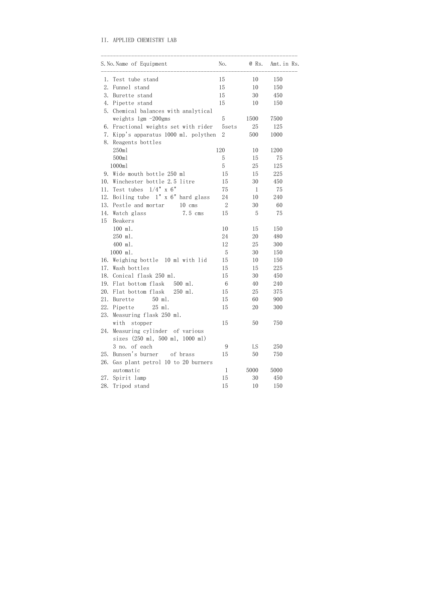## II. APPLIED CHEMISTRY LAB

|     | S. No. Name of Equipment              | No.              | @ Rs.        | Amt. in Rs. |
|-----|---------------------------------------|------------------|--------------|-------------|
| 1.  | Test tube stand                       | 15               | 10           | 150         |
| 2.  | Funnel stand                          | 15               | 10           | 150         |
| 3.  | Burette stand                         | 15               | 30           | 450         |
| 4.  | Pipette stand                         | 15               | 10           | 150         |
| 5.  | Chemical balances with analytical     |                  |              |             |
|     | weights 1gm -200gms                   | 5                | 1500         | 7500        |
| 6.  | Fractional weights set with rider     | 5sets            | 25           | 125         |
| 7.  | Kipp's apparatus 1000 ml. polythen    | $\overline{2}$   | 500          | 1000        |
| 8.  | Reagents bottles                      |                  |              |             |
|     | 250ml                                 | 120              | 10           | 1200        |
|     | 500ml                                 | 5                | 15           | 75          |
|     | 1000ml                                | 5                | 25           | 125         |
| 9.  | Wide mouth bottle 250 ml              | 15               | 15           | 225         |
| 10. | Winchester bottle 2.5 litre           | 15               | 30           | 450         |
| 11. | Test tubes $1/4$ " x 6"               | 75               | $\mathbf{1}$ | 75          |
| 12. | Boiling tube $1''$ x $6''$ hard glass | 24               | 10           | 240         |
| 13. | Pestle and mortar<br>$10$ cms         | $\boldsymbol{2}$ | 30           | 60          |
| 14. | Watch glass<br>7.5 cms                | 15               | 5            | 75          |
| 15  | Beakers                               |                  |              |             |
|     | 100 ml.                               | 10               | 15           | 150         |
|     | 250 ml.                               | 24               | 20           | 480         |
|     | 400 ml.                               | 12               | 25           | 300         |
|     | 1000 ml.                              | 5                | 30           | 150         |
| 16. | Weighing bottle 10 ml with lid        | 15               | 10           | 150         |
| 17. | Wash bottles                          | 15               | 15           | 225         |
| 18. | Conical flask 250 ml.                 | 15               | 30           | 450         |
| 19. | Flat bottom flask<br>500 ml.          | 6                | 40           | 240         |
| 20. | Flat bottom flask<br>250 ml.          | 15               | 25           | 375         |
| 21. | 50 ml.<br>Burette                     | 15               | 60           | 900         |
| 22. | 25 ml.<br>Pipette                     | 15               | 20           | 300         |
| 23. | Measuring flask 250 ml.               |                  |              |             |
|     | with<br>stopper                       | 15               | 50           | 750         |
| 24. | Measuring cylinder of various         |                  |              |             |
|     | sizes (250 ml, 500 ml, 1000 ml)       |                  |              |             |
|     | 3 no. of each                         | 9                | LS           | 250         |
| 25. | Bunsen's burner<br>of brass           | 15               | 50           | 750         |
| 26. | Gas plant petrol 10 to 20 burners     |                  |              |             |
|     | automatic                             | 1                | 5000         | 5000        |
| 27. | Spirit lamp                           | 15               | 30           | 450         |
| 28. | Tripod stand                          | 15               | 10           | 150         |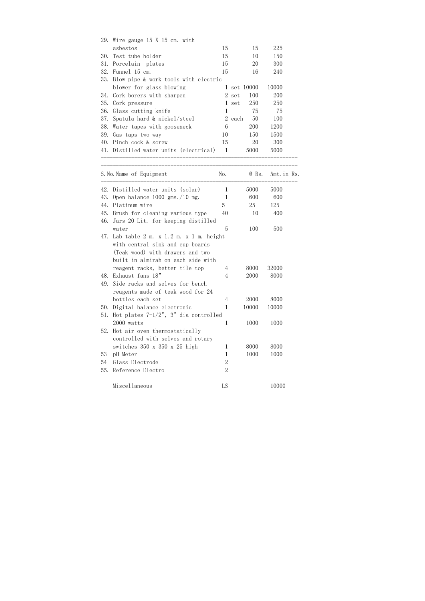|     | 29. Wire gauge 15 X 15 cm. with                                                                                     |                |        |             |             |
|-----|---------------------------------------------------------------------------------------------------------------------|----------------|--------|-------------|-------------|
|     | asbestos                                                                                                            | 15             |        | 15          | 225         |
| 30. | Test tube holder                                                                                                    | 15             |        | 10          | 150         |
| 31. | Porcelain plates                                                                                                    | 15             |        | 20          | 300         |
| 32. | Funnel 15 cm.                                                                                                       | 15             |        | 16          | 240         |
| 33. | Blow pipe & work tools with electric                                                                                |                |        |             |             |
|     | blower for glass blowing                                                                                            |                |        | 1 set 10000 | 10000       |
| 34. | Cork borers with sharpen                                                                                            |                | 2 set  | 100         | 200         |
| 35. | Cork pressure                                                                                                       |                | 1 set  | 250         | 250         |
| 36. | Glass cutting knife                                                                                                 | $\mathbf{1}$   |        | 75          | 75          |
| 37. | Spatula hard & nickel/steel                                                                                         |                | 2 each | 50          | 100         |
| 38. | Water tapes with gooseneck                                                                                          | 6              |        | 200         | 1200        |
| 39. | Gas taps two way                                                                                                    | 10             |        | 150         | 1500        |
| 40. | Pinch cock & screw                                                                                                  | 15             |        | 20          | 300         |
|     | 41. Distilled water units (electrical)                                                                              | $\overline{1}$ |        | 5000        | 5000        |
|     |                                                                                                                     |                |        |             |             |
|     | S. No. Name of Equipment                                                                                            | No.            |        | @ Rs.       | Amt. in Rs. |
| 42. | Distilled water units (solar)                                                                                       | 1              |        | 5000        | 5000        |
| 43. | Open balance $1000$ gms. $/10$ mg.                                                                                  | $\mathbf 1$    |        | 600         | 600         |
| 44. | Platinum wire                                                                                                       | 5              |        | 25          | 125         |
| 45. | Brush for cleaning various type                                                                                     | 40             |        | 10          | 400         |
| 46. | Jars 20 Lit. for keeping distilled                                                                                  |                |        |             |             |
|     | water                                                                                                               | 5              |        | 100         | 500         |
| 47. | Lab table $2$ m. x $1.2$ m. x $1$ m. height<br>with central sink and cup boards<br>(Teak wood) with drawers and two |                |        |             |             |
|     | built in almirah on each side with                                                                                  |                |        |             |             |
|     | reagent racks, better tile top                                                                                      | 4              |        | 8000        | 32000       |
| 48. | Exhaust fans 18"                                                                                                    | $\overline{4}$ |        | 2000        | 8000        |
| 49. | Side racks and selves for bench                                                                                     |                |        |             |             |
|     | reagents made of teak wood for 24                                                                                   |                |        |             |             |
|     | bottles each set                                                                                                    | $\overline{4}$ |        | 2000        | 8000        |
| 50. | Digital balance electronic                                                                                          | $\mathbf{1}$   |        | 10000       | 10000       |
| 51. | Hot plates $7-1/2$ ", 3" dia controlled                                                                             |                |        |             |             |
|     | 2000 watts                                                                                                          | $\mathbf{1}$   |        | 1000        | 1000        |
| 52. | Hot air oven thermostatically                                                                                       |                |        |             |             |
|     | controlled with selves and rotary                                                                                   |                |        |             |             |
|     | switches 350 x 350 x 25 high                                                                                        | 1              |        | 8000        | 8000        |
| 53  | pH Meter                                                                                                            | 1              |        | 1000        | 1000        |
| 54  | Glass Electrode                                                                                                     | $\overline{2}$ |        |             |             |
| 55. | Reference Electro                                                                                                   | $\mathbf{2}$   |        |             |             |
|     | Miscellaneous                                                                                                       | LS             |        |             | 10000       |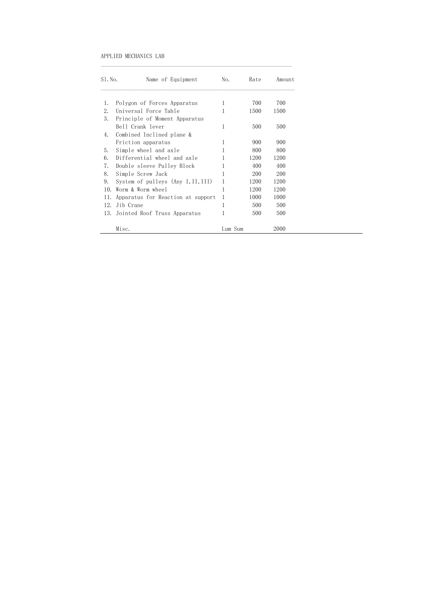#### APPLIED MECHANICS LAB

| $S1.$ No. | Name of Equipment                  | No.          | Rate | Amount |
|-----------|------------------------------------|--------------|------|--------|
|           |                                    |              |      |        |
| 1.        | Polygon of Forces Apparatus        | 1            | 700  | 700    |
| 2.        | Universal Force Table              | 1            | 1500 | 1500   |
| 3.        | Principle of Moment Apparatus      |              |      |        |
|           | Bell Crank lever                   | 1            | 500  | 500    |
| 4.        | Combined Inclined plane &          |              |      |        |
|           | Friction apparatus                 |              | 900  | 900    |
| 5.        | Simple wheel and axle              |              | 800  | 800    |
| 6.        | Differential wheel and axle        |              | 1200 | 1200   |
| 7.        | Double sleeve Pulley Block         |              | 400  | 400    |
| 8.        | Simple Screw Jack                  |              | 200  | 200    |
| 9.        | System of pulleys (Any I, II, III) | 1            | 1200 | 1200   |
| 10.       | Worm & Worm wheel                  | 1            | 1200 | 1200   |
| 11.       | Apparatus for Reaction at support  | $\mathbf{1}$ | 1000 | 1000   |
| 12.       | Jib Crane                          | 1            | 500  | 500    |
| 13.       | Jointed Roof Truss Apparatus       |              | 500  | 500    |
|           | Misc.                              | Lum Sum      |      | 2000   |

 $\mathcal{L}_\mathcal{L}$  , and the contribution of the contribution of the contribution of the contribution of the contribution of the contribution of the contribution of the contribution of the contribution of the contribution of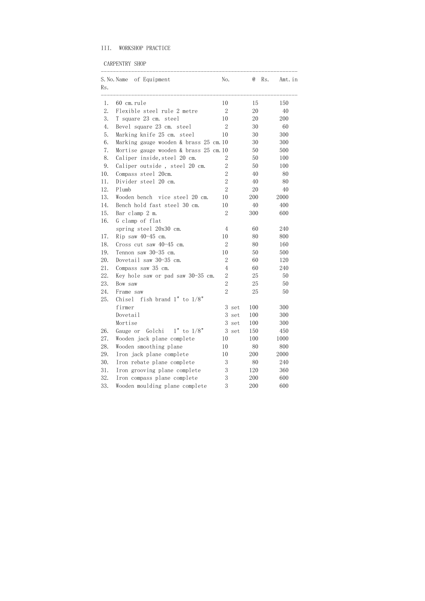# III. WORKSHOP PRACTICE

CARPENTRY SHOP

|     | S. No. Name of Equipment                  | No.              |       | $^{\,a}$ | Rs. | Amt. in |
|-----|-------------------------------------------|------------------|-------|----------|-----|---------|
| Rs. |                                           |                  |       |          |     |         |
| 1.  | 60 cm.rule                                | 10               |       | 15       |     | 150     |
| 2.  | Flexible steel rule 2 metre               | $\mathbf{2}$     |       | 20       |     | 40      |
| 3.  | T square 23 cm. steel                     | 10               |       | 20       |     | 200     |
| 4.  | Bevel square 23 cm. steel                 | $\mathbf{2}$     |       | 30       |     | 60      |
| 5.  | Marking knife 25 cm. steel                | 10               |       | 30       |     | 300     |
| 6.  | Marking gauge wooden & brass 25 cm. 10    |                  |       | 30       |     | 300     |
| 7.  | Mortise gauge wooden $\&$ brass 25 cm. 10 |                  |       | 50       |     | 500     |
| 8.  | Caliper inside, steel 20 cm.              | 2                |       | 50       |     | 100     |
| 9.  | Caliper outside, steel 20 cm.             | $\mathbf{2}$     |       | 50       |     | 100     |
| 10. | Compass steel 20cm.                       | $\overline{2}$   |       | 40       |     | 80      |
| 11. | Divider steel 20 cm.                      | $\overline{2}$   |       | 40       |     | 80      |
| 12. | Plumb                                     | $\overline{2}$   |       | 20       |     | 40      |
| 13. | Wooden bench vice steel 20 cm.            | 10               |       | 200      |     | 2000    |
| 14. | Bench hold fast steel 30 cm.              | 10               |       | 40       |     | 400     |
| 15. | Bar clamp 2 m.                            | 2                |       | 300      |     | 600     |
| 16. | G clamp of flat                           |                  |       |          |     |         |
|     | spring steel 20x30 cm.                    | $\overline{4}$   |       | 60       |     | 240     |
| 17. | $Rip$ saw $40-45$ cm.                     | 10               |       | 80       |     | 800     |
| 18. | Cross cut saw $40-45$ cm.                 | $\boldsymbol{2}$ |       | 80       |     | 160     |
| 19. | Tennon saw 30-35 cm.                      | 10               |       | 50       |     | 500     |
| 20. | Dovetail saw 30-35 cm.                    | $2\,$            |       | 60       |     | 120     |
| 21. | Compass saw 35 cm.                        | $\overline{4}$   |       | 60       |     | 240     |
| 22. | Key hole saw or pad saw 30-35 cm.         | $\overline{2}$   |       | 25       |     | 50      |
| 23. | Bow saw                                   | $\overline{2}$   |       | 25       |     | 50      |
| 24. | Frame saw                                 | $\overline{2}$   |       | 25       |     | 50      |
| 25. | fish brand $1"$ to $1/8"$<br>Chisel       |                  |       |          |     |         |
|     | firmer                                    |                  | 3 set | 100      |     | 300     |
|     | Dovetail                                  | 3                | set   | 100      |     | 300     |
|     | Mortise                                   |                  | 3 set | 100      |     | 300     |
| 26. | Golchi<br>$1"$ to $1/8"$<br>Gauge or      | 3                | set   | 150      |     | 450     |
| 27. | Wooden jack plane complete                | 10               |       | 100      |     | 1000    |
| 28. | Wooden smoothing plane                    | 10               |       | 80       |     | 800     |
| 29. | Iron jack plane complete                  | 10               |       | 200      |     | 2000    |
| 30. | Iron rebate plane complete                | 3                |       | 80       |     | 240     |
| 31. | Iron grooving plane complete              | 3                |       | 120      |     | 360     |
| 32. | Iron compass plane complete               | 3                |       | 200      |     | 600     |
| 33. | Wooden moulding plane complete            | 3                |       | 200      |     | 600     |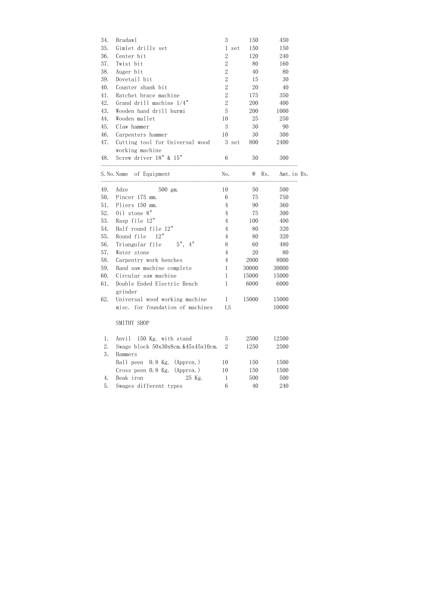| 34. | Bradaw1                                            | 3                |       | 150   |              | 450         |  |
|-----|----------------------------------------------------|------------------|-------|-------|--------------|-------------|--|
| 35. | Gimlet drills set                                  | 1                | set   | 150   |              | 150         |  |
| 36. | Center bit                                         | $\overline{2}$   |       | 120   |              | 240         |  |
| 37. | Twist bit                                          | $\overline{2}$   |       | 80    |              | 160         |  |
| 38. | Auger bit                                          | $\sqrt{2}$       |       | 40    |              | 80          |  |
| 39. | Dovetail bit                                       | $\overline{2}$   |       | 15    |              | 30          |  |
| 40. | Counter shank bit                                  | $\overline{2}$   |       | 20    |              | 40          |  |
| 41. | Ratchet brace machine                              | $\overline{2}$   |       | 175   |              | 350         |  |
| 42. | Grand drill machine $1/4$ "                        | $\boldsymbol{2}$ |       | 200   |              | 400         |  |
| 43. | Wooden hand drill burmi                            | $\overline{5}$   |       | 200   |              | 1000        |  |
| 44. | Wooden mallet                                      | 10               |       | 25    |              | 250         |  |
| 45. | Claw hammer                                        | 3                |       | 30    |              | 90          |  |
| 46. | Carpenters hammer                                  | 10               |       | 30    |              | 300         |  |
| 47. | Cutting tool for Universal wood<br>working machine |                  | 3 set | 800   |              | 2400        |  |
| 48. | Screw driver 18" & 15"                             | $6\phantom{.}6$  |       | 50    |              | 300         |  |
|     | S. No. Name of Equipment                           | No.              |       |       | $\omega$ Rs. | Amt. in Rs. |  |
| 49. | Adze<br>500 gm.                                    | 10               |       | 50    |              | 500         |  |
| 50. | Pincer 175 mm.                                     | $6\phantom{.}6$  |       | 75    |              | 750         |  |
| 51. | Pliers 150 mm.                                     | $\overline{4}$   |       | 90    |              | 360         |  |
| 52. | $0i1$ stone $8"$                                   | $\overline{4}$   |       | 75    |              | 300         |  |
| 53. | Rasp file 12"                                      | $\overline{4}$   |       | 100   |              | 400         |  |
| 54. | Half round file 12"                                | $\overline{4}$   |       | 80    |              | 320         |  |
| 55. | Round file 12"                                     | $\overline{4}$   |       | 80    |              | 320         |  |
| 56. | Triangular file 5", 4"                             | 8                |       | 60    |              | 480         |  |
| 57. | Water stone                                        | $\overline{4}$   |       | 20    |              | 80          |  |
| 58. | Carpentry work benches                             | $\overline{4}$   |       | 2000  |              | 8000        |  |
| 59. | Band saw machine complete                          | 1                |       | 30000 |              | 30000       |  |
| 60. | Circular saw machine                               | 1                |       | 15000 |              | 15000       |  |
| 61. | Double Ended Electric Bench<br>grinder             | $\mathbf 1$      |       | 6000  |              | 6000        |  |
| 62. | Universal wood working machine                     | $\mathbf{1}$     |       | 15000 |              | 15000       |  |
|     | misc. for foundation of machines                   | LS               |       |       |              | 10000       |  |
|     | SMITHY SHOP                                        |                  |       |       |              |             |  |
| 1.  | Anvil 150 Kg. with stand                           | 5                |       | 2500  |              | 12500       |  |
| 2.  | Swage block 50x30x8cm. &45x45x10cm.                | $\overline{2}$   |       | 1250  |              | 2500        |  |
| 3.  | Hammers                                            |                  |       |       |              |             |  |
|     | Ball peen 0.8 Kg. (Approx.)                        | 10               |       | 150   |              | 1500        |  |
|     | Cross peen 0.8 Kg. (Approx.)                       | 10               |       | 150   |              | 1500        |  |
| 4.  | Beak iron<br>25 Kg.                                | $\mathbf 1$      |       | 500   |              | 500         |  |
| 5.  | Swages different types                             | 6                |       | 40    |              | 240         |  |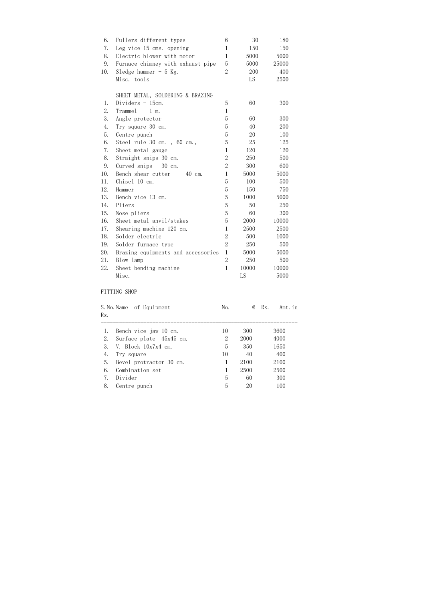| 6.  | Fullers different types            | 6              | 30    | 180   |
|-----|------------------------------------|----------------|-------|-------|
| 7.  | Leg vice 15 cms. opening           | $\mathbf{1}$   | 150   | 150   |
| 8.  | Electric blower with motor         | $\mathbf 1$    | 5000  | 5000  |
| 9.  | Furnace chimney with exhaust pipe  | 5              | 5000  | 25000 |
| 10. | Sledge hammer $-5$ Kg.             | $\overline{2}$ | 200   | 400   |
|     | Misc. tools                        |                | LS    | 2500  |
|     | SHEET METAL, SOLDERING & BRAZING   |                |       |       |
| 1.  | Dividers $-15$ cm.                 | 5              | 60    | 300   |
| 2.  | Tramme1<br>1 m.                    | $\mathbf 1$    |       |       |
| 3.  | Angle protector                    | $\overline{5}$ | 60    | 300   |
| 4.  | Try square 30 cm.                  | 5              | 40    | 200   |
| 5.  | Centre punch                       | $\overline{5}$ | 20    | 100   |
| 6.  | Steel rule 30 cm., 60 cm.,         | $\overline{5}$ | 25    | 125   |
| 7.  | Sheet metal gauge                  | $\mathbf 1$    | 120   | 120   |
| 8.  | Straight snips 30 cm.              | $\overline{2}$ | 250   | 500   |
| 9.  | Curved snips<br>30 cm.             | $\overline{2}$ | 300   | 600   |
| 10. | Bench shear cutter<br>40 cm.       | $\mathbf 1$    | 5000  | 5000  |
| 11. | Chisel 10 cm.                      | $\overline{5}$ | 100   | 500   |
| 12. | Hammer                             | 5              | 150   | 750   |
| 13. | Bench vice 13 cm.                  | $\overline{5}$ | 1000  | 5000  |
| 14. | Pliers                             | 5              | 50    | 250   |
| 15. | Nose pliers                        | 5              | 60    | 300   |
| 16. | Sheet metal anvil/stakes           | 5              | 2000  | 10000 |
| 17. | Shearing machine 120 cm.           | $\mathbf{1}$   | 2500  | 2500  |
| 18. | Solder electric                    | $\overline{2}$ | 500   | 1000  |
| 19. | Solder furnace type                | $\overline{2}$ | 250   | 500   |
| 20. | Brazing equipments and accessories | $\mathbf{1}$   | 5000  | 5000  |
| 21. | Blow lamp                          | $\overline{2}$ | 250   | 500   |
| 22. | Sheet bending machine              | $\mathbf{1}$   | 10000 | 10000 |
|     | Misc.                              |                | LS    | 5000  |

## FITTING SHOP

| Rs.                            | S.No.Name of Equipment  | No. | $\omega$ | Rs.<br>Amt. in |  |
|--------------------------------|-------------------------|-----|----------|----------------|--|
| 1.                             | Bench vice jaw 10 cm.   | 10  | 300      | 3600           |  |
| 2.                             | Surface plate 45x45 cm. | 2   | 2000     | 4000           |  |
| 3.                             | V. Block $10x7x4$ cm.   | 5   | 350      | 1650           |  |
| 4.                             | Try square              | 10  | 40       | 400            |  |
| 5.                             | Bevel protractor 30 cm. |     | 2100     | 2100           |  |
| 6.                             | Combination set         |     | 2500     | 2500           |  |
| $7_{\scriptscriptstyle{\sim}}$ | Divider                 | 5   | 60       | 300            |  |
| 8.                             | Centre punch            | 5   | 20       | 100            |  |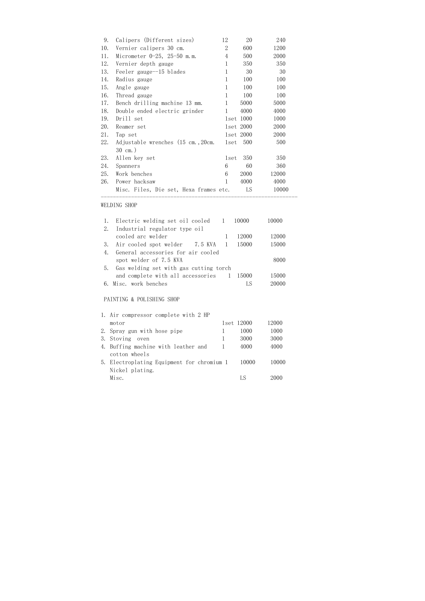| 10.                            | Vernier calipers 30 cm.                | $\overline{2}$ |           |       |  |
|--------------------------------|----------------------------------------|----------------|-----------|-------|--|
|                                |                                        |                | 600       | 1200  |  |
| 11.                            | Micrometer $0-25$ , $25-50$ m.m.       | 4              | 500       | 2000  |  |
| 12.<br>Vernier depth gauge     |                                        | 1              | 350       | 350   |  |
| 13.<br>Feeler gauge--15 blades |                                        | 1              | 30        | 30    |  |
| 14.<br>Radius gauge            |                                        | 1              | 100       | 100   |  |
| 15.<br>Angle gauge             |                                        | $\mathbf{1}$   | 100       | 100   |  |
| 16.<br>Thread gauge            |                                        | $\mathbf{1}$   | 100       | 100   |  |
| 17.                            | Bench drilling machine 13 mm.          | $\mathbf{1}$   | 5000      | 5000  |  |
| 18.                            | Double ended electric grinder          | $\mathbf{1}$   | 4000      | 4000  |  |
| 19.<br>Drill set               |                                        |                | 1set 1000 | 1000  |  |
| 20.<br>Reamer set              |                                        |                | 1set 2000 | 2000  |  |
| 21.<br>Tap set                 |                                        |                | 1set 2000 | 2000  |  |
| 22.                            | Adjustable wrenches (15 cm., 20cm.     | lset           | 500       | 500   |  |
| $30 \text{ cm.}$ )             |                                        |                |           |       |  |
| 23.<br>Allen key set           |                                        | 1set           | 350       | 350   |  |
| 24.<br>Spanners                |                                        | 6              | 60        | 360   |  |
| 25.<br>Work benches            |                                        | 6              | 2000      | 12000 |  |
| 26.<br>Power hacksaw           |                                        | 1              | 4000      | 4000  |  |
|                                | Misc. Files, Die set, Hexa frames etc. |                | LS        | 10000 |  |

## WELDING SHOP

|    | Electric welding set oil cooled 1 10000   |       | 10000 |
|----|-------------------------------------------|-------|-------|
| 2. | Industrial regulator type oil             |       |       |
|    | cooled arc welder                         | 12000 | 12000 |
|    | 3. Air cooled spot welder 7.5 KVA 1       | 15000 | 15000 |
| 4. | General accessories for air cooled        |       |       |
|    | spot welder of 7.5 KVA                    |       | 8000  |
|    | 5. Gas welding set with gas cutting torch |       |       |
|    | and complete with all accessories 1 15000 |       | 15000 |
|    | 6. Misc. work benches                     |       |       |

# PAINTING & POLISHING SHOP

| 1. Air compressor complete with 2 HP       |            |       |
|--------------------------------------------|------------|-------|
| motor                                      | 1set 12000 | 12000 |
| 2. Spray gun with hose pipe                | 1000       | 1000  |
| 3. Stoving oven                            | 3000       | 3000  |
| 4. Buffing machine with leather and        | 4000       | 4000  |
| cotton wheels                              |            |       |
| 5. Electroplating Equipment for chromium 1 | 10000      | 10000 |
| Nickel plating.                            |            |       |
| Misc.                                      | LS         | 2000  |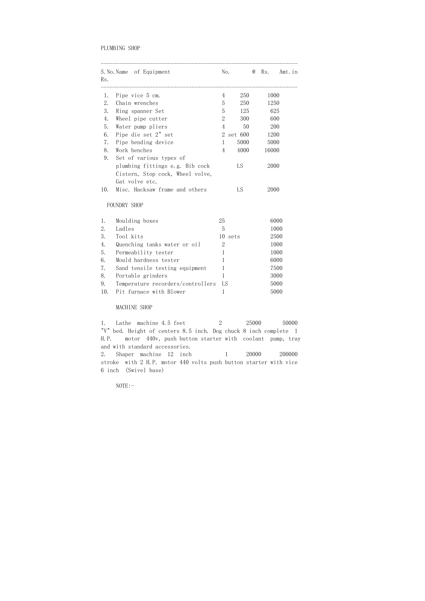#### PLUMBING SHOP

| Rs. | S. No. Name of Equipment          | No.            |         | $^\text{\textregistered}$ | Rs.   | Amt. in |
|-----|-----------------------------------|----------------|---------|---------------------------|-------|---------|
| 1.  | Pipe vice 5 cm.                   | $\overline{4}$ | 250     |                           | 1000  |         |
| 2.  | Chain wrenches                    | 5              | 250     |                           | 1250  |         |
| 3.  | Ring spanner Set                  | 5              | 125     |                           | 625   |         |
| 4.  | Wheel pipe cutter                 | $\overline{2}$ | 300     |                           | 600   |         |
| 5.  | Water pump pliers                 | $\overline{4}$ | 50      |                           | 200   |         |
| 6.  | Pipe die set 2" set               | $\overline{2}$ | set 600 |                           | 1200  |         |
| 7.  | Pipe bending device               | $\mathbf{1}$   | 5000    |                           | 5000  |         |
| 8.  | Work benches                      | $\overline{4}$ | 4000    |                           | 16000 |         |
| 9.  | Set of various types of           |                |         |                           |       |         |
|     | plumbing fittings e.g. Bib cock   |                | LS      |                           | 2000  |         |
|     | Cistern, Stop cock, Wheel volve,  |                |         |                           |       |         |
|     | Gat volve etc.                    |                |         |                           |       |         |
| 10. | Misc. Hacksaw frame and others    |                | LS      |                           | 2000  |         |
|     | FOUNDRY SHOP                      |                |         |                           |       |         |
| 1.  | Moulding boxes                    | 25             |         |                           |       | 6000    |
| 2.  | Ladles                            | 5              |         |                           |       | 1000    |
| 3.  | Tool kits                         | 10             | sets    |                           |       | 2500    |
| 4.  | Quenching tanks water or oil      | $\overline{2}$ |         |                           |       | 1000    |
| 5.  | Permeability tester               | $\mathbf{1}$   |         |                           |       | 1000    |
| 6.  | Mould hardness tester             | $\mathbf{1}$   |         |                           |       | 6000    |
| 7.  | Sand tensile testing equipment    | $\,1$          |         |                           |       | 7500    |
| 8.  | Portable grinders                 | $\mathbf{1}$   |         |                           |       | 3000    |
| 9.  | Temperature recorders/controllers | LS             |         |                           |       | 5000    |
| 10. | Pit furnace with Blower           | $\mathbf 1$    |         |                           |       | 5000    |

1. Lathe machine 4.5 feet 2 25000 50000 "V" bed. Height of centers 8.5 inch. Dog chuck 8 inch complete 1 H.P. motor 440v, push button starter with coolant pump, tray and with standard accessories. 2. Shaper machine 12 inch 1 20000 200000 stroke with 2 H.P. motor 440 volts push button starter with vice

#### MACHINE SHOP

6 inch (Swivel base)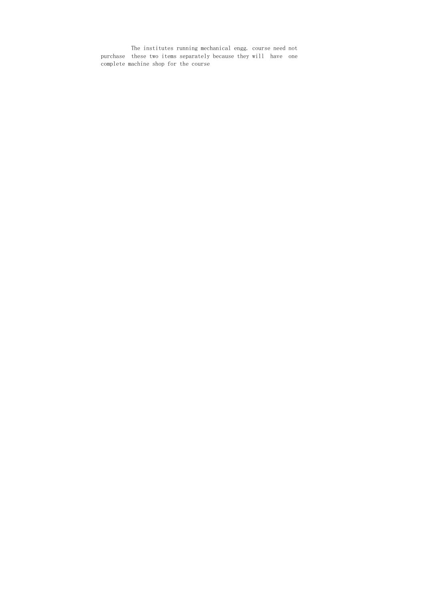The institutes running mechanical engg. course need not purchase these two items separately because they will have one complete machine shop for the course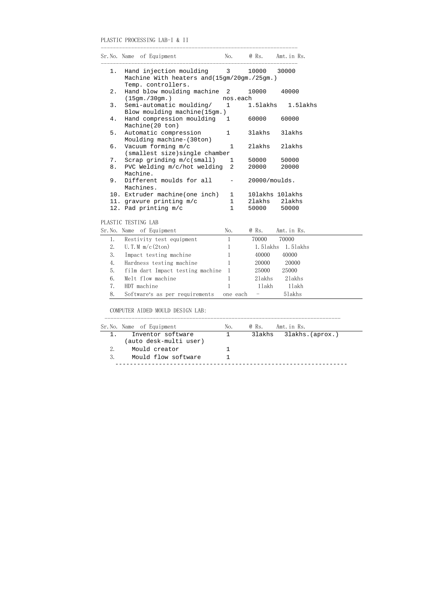## PLASTIC PROCESSING LAB-I & II

-----------------------------------------------------------------

|                     | Sr.No. Name of Equipment                    | No.            | @ Rs.         | Amt. in Rs.       |  |  |  |  |
|---------------------|---------------------------------------------|----------------|---------------|-------------------|--|--|--|--|
| $1$ .               | Hand injection moulding 3                   |                | 10000         | 30000             |  |  |  |  |
|                     | Machine With heaters and (15gm/20gm./25gm.) |                |               |                   |  |  |  |  |
|                     | Temp. controllers.                          |                |               |                   |  |  |  |  |
| 2.                  | Hand blow moulding machine                  | $\overline{2}$ | 10000         | 40000             |  |  |  |  |
|                     | (15gm. / 30gm. )                            | nos.each       |               |                   |  |  |  |  |
| 3.                  | Semi-automatic moulding/                    | $\mathbf{1}$   | 1.5lakhs      | 1.5lakhs          |  |  |  |  |
|                     | Blow moulding machine (15gm.)               |                |               |                   |  |  |  |  |
| $4$ .               | Hand compression moulding                   | $\overline{1}$ | 60000         | 60000             |  |  |  |  |
|                     | Machine(20 ton)                             |                |               |                   |  |  |  |  |
| 5.                  | Automatic compression                       | $\mathbf{1}$   | 31akhs        | 31akhs            |  |  |  |  |
|                     | Moulding machine-(30ton)                    |                |               |                   |  |  |  |  |
| б.                  | Vacuum forming m/c                          | $\mathbf{1}$   | 21akhs        | 21akhs            |  |  |  |  |
|                     | (smallest size) single chamber              |                |               |                   |  |  |  |  |
| 7.                  | Scrap grinding m/c(small)                   | $\mathbf{1}$   | 50000         | 50000             |  |  |  |  |
| 8.                  | PVC Welding m/c/hot welding                 | $\overline{2}$ | 20000         | 20000             |  |  |  |  |
| 9.                  | Machine.<br>Different moulds for all        |                | 20000/moulds. |                   |  |  |  |  |
|                     | Machines.                                   |                |               |                   |  |  |  |  |
|                     | 10. Extruder machine(one inch)              | $\mathbf{1}$   |               | 10lakhs 10lakhs   |  |  |  |  |
|                     | 11. gravure printing m/c                    | $\mathbf{1}$   |               | 21akhs 21akhs     |  |  |  |  |
|                     | 12. Pad printing m/c                        | $\mathbf 1$    | 50000         | 50000             |  |  |  |  |
|                     |                                             |                |               |                   |  |  |  |  |
| PLASTIC TESTING LAB |                                             |                |               |                   |  |  |  |  |
|                     | Sr. No. Name of Equipment                   | No.            | @ Rs.         | Amt. in Rs.       |  |  |  |  |
|                     |                                             |                |               |                   |  |  |  |  |
| 1.                  | Restivity test equipment                    | $\mathbf{1}$   | 70000         | 70000             |  |  |  |  |
| 2.                  | U.T.M $m/c$ (2ton)                          | $\mathbf{1}$   |               | 1.51akhs 1.51akhs |  |  |  |  |
| 3.                  | Impact testing machine                      | $\mathbf{1}$   | 40000         | 40000             |  |  |  |  |
| 4.                  | Hardness testing machine                    | $\mathbf{1}$   |               | 20000 20000       |  |  |  |  |
| 5.                  | film dart Impact testing machine            | $\mathbf{1}$   | 25000         | 25000             |  |  |  |  |
| 6.                  | Melt flow machine                           | $\mathbf 1$    | 21akhs        | 21akhs            |  |  |  |  |

## COMPUTER AIDED MOULD DESIGN LAB:

|       | Sr.No. Name of Equipment                    | No. | @ Rs. | Amt. in Rs.            |
|-------|---------------------------------------------|-----|-------|------------------------|
| $1$ . | Inventor software<br>(auto desk-multi user) |     |       | 31akhs 31akhs.(aprox.) |
| 2.    | Mould creator                               |     |       |                        |
| 3.    | Mould flow software                         |     |       |                        |
|       |                                             |     |       |                        |

7. HDT machine 1 11akh 11akh 8. Software's as per requirements one each - 5lakhs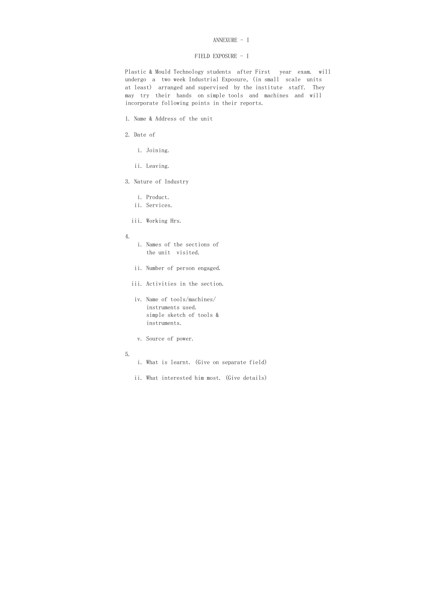#### ANNEXURE - I

#### FIELD EXPOSURE - I

 Plastic & Mould Technology students after First year exam. will undergo a two week Industrial Exposure, (in small scale units at least) arranged and supervised by the institute staff. They may try their hands on simple tools and machines and will incorporate following points in their reports.

- 1. Name & Address of the unit
- 2. Date of
	- i. Joining.
	- ii. Leaving.
- 3. Nature of Industry
	- i. Product.
	- ii. Services.
	- iii. Working Hrs.
- 4.
- i. Names of the sections of the unit visited.
- ii. Number of person engaged.
- iii. Activities in the section.
- iv. Name of tools/machines/ instruments used. simple sketch of tools & instruments.
- v. Source of power.
- 5.
- i. What is learnt. (Give on separate field)
- ii. What interested him most. (Give details)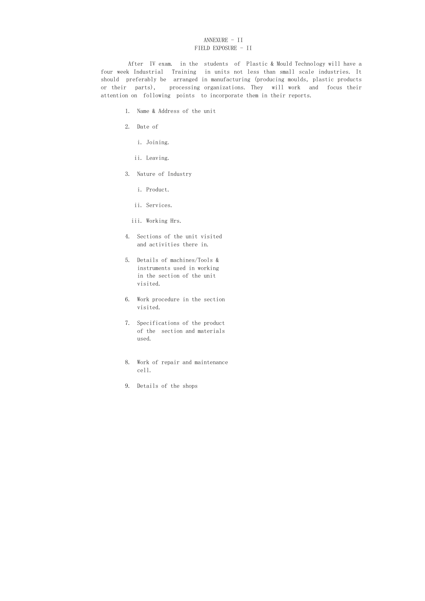## ANNEXURE - II FIELD EXPOSURE - II

 After IV exam. in the students of Plastic & Mould Technology will have a four week Industrial Training in units not less than small scale industries. It should preferably be arranged in manufacturing (producing moulds, plastic products or their parts), processing organizations. They will work and focus their attention on following points to incorporate them in their reports.

- 1. Name & Address of the unit
- 2. Date of
	- i. Joining.
	- ii. Leaving.
- 3. Nature of Industry
	- i. Product.
	- ii. Services.
	- iii. Working Hrs.
- 4. Sections of the unit visited and activities there in.
- 5. Details of machines/Tools & instruments used in working in the section of the unit visited.
- 6. Work procedure in the section visited.
- 7. Specifications of the product of the section and materials used.
- 8. Work of repair and maintenance cell.
- 9. Details of the shops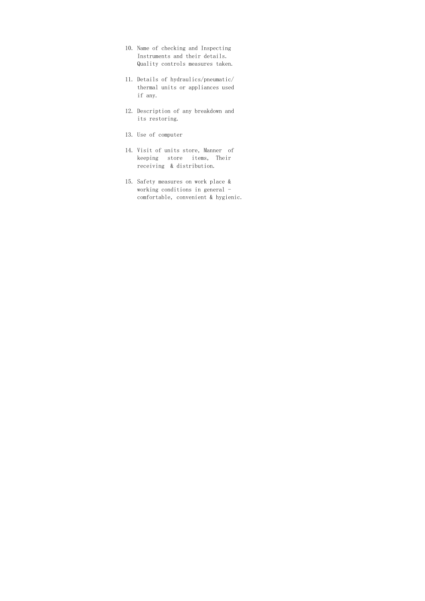- 10. Name of checking and Inspecting Instruments and their details. Quality controls measures taken.
- 11. Details of hydraulics/pneumatic/ thermal units or appliances used if any.
- 12. Description of any breakdown and its restoring.
- 13. Use of computer
- 14. Visit of units store, Manner of keeping store items, Their receiving & distribution.
- 15. Safety measures on work place & working conditions in general comfortable, convenient & hygienic.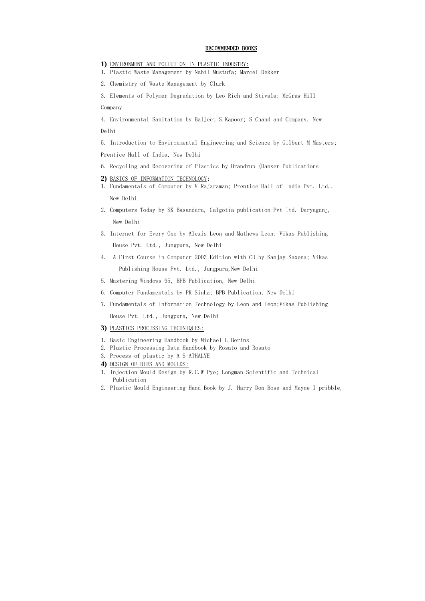#### RECOMMENDED BOOKS

- **1)** ENVIRONMENT AND POLLUTION IN PLASTIC INDUSTRY:
- 1. Plastic Waste Management by Nabil Mustufa; Marcel Dekker
- 2. Chemistry of Waste Management by Clark
- 3. Elements of Polymer Degradation by Leo Rich and Stivala; McGraw Hill

#### Company

4. Environmental Sanitation by Baljeet S Kapoor; S Chand and Company, New Delhi

5. Introduction to Environmental Engineering and Science by Gilbert M Masters; Prentice Hall of India, New Delhi

6. Recycling and Recovering of Plastics by Brandrup (Hanser Publications

#### **2)** BASICS OF INFORMATION TECHNOLOGY:

- 1. Fundamentals of Computer by V Rajaraman; Prentice Hall of India Pvt. Ltd., New Delhi
- 2. Computers Today by SK Basandara, Galgotia publication Pvt ltd. Daryaganj, New Delhi
- 3. Internet for Every One by Alexis Leon and Mathews Leon; Vikas Publishing House Pvt. Ltd., Jungpura, New Delhi
- 4. A First Course in Computer 2003 Edition with CD by Sanjay Saxena; Vikas Publishing House Pvt. Ltd., Jungpura, New Delhi
- 5. Mastering Windows 95, BPB Publication, New Delhi
- 6. Computer Fundamentals by PK Sinha; BPB Publication, New Delhi
- 7. Fundamentals of Information Technology by Leon and Leon;Vikas Publishing House Pvt. Ltd., Jungpura, New Delhi
- **3)** PLASTICS PROCESSING TECHNIQUES:
- 1. Basic Engineering Handbook by Michael L Berins
- 2. Plastic Processing Data Handbook by Rosato and Rosato
- 3. Process of plastic by A S ATHALYE
- **4)** DESIGN OF DIES AND MOULDS:
- 1. Injection Mould Design by R.C.W Pye; Longman Scientific and Technical Publication
- 2. Plastic Mould Engineering Hand Book by J. Harry Don Bose and Mayne I pribble,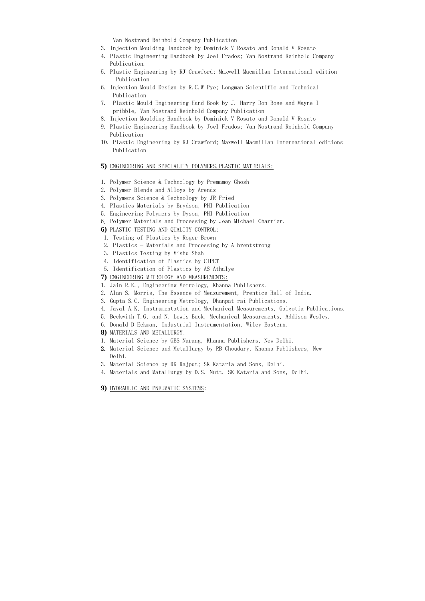Van Nostrand Reinhold Company Publication

- 3. Injection Moulding Handbook by Dominick V Rosato and Donald V Rosato
- 4. Plastic Engineering Handbook by Joel Frados; Van Nostrand Reinhold Company Publication.
- 5. Plastic Engineering by RJ Crawford; Maxwell Macmillan International edition Publication
- 6. Injection Mould Design by R.C.W Pye; Longman Scientific and Technical Publication
- 7. Plastic Mould Engineering Hand Book by J. Harry Don Bose and Mayne I pribble, Van Nostrand Reinhold Company Publication
- 8. Injection Moulding Handbook by Dominick V Rosato and Donald V Rosato
- 9. Plastic Engineering Handbook by Joel Frados; Van Nostrand Reinhold Company Publication
- 10. Plastic Engineering by RJ Crawford; Maxwell Macmillan International editions Publication

#### **5)** ENGINEERING AND SPECIALITY POLYMERS,PLASTIC MATERIALS:

- 1. Polymer Science & Technology by Premamoy Ghosh
- 2. Polymer Blends and Alloys by Arends
- 3. Polymers Science & Technology by JR Fried
- 4. Plastics Materials by Brydson, PHI Publication
- 5. Engineering Polymers by Dyson, PHI Publication
- 6. Polymer Materials and Processing by Jean Michael Charrier.

#### **6)** PLASTIC TESTING AND QUALITY CONTROL:

- 1. Testing of Plastics by Roger Brown
- 2. Plastics Materials and Processing by A brentstrong
- 3. Plastics Testing by Vishu Shah
- 4. Identification of Plastics by CIPET
- 5. Identification of Plastics by AS Athalye

#### **7)** ENGINEERING METROLOGY AND MEASUREMENTS:

- 1. Jain R.K., Engineering Metrology, Khanna Publishers.
- 2. Alan S. Morris, The Essence of Measurement, Prentice Hall of India.
- 3. Gupta S.C, Engineering Metrology, Dhanpat rai Publications.
- 4. Jayal A.K, Instrumentation and Mechanical Measurements, Galgotia Publications.
- 5. Beckwith T.G, and N. Lewis Buck, Mechanical Measurements, Addison Wesley.
- 6. Donald D Eckman, Industrial Instrumentation, Wiley Eastern.
- **8)** MATERIALS AND METALLURGY:
- 1. Material Science by GBS Narang, Khanna Publishers, New Delhi.
- 2. Material Science and Metallurgy by RB Choudary, Khanna Publishers, New Delhi.
- 3. Material Science by RK Rajput; SK Kataria and Sons, Delhi.
- 4. Materials and Matallurgy by D.S. Nutt. SK Kataria and Sons, Delhi.
- **9)** HYDRAULIC AND PNEUMATIC SYSTEMS: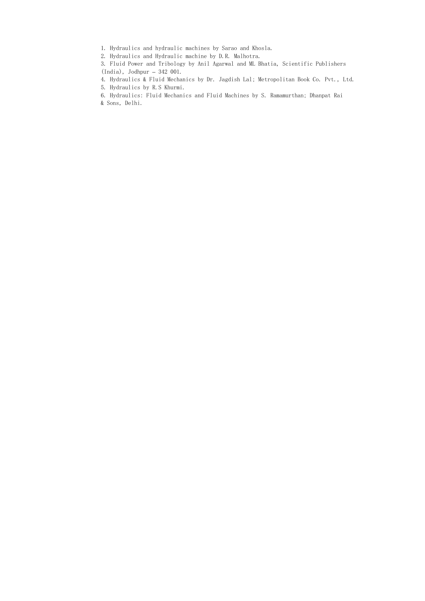1. Hydraulics and hydraulic machines by Sarao and Khosla.

2. Hydraulics and Hydraulic machine by D.R. Malhotra.

3. Fluid Power and Tribology by Anil Agarwal and ML Bhatia, Scientific Publishers (India), Jodhpur – 342 001.

4. Hydraulics & Fluid Mechanics by Dr. Jagdish Lal; Metropolitan Book Co. Pvt., Ltd.

5. Hydraulics by R.S Khurmi.

6. Hydraulics: Fluid Mechanics and Fluid Machines by S. Ramamurthan; Dhanpat Rai & Sons, Delhi.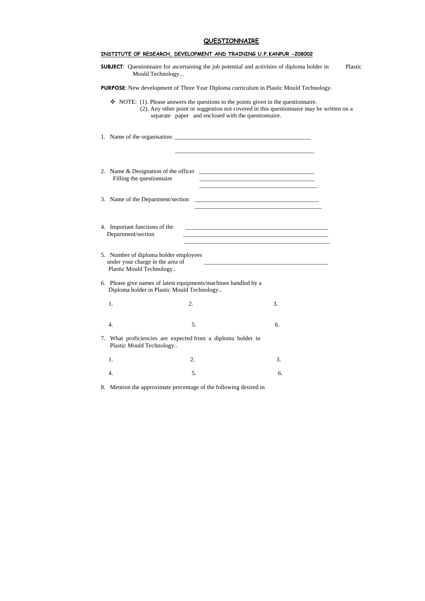## **QUESTIONNAIRE**

|                                                                                                       | Mould Technology                                                                                              | INSTITUTE OF RESEARCH, DEVELOPMENT AND TRAINING U.P.KANPUR -208002<br><b>SUBJECT:</b> Questionnaire for ascertaining the job potential and activities of diploma holder in                                                                    | Plastic |
|-------------------------------------------------------------------------------------------------------|---------------------------------------------------------------------------------------------------------------|-----------------------------------------------------------------------------------------------------------------------------------------------------------------------------------------------------------------------------------------------|---------|
|                                                                                                       |                                                                                                               | <b>PURPOSE:</b> New development of Three Year Diploma curriculum in Plastic Mould Technology.                                                                                                                                                 |         |
|                                                                                                       | separate paper and enclosed with the questionnaire.                                                           | $\bullet$ NOTE: (1). Please answers the questions to the points given in the questionnaire.<br>(2). Any other point or suggestion not covered in this questionnaire may be written on a                                                       |         |
|                                                                                                       |                                                                                                               |                                                                                                                                                                                                                                               |         |
| Filling the questionnaire                                                                             |                                                                                                               |                                                                                                                                                                                                                                               |         |
| Name of the Department/section<br>3.                                                                  |                                                                                                               |                                                                                                                                                                                                                                               |         |
| 4. Important functions of the<br>Department/section                                                   |                                                                                                               | <u> 1989 - Johann Stoff, deutscher Stoff, der Stoff, der Stoff, der Stoff, der Stoff, der Stoff, der Stoff, der S</u><br><u> 1989 - Johann John Stone, markin film yn y brenin y brenin y brenin y brenin y brenin y brenin y brenin y br</u> |         |
| 5. Number of diploma holder employees<br>under your charge in the area of<br>Plastic Mould Technology |                                                                                                               |                                                                                                                                                                                                                                               |         |
|                                                                                                       | 6. Please give names of latest equipments/machines handled by a<br>Diploma holder in Plastic Mould Technology |                                                                                                                                                                                                                                               |         |
| 1.                                                                                                    | 2.                                                                                                            | 3.                                                                                                                                                                                                                                            |         |
| 4.                                                                                                    | 5.                                                                                                            | 6.                                                                                                                                                                                                                                            |         |
| 7.<br>Plastic Mould Technology                                                                        | What proficiencies are expected from a diploma holder in                                                      |                                                                                                                                                                                                                                               |         |
| 1.                                                                                                    | 2.                                                                                                            | 3.                                                                                                                                                                                                                                            |         |
| 4.                                                                                                    | 5.                                                                                                            | 6.                                                                                                                                                                                                                                            |         |

8. Mention the approximate percentage of the following desired in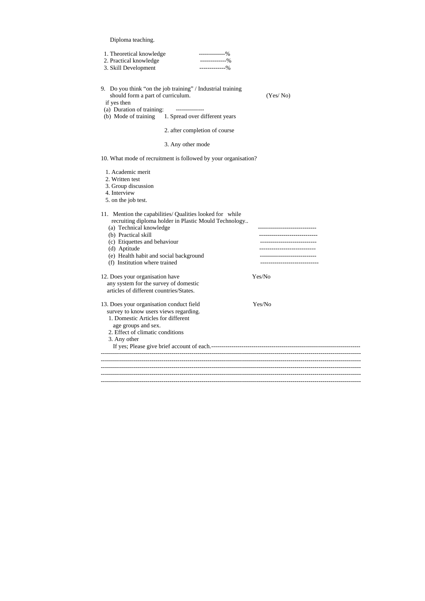Diploma teaching.

| 1. Theoretical knowledge<br>--------------%<br>2. Practical knowledge<br>-------------%<br>3. Skill Development<br>$------96$                                                                                                                                                                  |                                                         |
|------------------------------------------------------------------------------------------------------------------------------------------------------------------------------------------------------------------------------------------------------------------------------------------------|---------------------------------------------------------|
| 9. Do you think "on the job training" / Industrial training<br>should form a part of curriculum.<br>if yes then<br>(a) Duration of training:<br>--------------<br>(b) Mode of training 1. Spread over different years                                                                          | (Yes/No)                                                |
| 2. after completion of course                                                                                                                                                                                                                                                                  |                                                         |
| 3. Any other mode                                                                                                                                                                                                                                                                              |                                                         |
| 10. What mode of recruitment is followed by your organisation?                                                                                                                                                                                                                                 |                                                         |
| 1. Academic merit<br>2. Written test<br>3. Group discussion<br>4. Interview<br>5. on the job test.                                                                                                                                                                                             |                                                         |
| 11. Mention the capabilities/ Qualities looked for while<br>recruiting diploma holder in Plastic Mould Technology<br>(a) Technical knowledge<br>(b) Practical skill<br>(c) Etiquettes and behaviour<br>(d) Aptitude<br>(e) Health habit and social background<br>(f) Institution where trained | .__________________________<br>------------------------ |
| 12. Does your organisation have<br>any system for the survey of domestic<br>articles of different countries/States.                                                                                                                                                                            | Yes/No                                                  |
| 13. Does your organisation conduct field<br>survey to know users views regarding.<br>1. Domestic Articles for different<br>age groups and sex.<br>2. Effect of climatic conditions<br>3. Any other                                                                                             | Yes/No                                                  |
|                                                                                                                                                                                                                                                                                                |                                                         |
|                                                                                                                                                                                                                                                                                                |                                                         |
|                                                                                                                                                                                                                                                                                                |                                                         |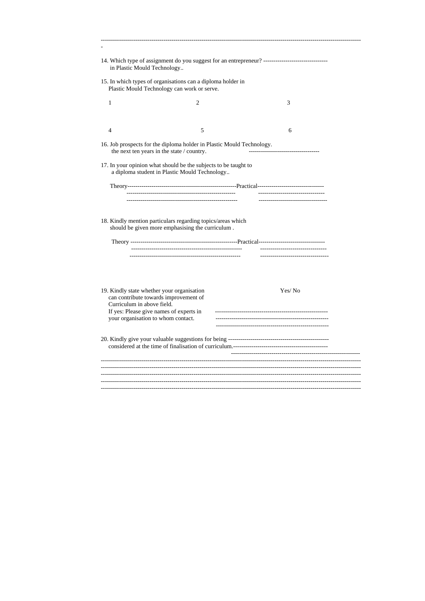| in Plastic Mould Technology                                                                                                                               | 14. Which type of assignment do you suggest for an entrepreneur? ----------------------------------                 |  |        |  |  |
|-----------------------------------------------------------------------------------------------------------------------------------------------------------|---------------------------------------------------------------------------------------------------------------------|--|--------|--|--|
|                                                                                                                                                           | 15. In which types of organisations can a diploma holder in<br>Plastic Mould Technology can work or serve.          |  |        |  |  |
| 1                                                                                                                                                         | $\overline{2}$                                                                                                      |  | 3      |  |  |
|                                                                                                                                                           |                                                                                                                     |  |        |  |  |
| $\overline{4}$                                                                                                                                            | 5                                                                                                                   |  | 6      |  |  |
|                                                                                                                                                           | 16. Job prospects for the diploma holder in Plastic Mould Technology.<br>the next ten years in the state / country. |  |        |  |  |
|                                                                                                                                                           | 17. In your opinion what should be the subjects to be taught to<br>a diploma student in Plastic Mould Technology    |  |        |  |  |
|                                                                                                                                                           |                                                                                                                     |  |        |  |  |
|                                                                                                                                                           | 18. Kindly mention particulars regarding topics/areas which<br>should be given more emphasising the curriculum.     |  |        |  |  |
| 19. Kindly state whether your organisation<br>Curriculum in above field.<br>If yes: Please give names of experts in<br>your organisation to whom contact. | can contribute towards improvement of                                                                               |  | Yes/No |  |  |
|                                                                                                                                                           |                                                                                                                     |  |        |  |  |
|                                                                                                                                                           |                                                                                                                     |  |        |  |  |
|                                                                                                                                                           |                                                                                                                     |  |        |  |  |
|                                                                                                                                                           |                                                                                                                     |  |        |  |  |